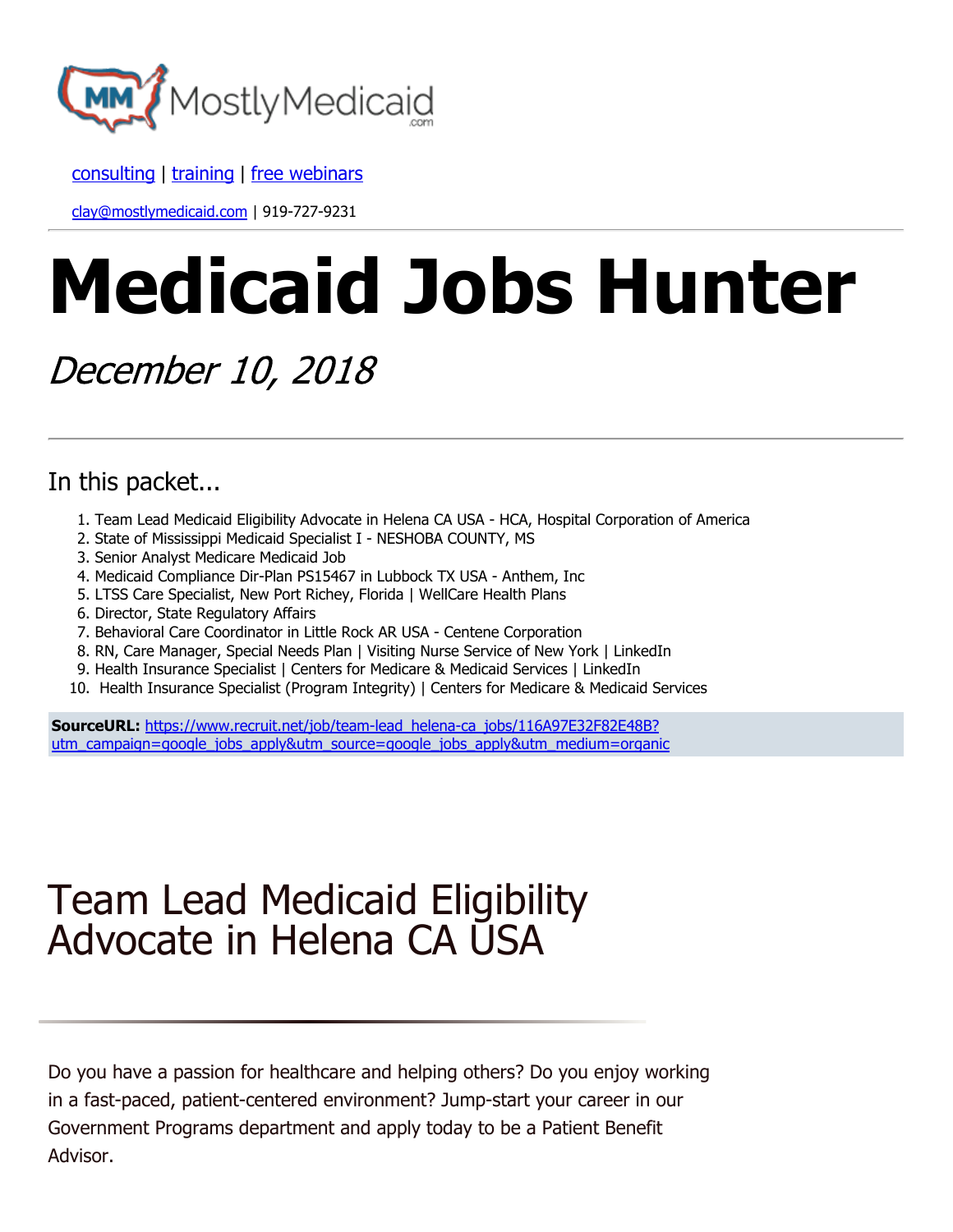

[consulting](http://bit.ly/2L815p0) | [training](http://bit.ly/2zL1l4r) | [free webinars](http://bit.ly/2ccl593) 

[clay@mostlymedicaid.com](mailto:clay@mostlymedicaid.com) | 919-727-9231

# Medicaid Jobs Hunter

# December 10, 2018

### In this packet...

- 1. Team Lead Medicaid Eligibility Advocate in Helena CA USA HCA, Hospital Corporation of America
- 2. State of Mississippi Medicaid Specialist I NESHOBA COUNTY, MS
- 3. Senior Analyst Medicare Medicaid Job
- 4. Medicaid Compliance Dir-Plan PS15467 in Lubbock TX USA Anthem, Inc
- 5. LTSS Care Specialist, New Port Richey, Florida | WellCare Health Plans
- 6. Director, State Regulatory Affairs
- 7. Behavioral Care Coordinator in Little Rock AR USA Centene Corporation
- 8. RN, Care Manager, Special Needs Plan | Visiting Nurse Service of New York | LinkedIn
- 9. Health Insurance Specialist | Centers for Medicare & Medicaid Services | LinkedIn
- 10. Health Insurance Specialist (Program Integrity) | Centers for Medicare & Medicaid Services

SourceURL: https://www.recruit.net/job/team-lead\_helena-ca\_jobs/116A97E32F82E48B? [utm\\_campaign=google\\_jobs\\_apply&utm\\_source=google\\_jobs\\_apply&utm\\_medium=organic](https://www.recruit.net/job/team-lead_helena-ca_jobs/116A97E32F82E48B?utm_campaign=google_jobs_apply&utm_source=google_jobs_apply&utm_medium=organic)

### Team Lead Medicaid Eligibility Advocate in Helena CA USA

Do you have a passion for healthcare and helping others? Do you enjoy working in a fast-paced, patient-centered environment? Jump-start your career in our Government Programs department and apply today to be a Patient Benefit Advisor.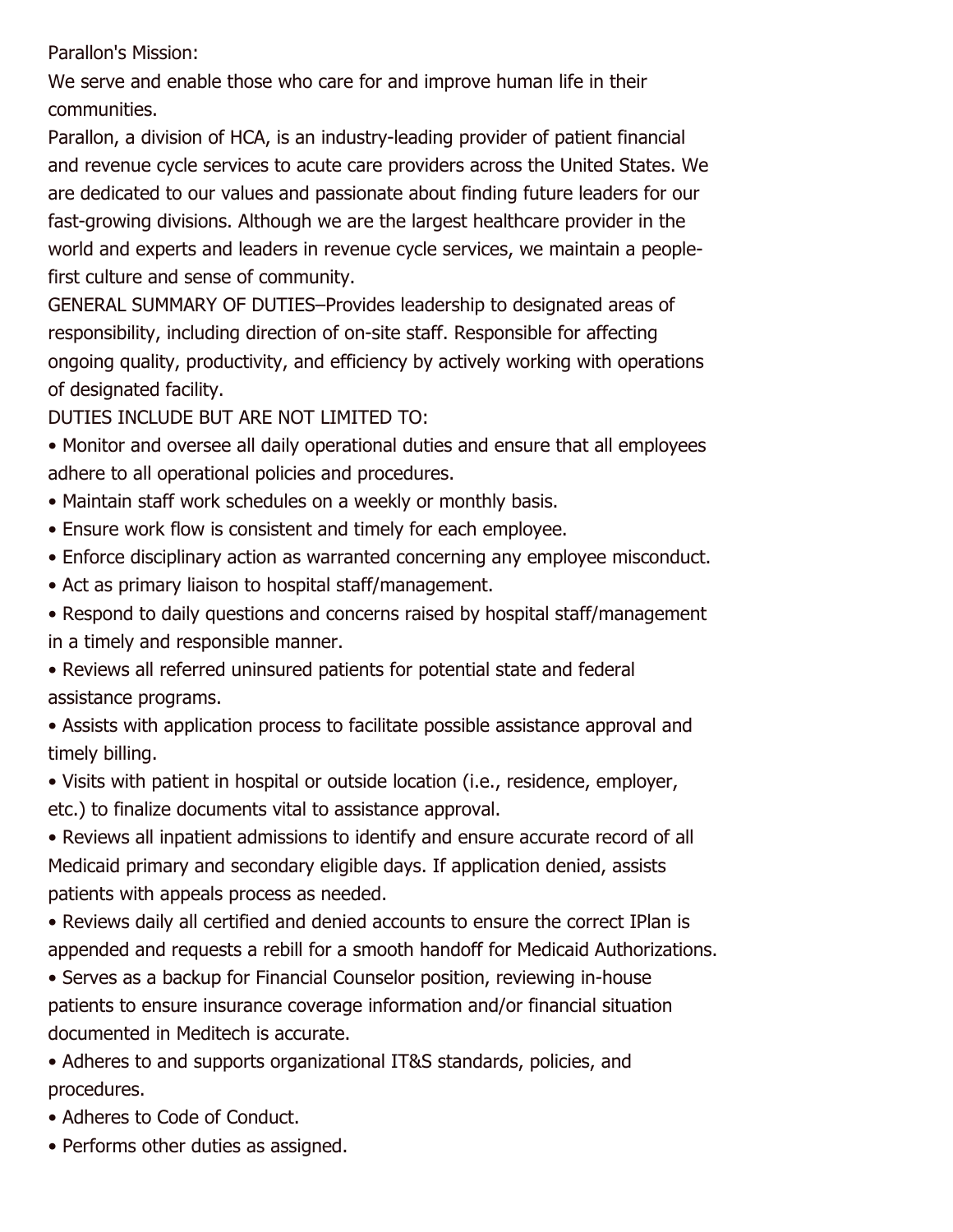Parallon's Mission:

We serve and enable those who care for and improve human life in their communities.

Parallon, a division of HCA, is an industry-leading provider of patient financial and revenue cycle services to acute care providers across the United States. We are dedicated to our values and passionate about finding future leaders for our fast-growing divisions. Although we are the largest healthcare provider in the world and experts and leaders in revenue cycle services, we maintain a peoplefirst culture and sense of community.

GENERAL SUMMARY OF DUTIES–Provides leadership to designated areas of responsibility, including direction of on-site staff. Responsible for affecting ongoing quality, productivity, and efficiency by actively working with operations of designated facility.

DUTIES INCLUDE BUT ARE NOT LIMITED TO:

• Monitor and oversee all daily operational duties and ensure that all employees adhere to all operational policies and procedures.

- Maintain staff work schedules on a weekly or monthly basis.
- Ensure work flow is consistent and timely for each employee.
- Enforce disciplinary action as warranted concerning any employee misconduct.
- Act as primary liaison to hospital staff/management.
- Respond to daily questions and concerns raised by hospital staff/management in a timely and responsible manner.
- Reviews all referred uninsured patients for potential state and federal assistance programs.
- Assists with application process to facilitate possible assistance approval and timely billing.
- Visits with patient in hospital or outside location (i.e., residence, employer, etc.) to finalize documents vital to assistance approval.
- Reviews all inpatient admissions to identify and ensure accurate record of all Medicaid primary and secondary eligible days. If application denied, assists patients with appeals process as needed.
- Reviews daily all certified and denied accounts to ensure the correct IPlan is appended and requests a rebill for a smooth handoff for Medicaid Authorizations.
- Serves as a backup for Financial Counselor position, reviewing in-house patients to ensure insurance coverage information and/or financial situation documented in Meditech is accurate.
- Adheres to and supports organizational IT&S standards, policies, and procedures.
- Adheres to Code of Conduct.
- Performs other duties as assigned.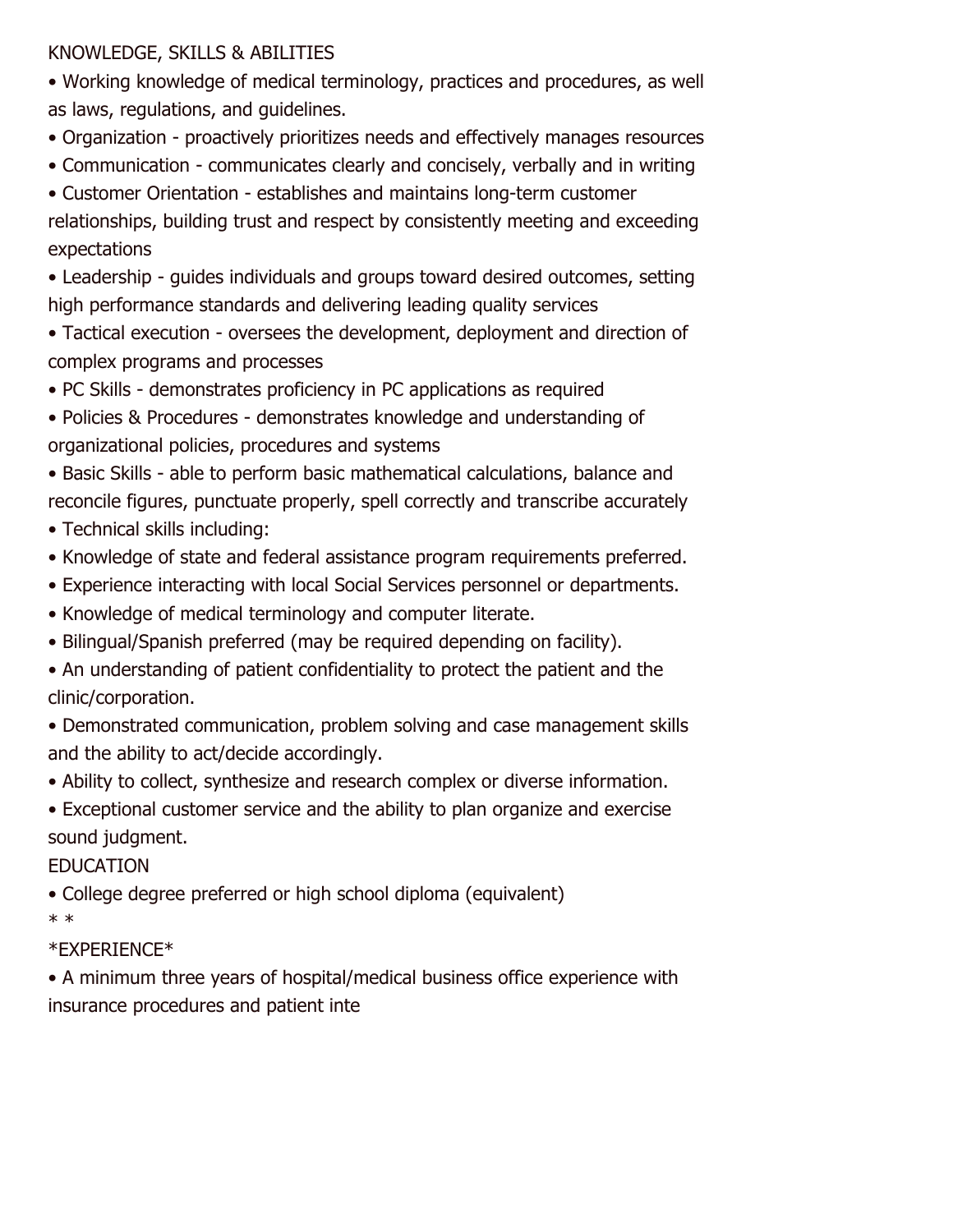#### KNOWLEDGE, SKILLS & ABILITIES

• Working knowledge of medical terminology, practices and procedures, as well as laws, regulations, and guidelines.

- Organization proactively prioritizes needs and effectively manages resources
- Communication communicates clearly and concisely, verbally and in writing

• Customer Orientation - establishes and maintains long-term customer relationships, building trust and respect by consistently meeting and exceeding expectations

• Leadership - guides individuals and groups toward desired outcomes, setting high performance standards and delivering leading quality services

• Tactical execution - oversees the development, deployment and direction of complex programs and processes

- PC Skills demonstrates proficiency in PC applications as required
- Policies & Procedures demonstrates knowledge and understanding of organizational policies, procedures and systems
- Basic Skills able to perform basic mathematical calculations, balance and reconcile figures, punctuate properly, spell correctly and transcribe accurately
- Technical skills including:
- Knowledge of state and federal assistance program requirements preferred.
- Experience interacting with local Social Services personnel or departments.
- Knowledge of medical terminology and computer literate.
- Bilingual/Spanish preferred (may be required depending on facility).
- An understanding of patient confidentiality to protect the patient and the clinic/corporation.
- Demonstrated communication, problem solving and case management skills and the ability to act/decide accordingly.
- Ability to collect, synthesize and research complex or diverse information.

• Exceptional customer service and the ability to plan organize and exercise sound judgment.

#### EDUCATION

• College degree preferred or high school diploma (equivalent) \* \*

#### \*EXPERIENCE\*

• A minimum three years of hospital/medical business office experience with insurance procedures and patient inte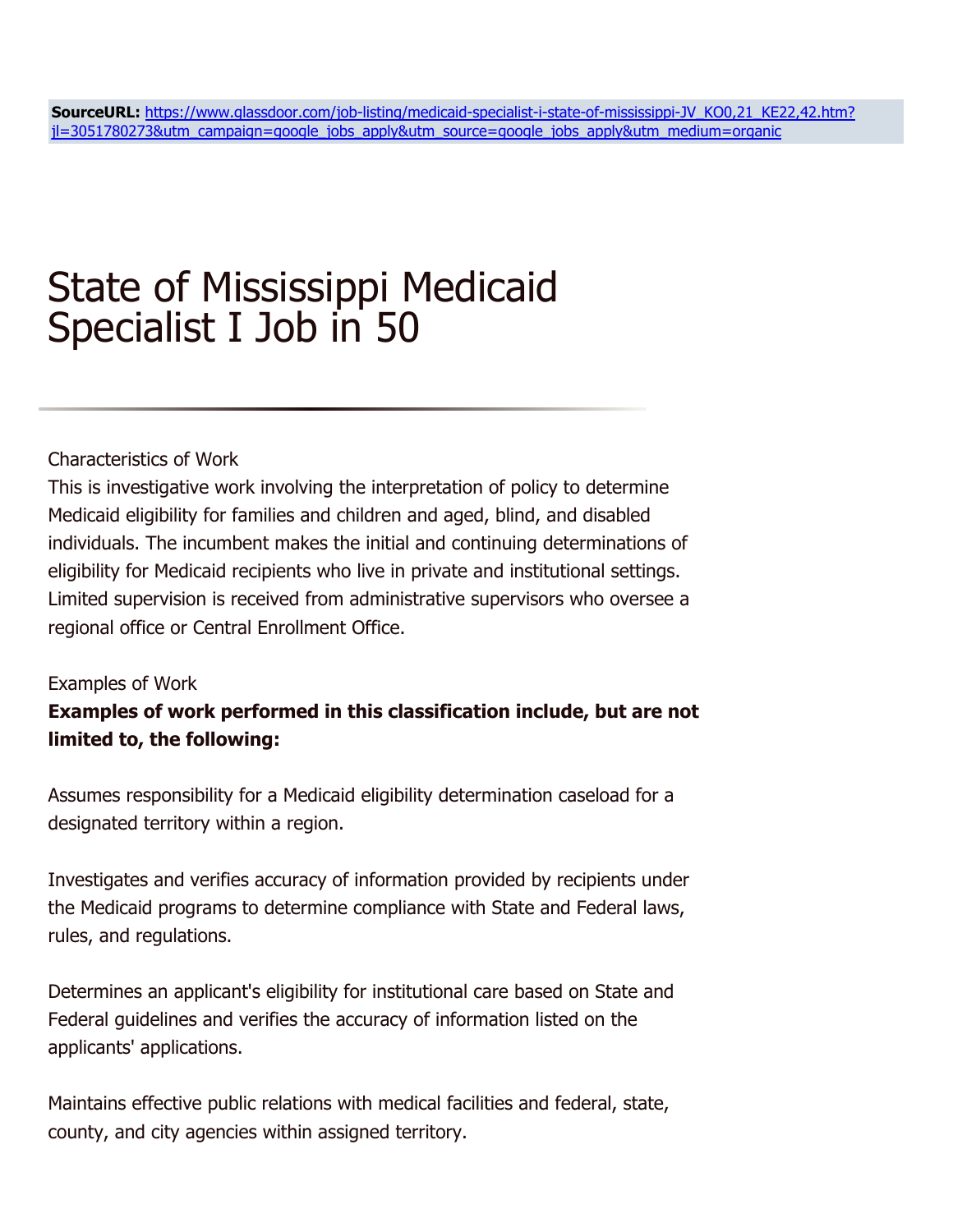## State of Mississippi Medicaid Specialist I Job in 50

#### Characteristics of Work

This is investigative work involving the interpretation of policy to determine Medicaid eligibility for families and children and aged, blind, and disabled individuals. The incumbent makes the initial and continuing determinations of eligibility for Medicaid recipients who live in private and institutional settings. Limited supervision is received from administrative supervisors who oversee a regional office or Central Enrollment Office.

#### Examples of Work

#### Examples of work performed in this classification include, but are not limited to, the following:

Assumes responsibility for a Medicaid eligibility determination caseload for a designated territory within a region.

Investigates and verifies accuracy of information provided by recipients under the Medicaid programs to determine compliance with State and Federal laws, rules, and regulations.

Determines an applicant's eligibility for institutional care based on State and Federal guidelines and verifies the accuracy of information listed on the applicants' applications.

Maintains effective public relations with medical facilities and federal, state, county, and city agencies within assigned territory.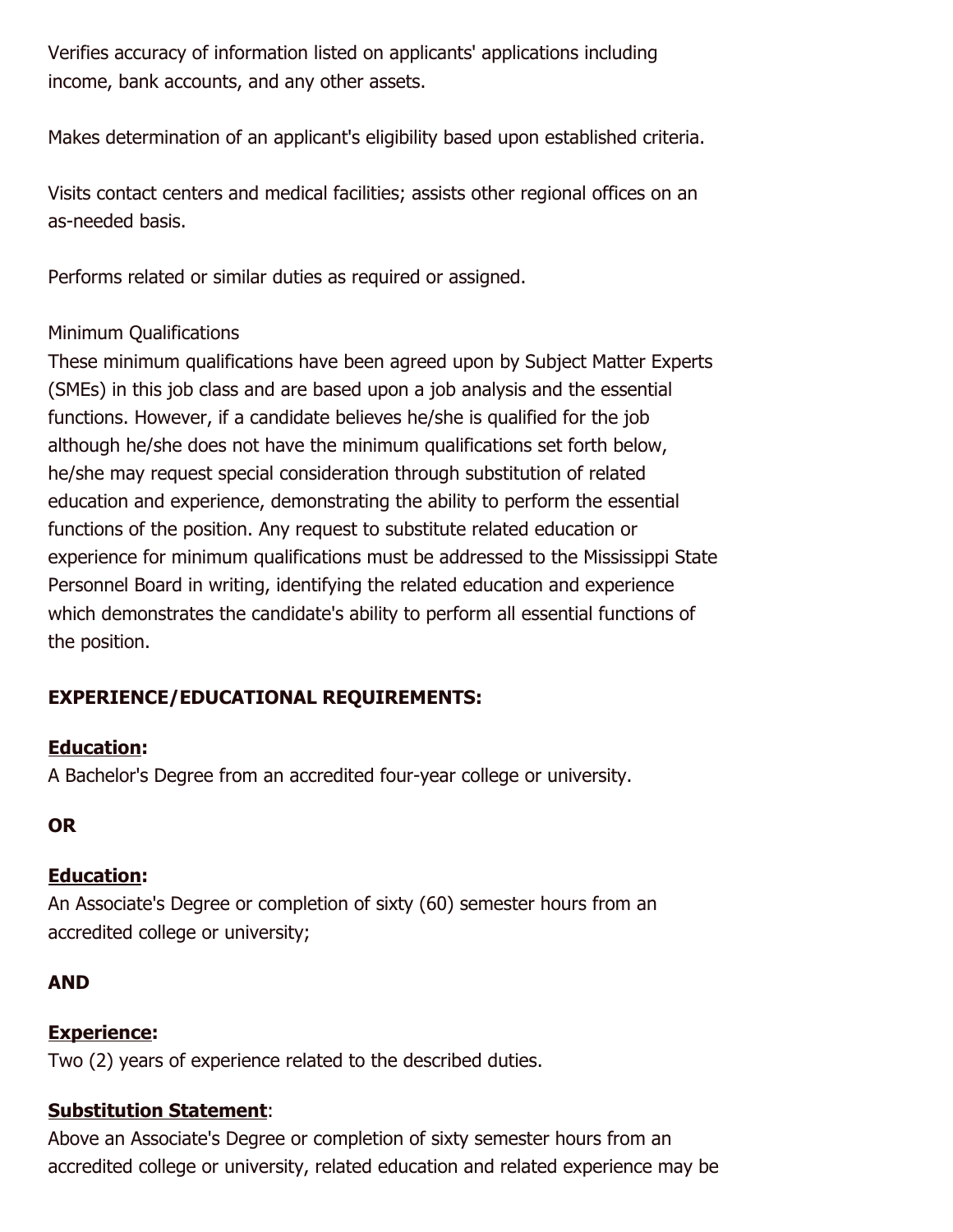Verifies accuracy of information listed on applicants' applications including income, bank accounts, and any other assets.

Makes determination of an applicant's eligibility based upon established criteria.

Visits contact centers and medical facilities; assists other regional offices on an as-needed basis.

Performs related or similar duties as required or assigned.

#### Minimum Qualifications

These minimum qualifications have been agreed upon by Subject Matter Experts (SMEs) in this job class and are based upon a job analysis and the essential functions. However, if a candidate believes he/she is qualified for the job although he/she does not have the minimum qualifications set forth below, he/she may request special consideration through substitution of related education and experience, demonstrating the ability to perform the essential functions of the position. Any request to substitute related education or experience for minimum qualifications must be addressed to the Mississippi State Personnel Board in writing, identifying the related education and experience which demonstrates the candidate's ability to perform all essential functions of the position.

#### EXPERIENCE/EDUCATIONAL REQUIREMENTS:

#### Education:

A Bachelor's Degree from an accredited four-year college or university.

#### OR

#### Education:

An Associate's Degree or completion of sixty (60) semester hours from an accredited college or university;

#### AND

#### Experience:

Two (2) years of experience related to the described duties.

#### Substitution Statement:

Above an Associate's Degree or completion of sixty semester hours from an accredited college or university, related education and related experience may be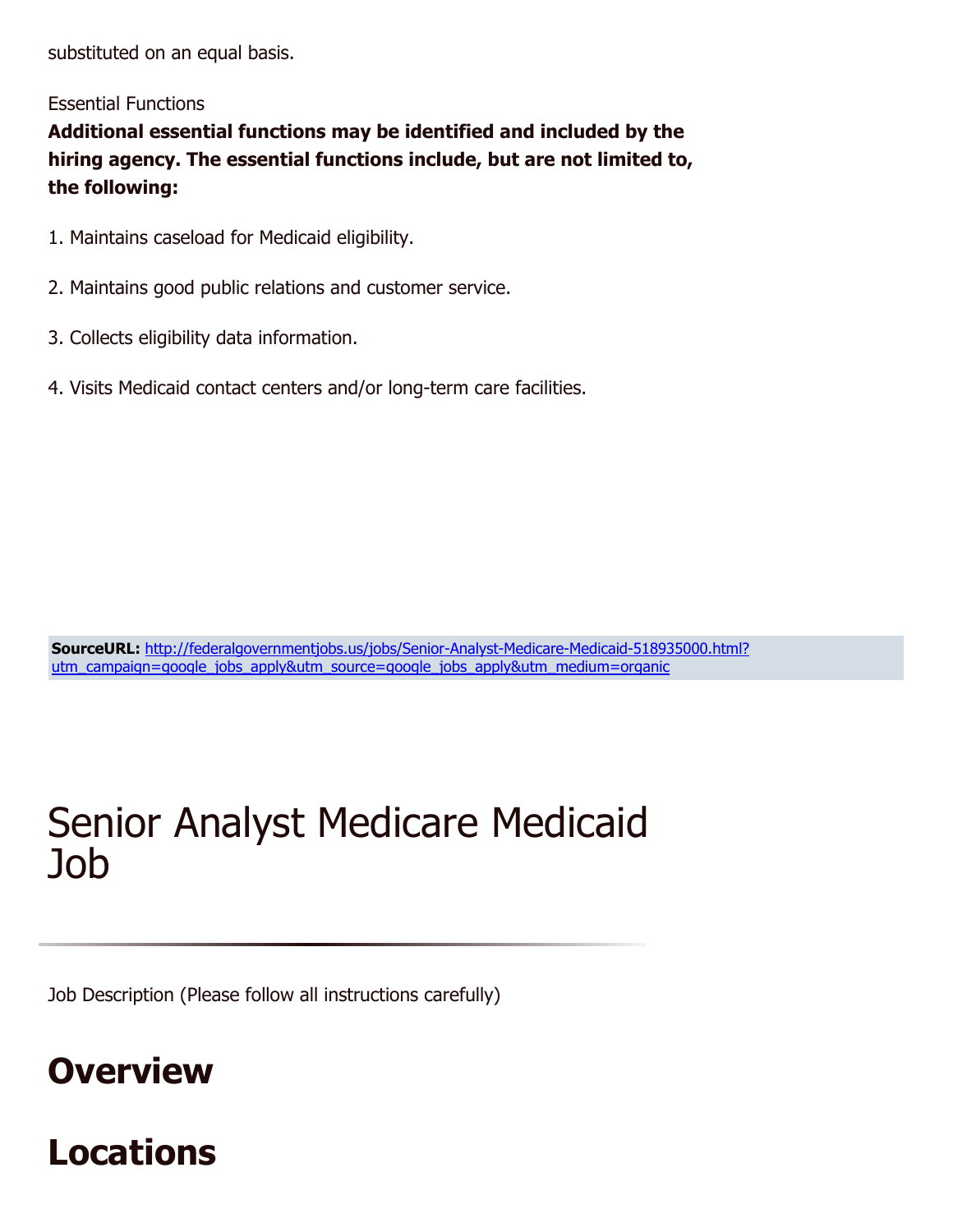substituted on an equal basis.

#### Essential Functions

Additional essential functions may be identified and included by the hiring agency. The essential functions include, but are not limited to, the following:

- 1. Maintains caseload for Medicaid eligibility.
- 2. Maintains good public relations and customer service.
- 3. Collects eligibility data information.
- 4. Visits Medicaid contact centers and/or long-term care facilities.

SourceURL: http://federalgovernmentjobs.us/jobs/Senior-Analyst-Medicare-Medicaid-518935000.html? [utm\\_campaign=google\\_jobs\\_apply&utm\\_source=google\\_jobs\\_apply&utm\\_medium=organic](http://federalgovernmentjobs.us/jobs/Senior-Analyst-Medicare-Medicaid-518935000.html?utm_campaign=google_jobs_apply&utm_source=google_jobs_apply&utm_medium=organic)

### Senior Analyst Medicare Medicaid Job

Job Description (Please follow all instructions carefully)

### **Overview**

### Locations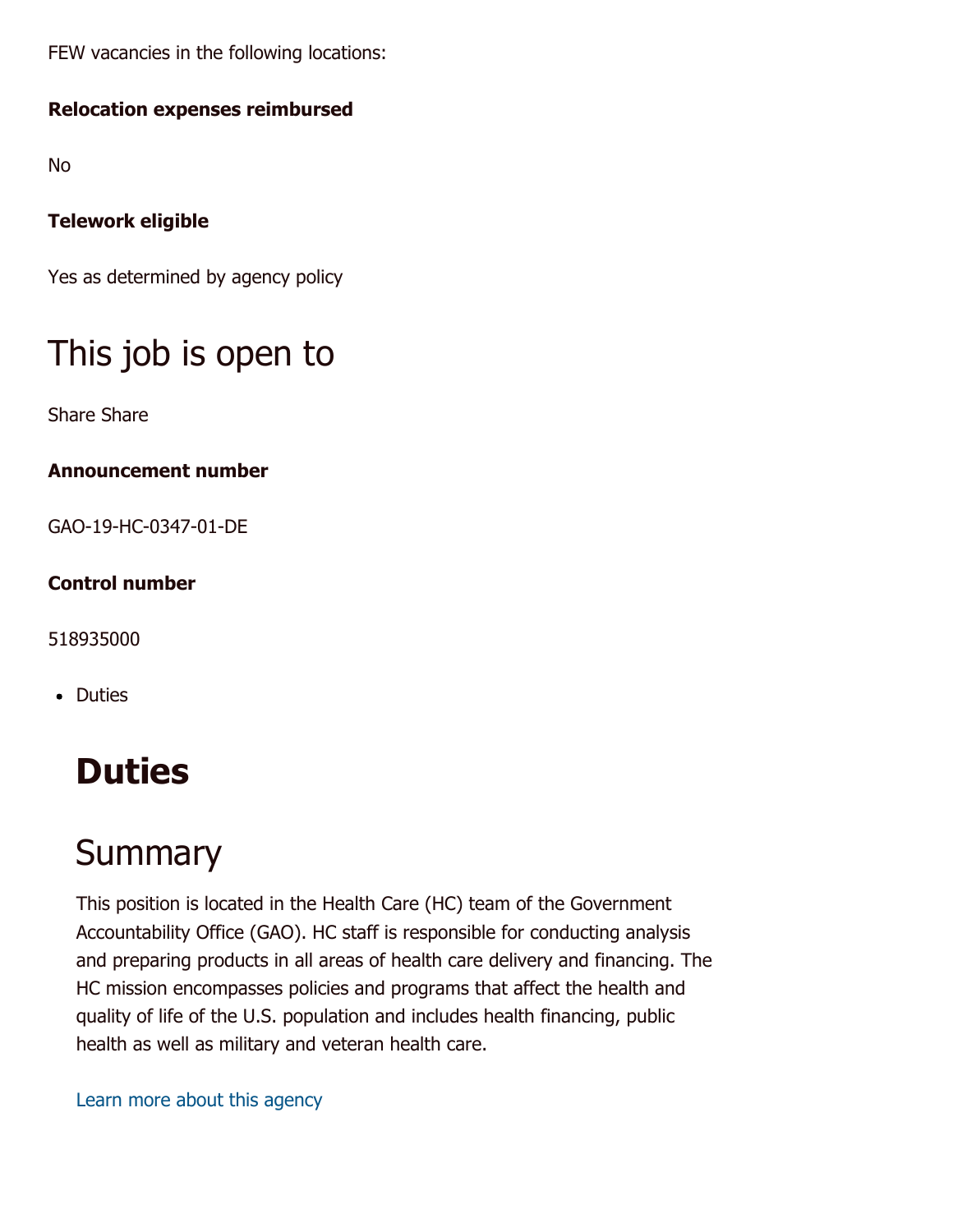FEW vacancies in the following locations:

#### Relocation expenses reimbursed

No

#### Telework eligible

Yes as determined by agency policy

### This job is open to

Share Share

#### Announcement number

GAO-19-HC-0347-01-DE

#### Control number

518935000

• Duties

### **Duties**

### **Summary**

This position is located in the Health Care (HC) team of the Government Accountability Office (GAO). HC staff is responsible for conducting analysis and preparing products in all areas of health care delivery and financing. The HC mission encompasses policies and programs that affect the health and quality of life of the U.S. population and includes health financing, public health as well as military and veteran health care.

[Learn more about this agency](http://federalgovernmentjobs.us/jobs/Senior-Analyst-Medicare-Medicaid-518935000.html?utm_campaign=google_jobs_apply&utm_source=google_jobs_apply&utm_medium=organic#agency-modal-trigger)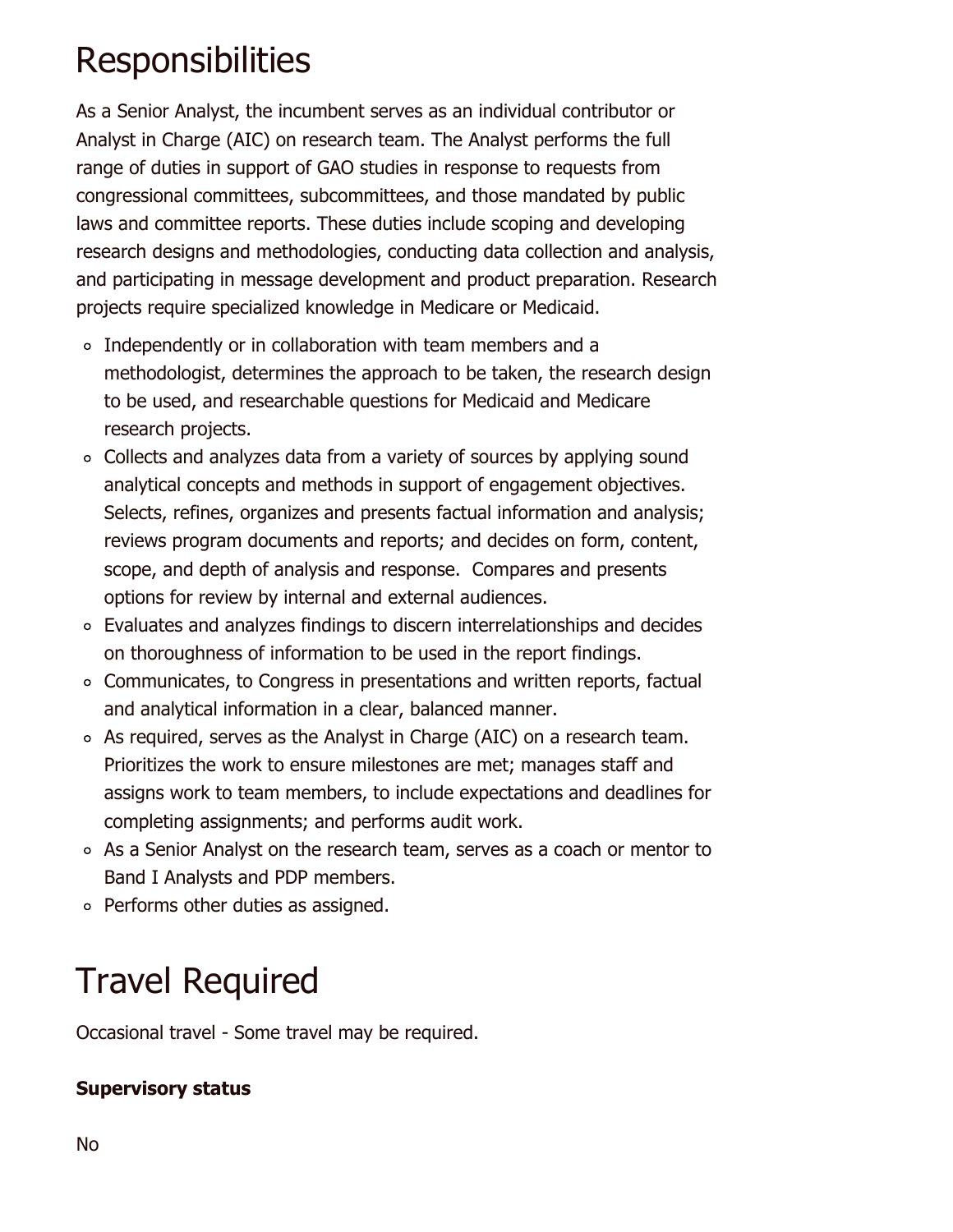### **Responsibilities**

As a Senior Analyst, the incumbent serves as an individual contributor or Analyst in Charge (AIC) on research team. The Analyst performs the full range of duties in support of GAO studies in response to requests from congressional committees, subcommittees, and those mandated by public laws and committee reports. These duties include scoping and developing research designs and methodologies, conducting data collection and analysis, and participating in message development and product preparation. Research projects require specialized knowledge in Medicare or Medicaid.

- Independently or in collaboration with team members and a methodologist, determines the approach to be taken, the research design to be used, and researchable questions for Medicaid and Medicare research projects.
- Collects and analyzes data from a variety of sources by applying sound analytical concepts and methods in support of engagement objectives. Selects, refines, organizes and presents factual information and analysis; reviews program documents and reports; and decides on form, content, scope, and depth of analysis and response. Compares and presents options for review by internal and external audiences.
- Evaluates and analyzes findings to discern interrelationships and decides on thoroughness of information to be used in the report findings.
- Communicates, to Congress in presentations and written reports, factual and analytical information in a clear, balanced manner.
- As required, serves as the Analyst in Charge (AIC) on a research team. Prioritizes the work to ensure milestones are met; manages staff and assigns work to team members, to include expectations and deadlines for completing assignments; and performs audit work.
- As a Senior Analyst on the research team, serves as a coach or mentor to Band I Analysts and PDP members.
- Performs other duties as assigned.

### Travel Required

Occasional travel - Some travel may be required.

#### Supervisory status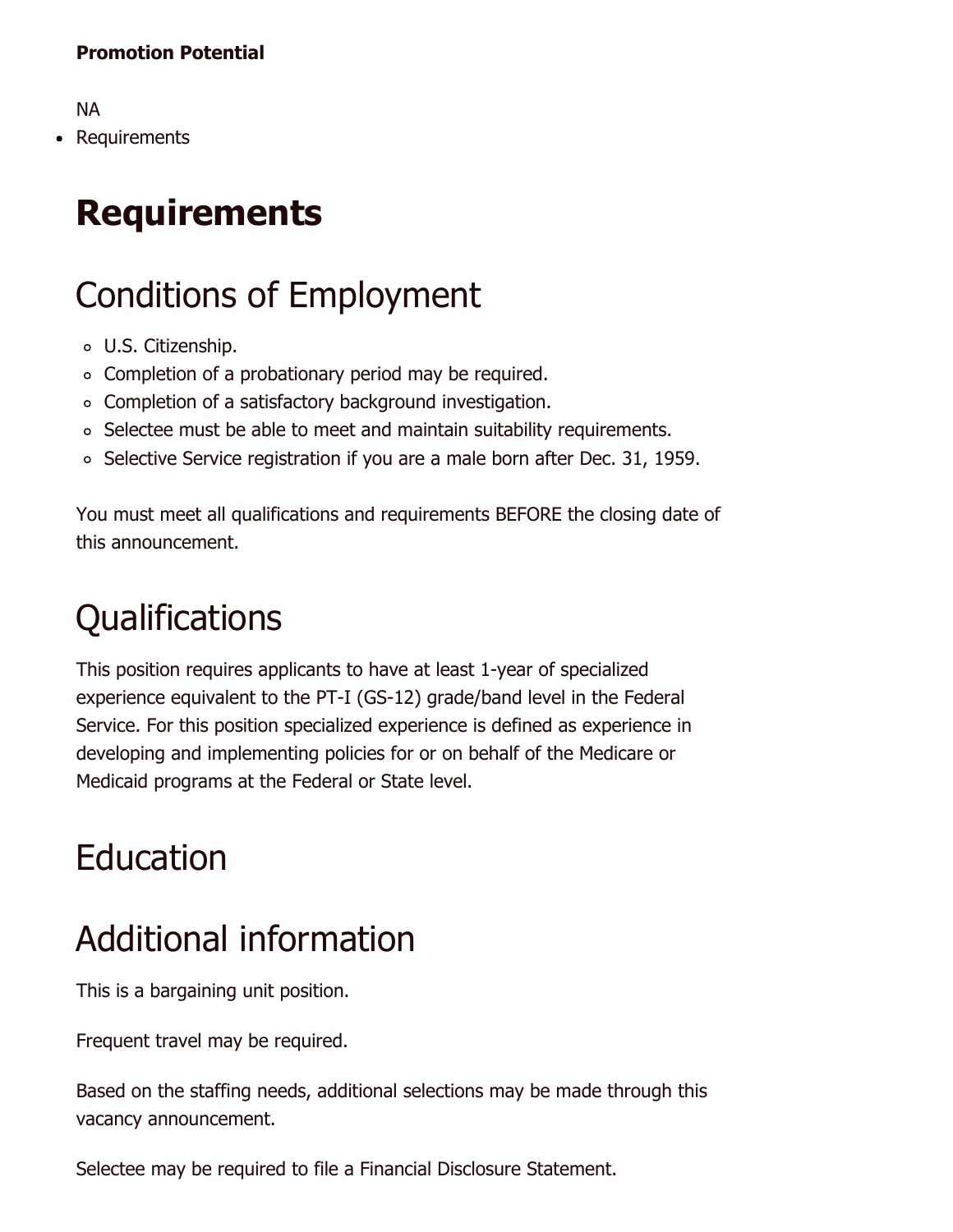#### Promotion Potential

NA

• Requirements

### **Requirements**

### Conditions of Employment

- U.S. Citizenship.
- Completion of a probationary period may be required.
- Completion of a satisfactory background investigation.
- Selectee must be able to meet and maintain suitability requirements.
- o Selective Service registration if you are a male born after Dec. 31, 1959.

You must meet all qualifications and requirements BEFORE the closing date of this announcement.

### Qualifications

This position requires applicants to have at least 1-year of specialized experience equivalent to the PT-I (GS-12) grade/band level in the Federal Service. For this position specialized experience is defined as experience in developing and implementing policies for or on behalf of the Medicare or Medicaid programs at the Federal or State level.

### Education

### Additional information

This is a bargaining unit position.

Frequent travel may be required.

Based on the staffing needs, additional selections may be made through this vacancy announcement.

Selectee may be required to file a Financial Disclosure Statement.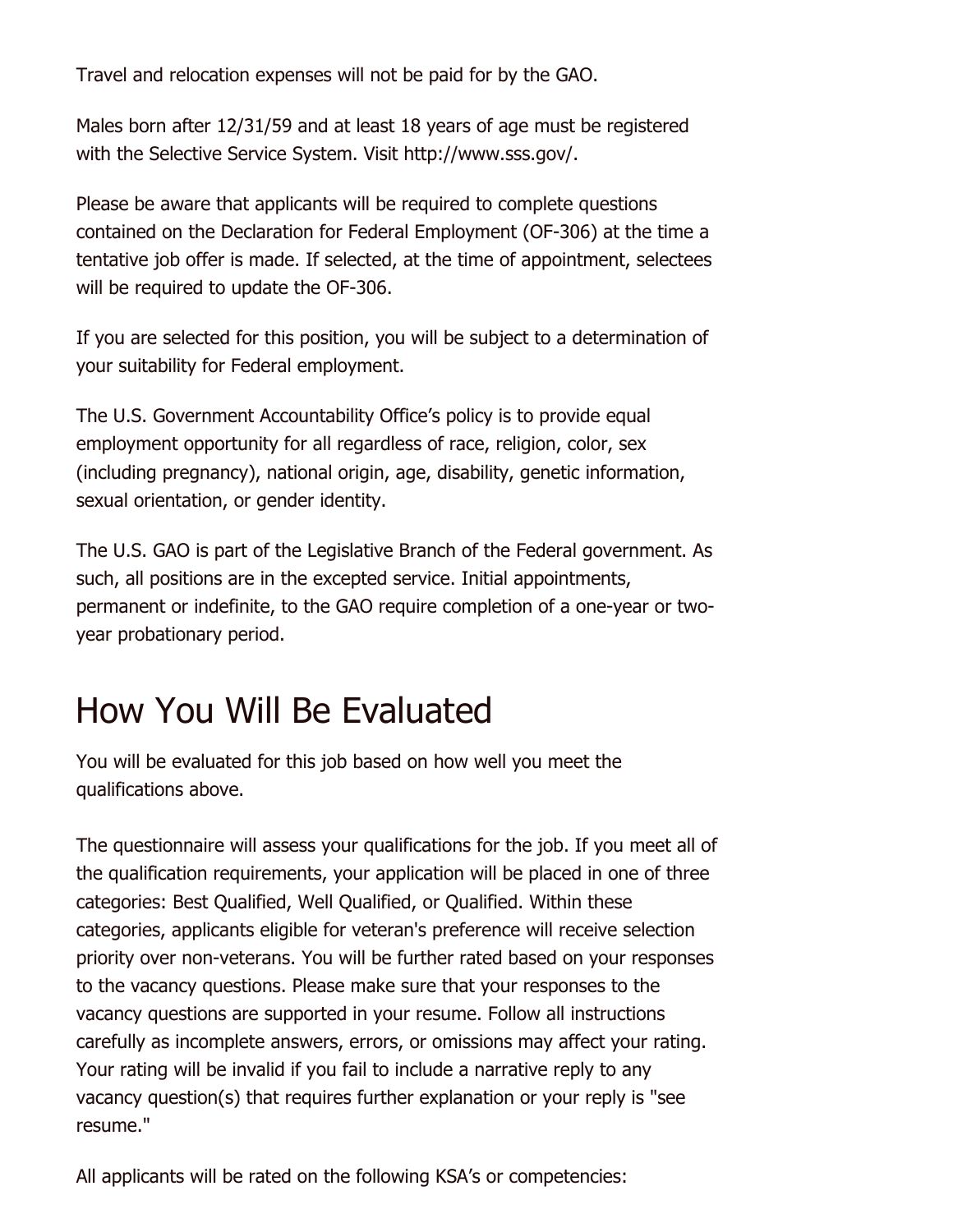Travel and relocation expenses will not be paid for by the GAO.

Males born after 12/31/59 and at least 18 years of age must be registered with the Selective Service System. Visit http://www.sss.gov/.

Please be aware that applicants will be required to complete questions contained on the Declaration for Federal Employment (OF-306) at the time a tentative job offer is made. If selected, at the time of appointment, selectees will be required to update the OF-306.

If you are selected for this position, you will be subject to a determination of your suitability for Federal employment.

The U.S. Government Accountability Office's policy is to provide equal employment opportunity for all regardless of race, religion, color, sex (including pregnancy), national origin, age, disability, genetic information, sexual orientation, or gender identity.

The U.S. GAO is part of the Legislative Branch of the Federal government. As such, all positions are in the excepted service. Initial appointments, permanent or indefinite, to the GAO require completion of a one-year or twoyear probationary period.

### How You Will Be Evaluated

You will be evaluated for this job based on how well you meet the qualifications above.

The questionnaire will assess your qualifications for the job. If you meet all of the qualification requirements, your application will be placed in one of three categories: Best Qualified, Well Qualified, or Qualified. Within these categories, applicants eligible for veteran's preference will receive selection priority over non-veterans. You will be further rated based on your responses to the vacancy questions. Please make sure that your responses to the vacancy questions are supported in your resume. Follow all instructions carefully as incomplete answers, errors, or omissions may affect your rating. Your rating will be invalid if you fail to include a narrative reply to any vacancy question(s) that requires further explanation or your reply is "see resume."

All applicants will be rated on the following KSA's or competencies: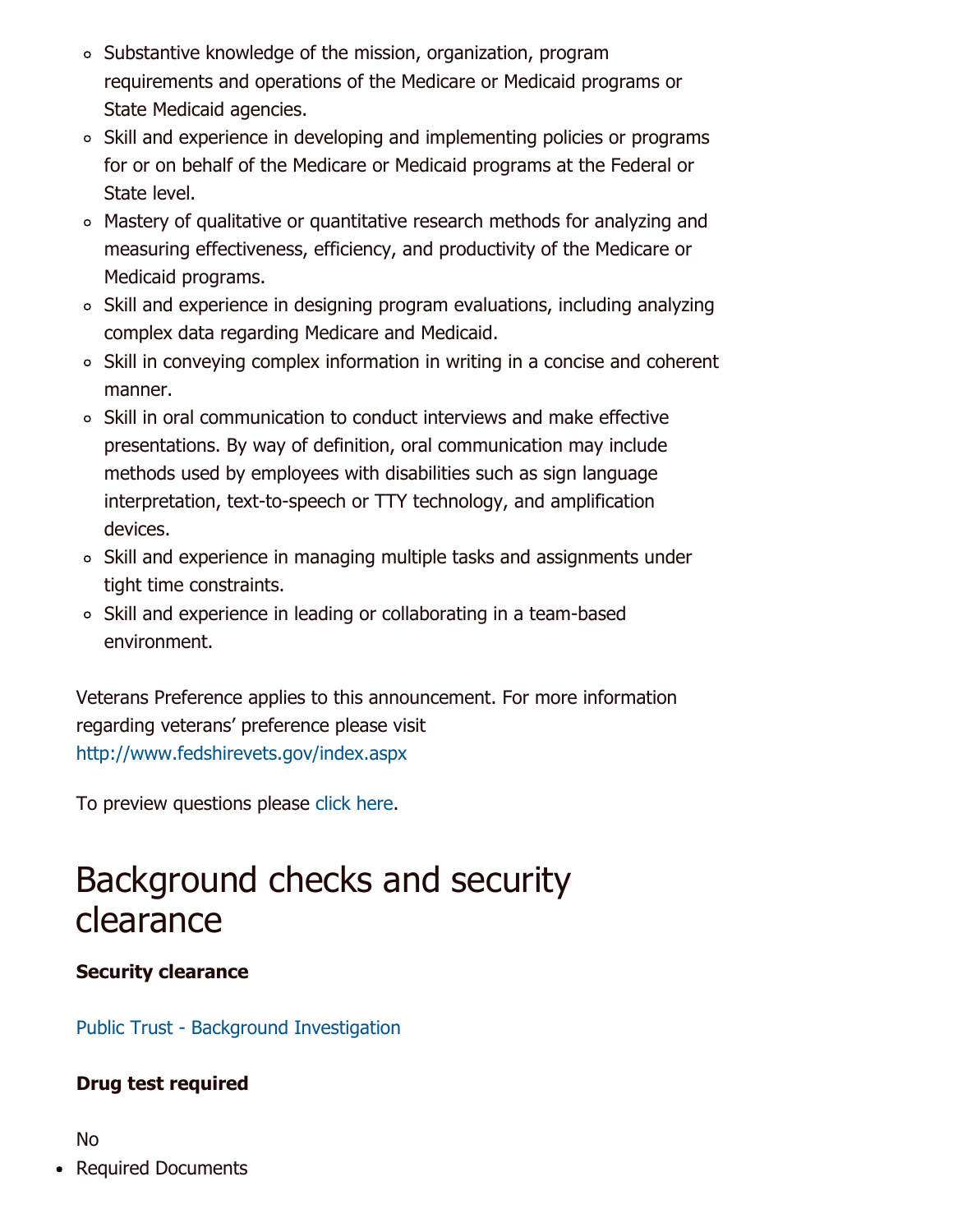- Substantive knowledge of the mission, organization, program requirements and operations of the Medicare or Medicaid programs or State Medicaid agencies.
- Skill and experience in developing and implementing policies or programs for or on behalf of the Medicare or Medicaid programs at the Federal or State level.
- Mastery of qualitative or quantitative research methods for analyzing and measuring effectiveness, efficiency, and productivity of the Medicare or Medicaid programs.
- Skill and experience in designing program evaluations, including analyzing complex data regarding Medicare and Medicaid.
- Skill in conveying complex information in writing in a concise and coherent manner.
- o Skill in oral communication to conduct interviews and make effective presentations. By way of definition, oral communication may include methods used by employees with disabilities such as sign language interpretation, text-to-speech or TTY technology, and amplification devices.
- Skill and experience in managing multiple tasks and assignments under tight time constraints.
- Skill and experience in leading or collaborating in a team-based environment.

Veterans Preference applies to this announcement. For more information regarding veterans' preference please visit [http://www.fedshirevets.gov/index.aspx](http://federalgovernmentjobs.us/redirect.html?url=104116116112058047047119119119046102101100115104105114101118101116115046103111118047105110100101120046097115112120)

To preview questions please [click here.](http://federalgovernmentjobs.us/redirect.html?url=104116116112115058047047099097114101101114099111110110101099116111114046106111098115046116114101097115046103111118047099099047103097111047118097099097110099121047112114101118105101119086097099097110099121081117101115116105111110115046104109115063111114103073100061049054052038106110117109061049055050055052048)

### Background checks and security clearance

#### Security clearance

[Public Trust - Background Investigation](http://federalgovernmentjobs.us/Help/faq/job-announcement/security-clearances/)

#### Drug test required

#### No

Required Documents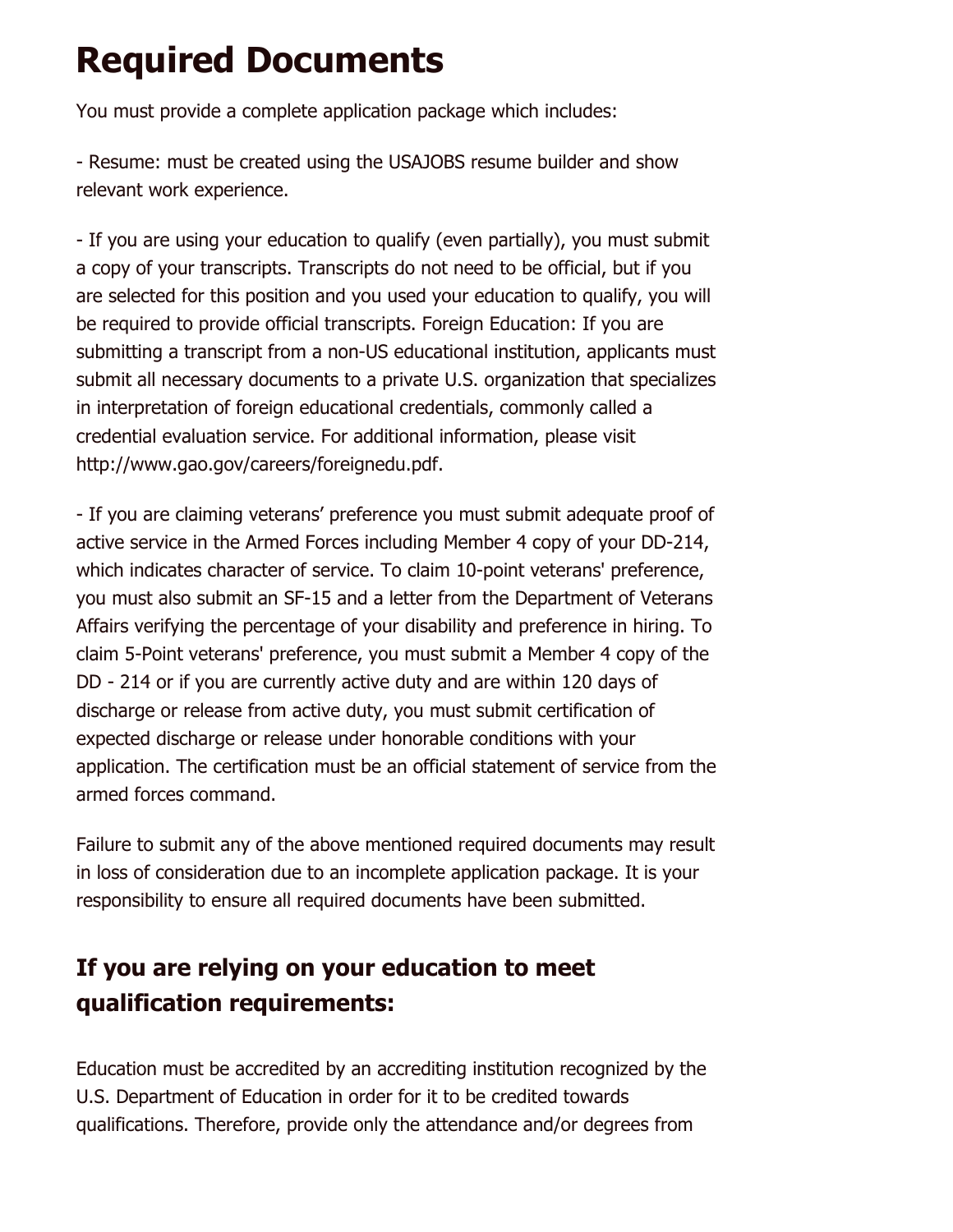### Required Documents

You must provide a complete application package which includes:

- Resume: must be created using the USAJOBS resume builder and show relevant work experience.

- If you are using your education to qualify (even partially), you must submit a copy of your transcripts. Transcripts do not need to be official, but if you are selected for this position and you used your education to qualify, you will be required to provide official transcripts. Foreign Education: If you are submitting a transcript from a non-US educational institution, applicants must submit all necessary documents to a private U.S. organization that specializes in interpretation of foreign educational credentials, commonly called a credential evaluation service. For additional information, please visit http://www.gao.gov/careers/foreignedu.pdf.

- If you are claiming veterans' preference you must submit adequate proof of active service in the Armed Forces including Member 4 copy of your DD-214, which indicates character of service. To claim 10-point veterans' preference, you must also submit an SF-15 and a letter from the Department of Veterans Affairs verifying the percentage of your disability and preference in hiring. To claim 5-Point veterans' preference, you must submit a Member 4 copy of the DD - 214 or if you are currently active duty and are within 120 days of discharge or release from active duty, you must submit certification of expected discharge or release under honorable conditions with your application. The certification must be an official statement of service from the armed forces command.

Failure to submit any of the above mentioned required documents may result in loss of consideration due to an incomplete application package. It is your responsibility to ensure all required documents have been submitted.

### If you are relying on your education to meet qualification requirements:

Education must be accredited by an accrediting institution recognized by the U.S. Department of Education in order for it to be credited towards qualifications. Therefore, provide only the attendance and/or degrees from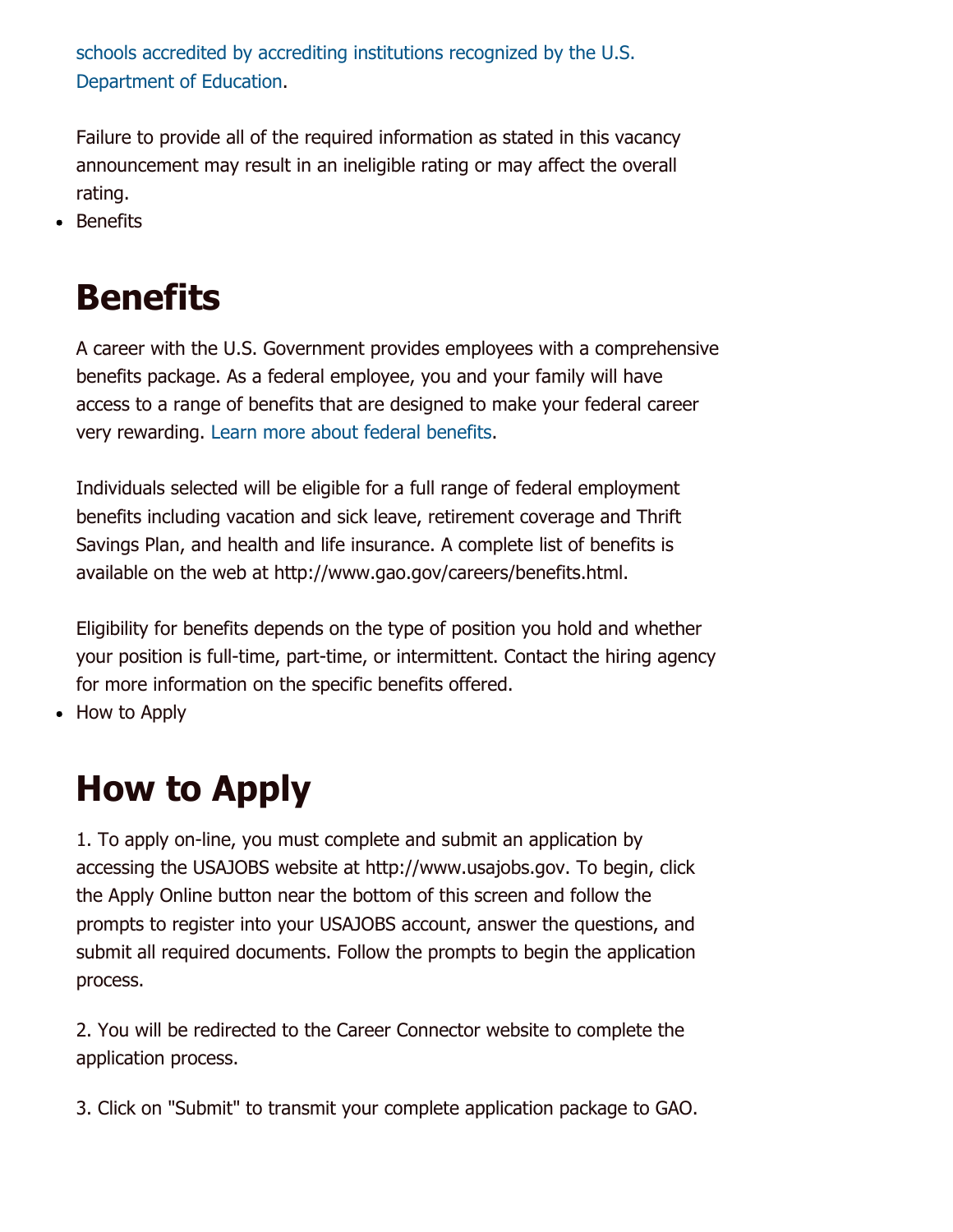[schools accredited by accrediting institutions recognized by the U.S.](http://federalgovernmentjobs.us/redirect.html?url=104116116112058047047119119119046101100046103111118047097100109105110115047102105110097105100047097099099114101100047) Department of Education.

Failure to provide all of the required information as stated in this vacancy announcement may result in an ineligible rating or may affect the overall rating.

• Benefits

### **Benefits**

A career with the U.S. Government provides employees with a comprehensive benefits package. As a federal employee, you and your family will have access to a range of benefits that are designed to make your federal career very rewarding. [Learn more about federal benefits](http://federalgovernmentjobs.us/redirect.html?url=104116116112115058047047119119119046117115097106111098115046103111118047072101108112047119111114107105110103045105110045103111118101114110109101110116047098101110101102105116115047).

Individuals selected will be eligible for a full range of federal employment benefits including vacation and sick leave, retirement coverage and Thrift Savings Plan, and health and life insurance. A complete list of benefits is available on the web at http://www.gao.gov/careers/benefits.html.

Eligibility for benefits depends on the type of position you hold and whether your position is full-time, part-time, or intermittent. Contact the hiring agency for more information on the specific benefits offered.

• How to Apply

# How to Apply

1. To apply on-line, you must complete and submit an application by accessing the USAJOBS website at http://www.usajobs.gov. To begin, click the Apply Online button near the bottom of this screen and follow the prompts to register into your USAJOBS account, answer the questions, and submit all required documents. Follow the prompts to begin the application process.

2. You will be redirected to the Career Connector website to complete the application process.

3. Click on "Submit" to transmit your complete application package to GAO.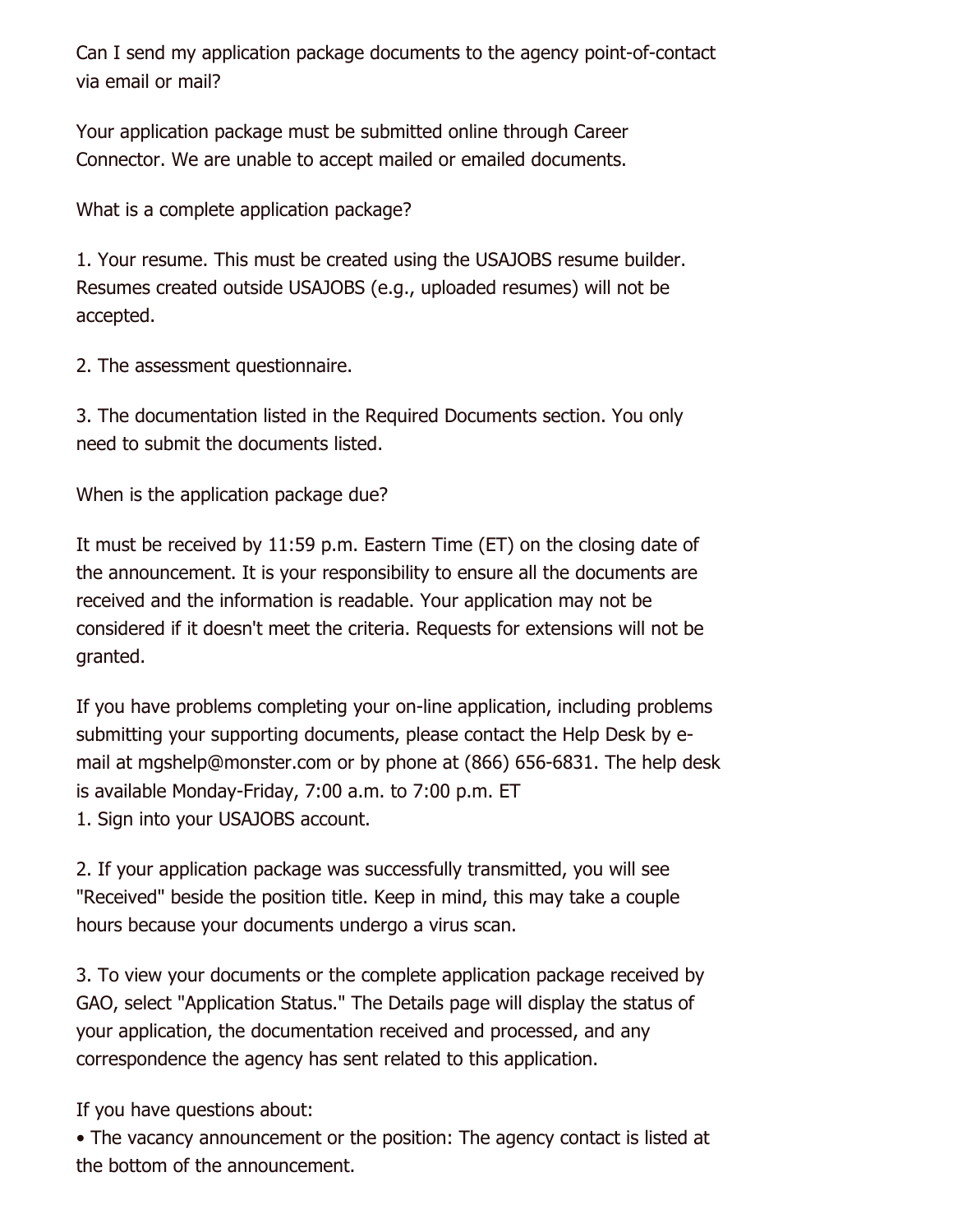Can I send my application package documents to the agency point-of-contact via email or mail?

Your application package must be submitted online through Career Connector. We are unable to accept mailed or emailed documents.

What is a complete application package?

1. Your resume. This must be created using the USAJOBS resume builder. Resumes created outside USAJOBS (e.g., uploaded resumes) will not be accepted.

2. The assessment questionnaire.

3. The documentation listed in the Required Documents section. You only need to submit the documents listed.

When is the application package due?

It must be received by 11:59 p.m. Eastern Time (ET) on the closing date of the announcement. It is your responsibility to ensure all the documents are received and the information is readable. Your application may not be considered if it doesn't meet the criteria. Requests for extensions will not be granted.

If you have problems completing your on-line application, including problems submitting your supporting documents, please contact the Help Desk by email at mgshelp@monster.com or by phone at (866) 656-6831. The help desk is available Monday-Friday, 7:00 a.m. to 7:00 p.m. ET 1. Sign into your USAJOBS account.

2. If your application package was successfully transmitted, you will see "Received" beside the position title. Keep in mind, this may take a couple hours because your documents undergo a virus scan.

3. To view your documents or the complete application package received by GAO, select "Application Status." The Details page will display the status of your application, the documentation received and processed, and any correspondence the agency has sent related to this application.

If you have questions about:

• The vacancy announcement or the position: The agency contact is listed at the bottom of the announcement.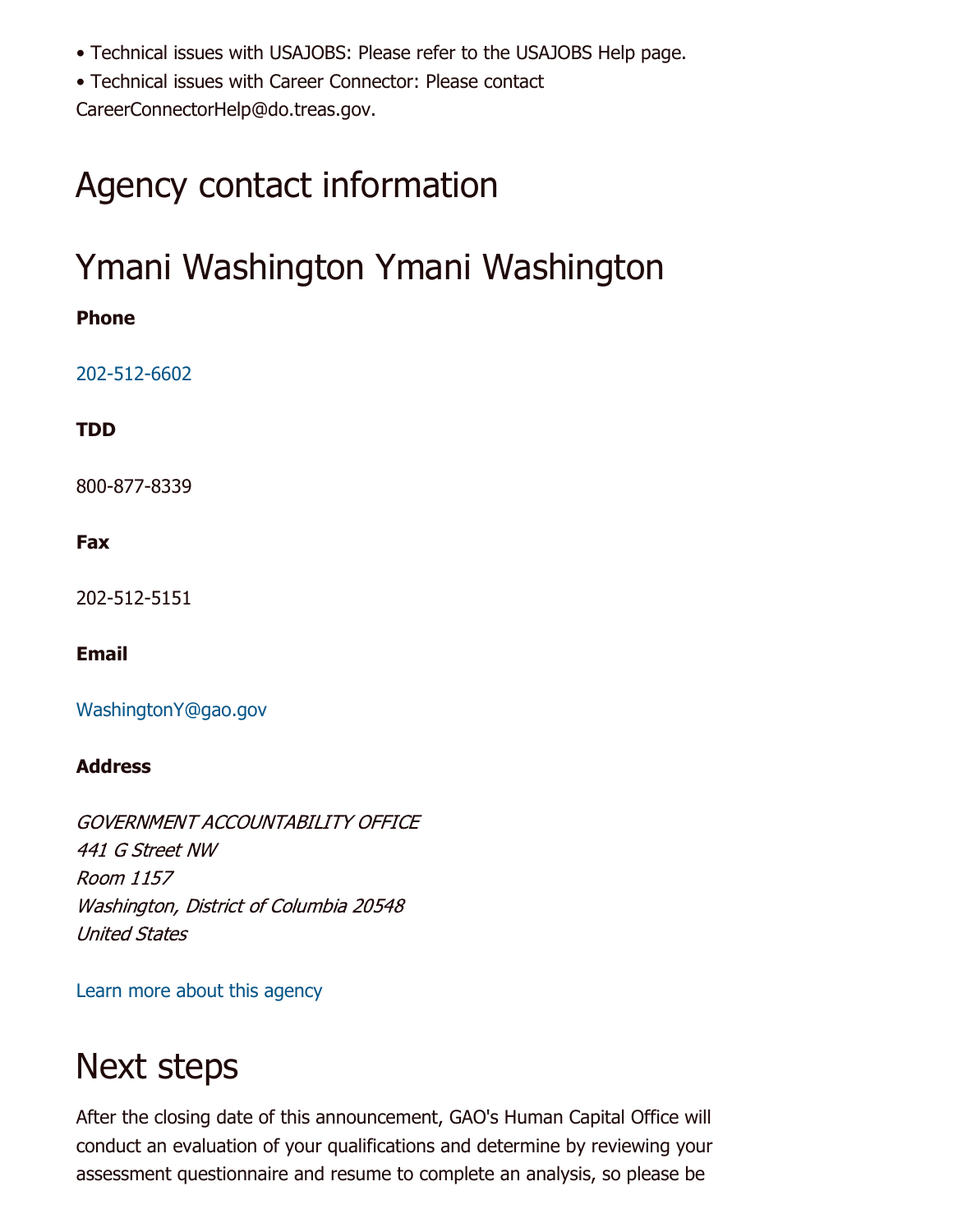- Technical issues with USAJOBS: Please refer to the USAJOBS Help page.
- Technical issues with Career Connector: Please contact

CareerConnectorHelp@do.treas.gov.

### Agency contact information

### Ymani Washington Ymani Washington

[202-512-6602](http://federalgovernmentjobs.us/jobs/Senior-Analyst-Medicare-Medicaid-518935000.html?utm_campaign=google_jobs_apply&utm_source=google_jobs_apply&utm_medium=organictel://202-512-6602)

### TDD

800-877-8339

#### Fax

202-512-5151

#### Email

[WashingtonY@gao.gov](http://federalgovernmentjobs.us/jobs/Senior-Analyst-Medicare-Medicaid-518935000.html?utm_campaign=google_jobs_apply&utm_source=google_jobs_apply&utm_medium=organicmailto:WashingtonY@gao.gov)

#### Address

GOVERNMENT ACCOUNTABILITY OFFICE 441 G Street NW Room 1157 Washington, District of Columbia 20548 United States

#### [Learn more about this agency](http://federalgovernmentjobs.us/jobs/Senior-Analyst-Medicare-Medicaid-518935000.html?utm_campaign=google_jobs_apply&utm_source=google_jobs_apply&utm_medium=organic#agency-modal-trigger)

### Next steps

After the closing date of this announcement, GAO's Human Capital Office will conduct an evaluation of your qualifications and determine by reviewing your assessment questionnaire and resume to complete an analysis, so please be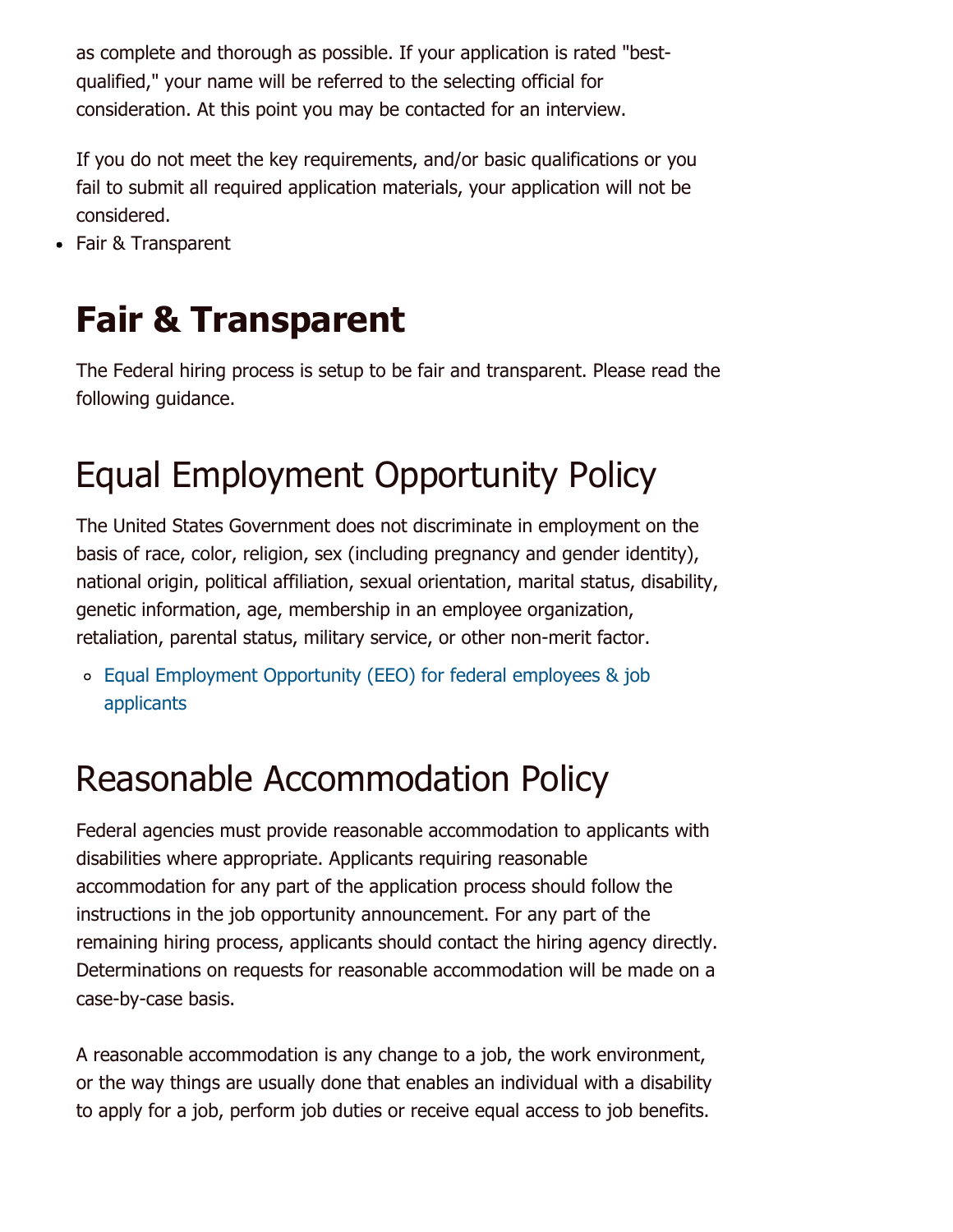as complete and thorough as possible. If your application is rated "bestqualified," your name will be referred to the selecting official for consideration. At this point you may be contacted for an interview.

If you do not meet the key requirements, and/or basic qualifications or you fail to submit all required application materials, your application will not be considered.

• Fair & Transparent

### Fair & Transparent

The Federal hiring process is setup to be fair and transparent. Please read the following guidance.

### Equal Employment Opportunity Policy

The United States Government does not discriminate in employment on the basis of race, color, religion, sex (including pregnancy and gender identity), national origin, political affiliation, sexual orientation, marital status, disability, genetic information, age, membership in an employee organization, retaliation, parental status, military service, or other non-merit factor.

[Equal Employment Opportunity \(EEO\) for federal employees & job](http://federalgovernmentjobs.us/redirect.html?url=104116116112115058047047119119119046101101111099046103111118047102101100101114097108047102101100095101109112108111121101101115047105110100101120046099102109) applicants

### Reasonable Accommodation Policy

Federal agencies must provide reasonable accommodation to applicants with disabilities where appropriate. Applicants requiring reasonable accommodation for any part of the application process should follow the instructions in the job opportunity announcement. For any part of the remaining hiring process, applicants should contact the hiring agency directly. Determinations on requests for reasonable accommodation will be made on a case-by-case basis.

A reasonable accommodation is any change to a job, the work environment, or the way things are usually done that enables an individual with a disability to apply for a job, perform job duties or receive equal access to job benefits.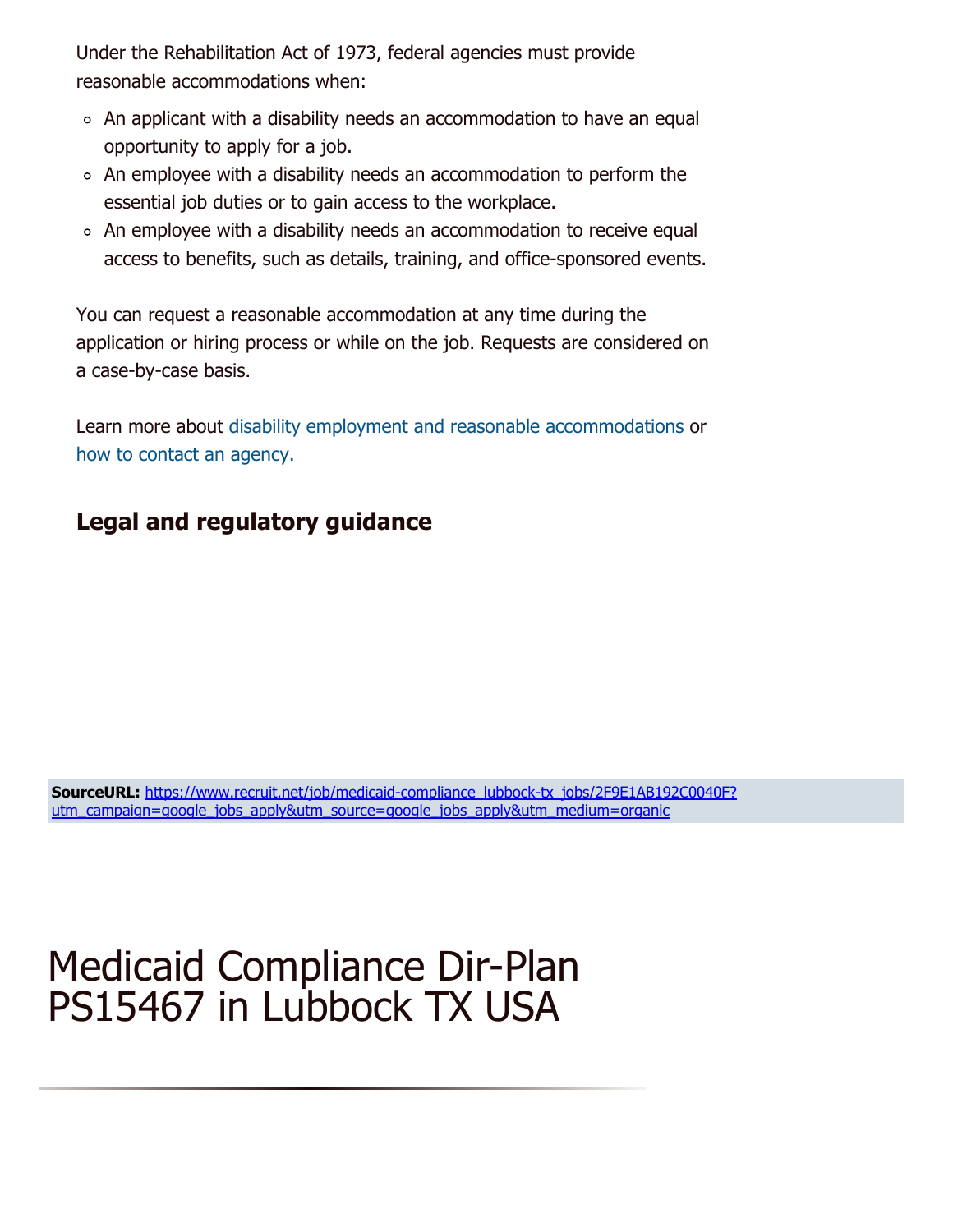Under the Rehabilitation Act of 1973, federal agencies must provide reasonable accommodations when:

- An applicant with a disability needs an accommodation to have an equal opportunity to apply for a job.
- An employee with a disability needs an accommodation to perform the essential job duties or to gain access to the workplace.
- An employee with a disability needs an accommodation to receive equal access to benefits, such as details, training, and office-sponsored events.

You can request a reasonable accommodation at any time during the application or hiring process or while on the job. Requests are considered on a case-by-case basis.

Learn more about [disability employment and reasonable accommodations](http://federalgovernmentjobs.us/redirect.html?url=104116116112115058047047119119119046111112109046103111118047112111108105099121045100097116097045111118101114115105103104116047100105115097098105108105116121045101109112108111121109101110116047114101097115111110097098108101045097099099111109109111100097116105111110115047) or [how to contact an agency.](http://federalgovernmentjobs.us/Help/how-to/application/agency/contact/)

### Legal and regulatory guidance

SourceURL: https://www.recruit.net/job/medicaid-compliance\_lubbock-tx\_jobs/2F9E1AB192C0040F? [utm\\_campaign=google\\_jobs\\_apply&utm\\_source=google\\_jobs\\_apply&utm\\_medium=organic](https://www.recruit.net/job/medicaid-compliance_lubbock-tx_jobs/2F9E1AB192C0040F?utm_campaign=google_jobs_apply&utm_source=google_jobs_apply&utm_medium=organic)

### Medicaid Compliance Dir-Plan PS15467 in Lubbock TX USA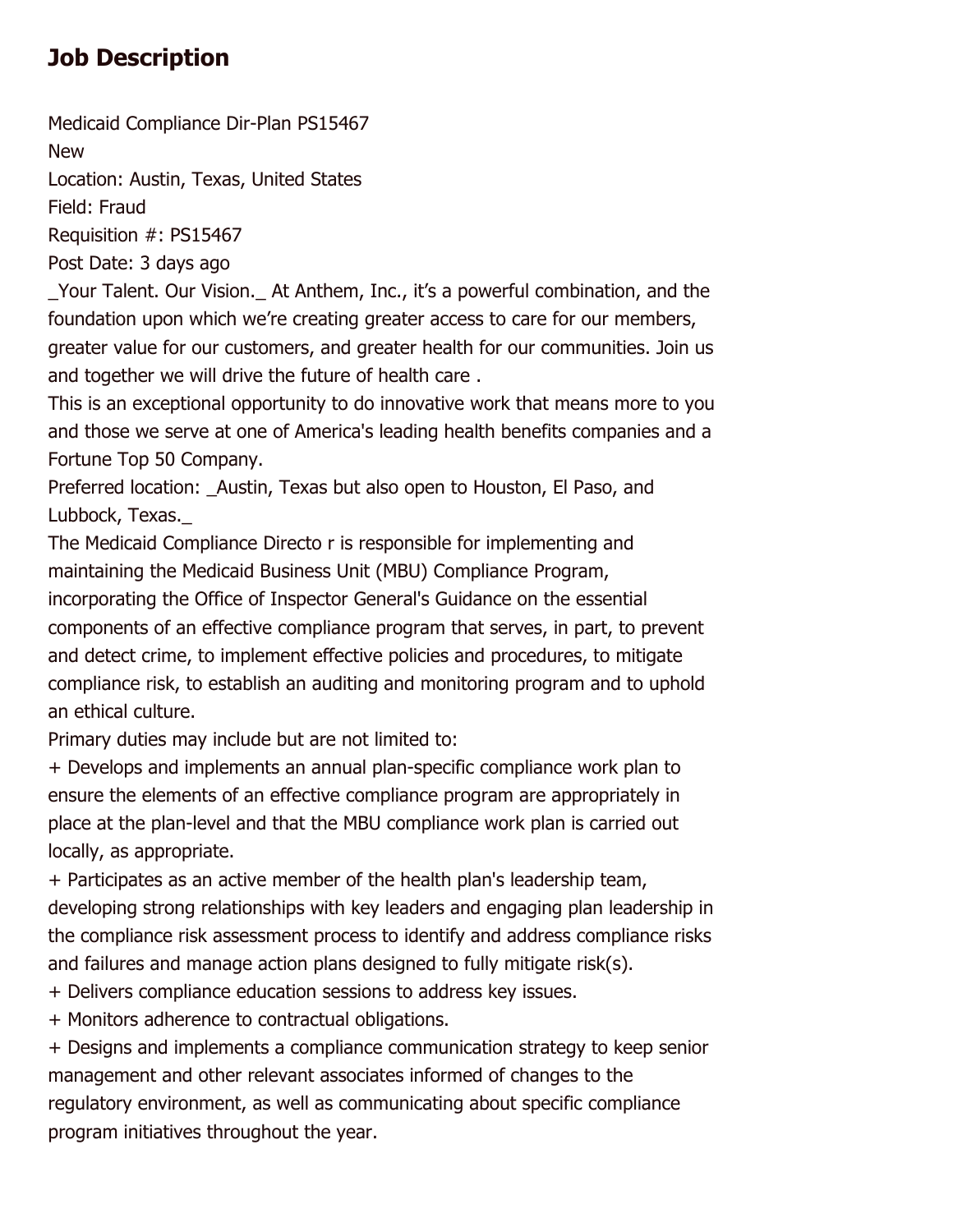### Job Description

Medicaid Compliance Dir-Plan PS15467

New

Location: Austin, Texas, United States

Field: Fraud

Requisition #: PS15467

Post Date: 3 days ago

Your Talent. Our Vision. At Anthem, Inc., it's a powerful combination, and the foundation upon which we're creating greater access to care for our members, greater value for our customers, and greater health for our communities. Join us and together we will drive the future of health care .

This is an exceptional opportunity to do innovative work that means more to you and those we serve at one of America's leading health benefits companies and a Fortune Top 50 Company.

Preferred location: \_Austin, Texas but also open to Houston, El Paso, and Lubbock, Texas.\_

The Medicaid Compliance Directo r is responsible for implementing and maintaining the Medicaid Business Unit (MBU) Compliance Program, incorporating the Office of Inspector General's Guidance on the essential components of an effective compliance program that serves, in part, to prevent and detect crime, to implement effective policies and procedures, to mitigate compliance risk, to establish an auditing and monitoring program and to uphold an ethical culture.

Primary duties may include but are not limited to:

+ Develops and implements an annual plan-specific compliance work plan to ensure the elements of an effective compliance program are appropriately in place at the plan-level and that the MBU compliance work plan is carried out locally, as appropriate.

+ Participates as an active member of the health plan's leadership team, developing strong relationships with key leaders and engaging plan leadership in the compliance risk assessment process to identify and address compliance risks and failures and manage action plans designed to fully mitigate risk(s).

- + Delivers compliance education sessions to address key issues.
- + Monitors adherence to contractual obligations.

+ Designs and implements a compliance communication strategy to keep senior management and other relevant associates informed of changes to the regulatory environment, as well as communicating about specific compliance program initiatives throughout the year.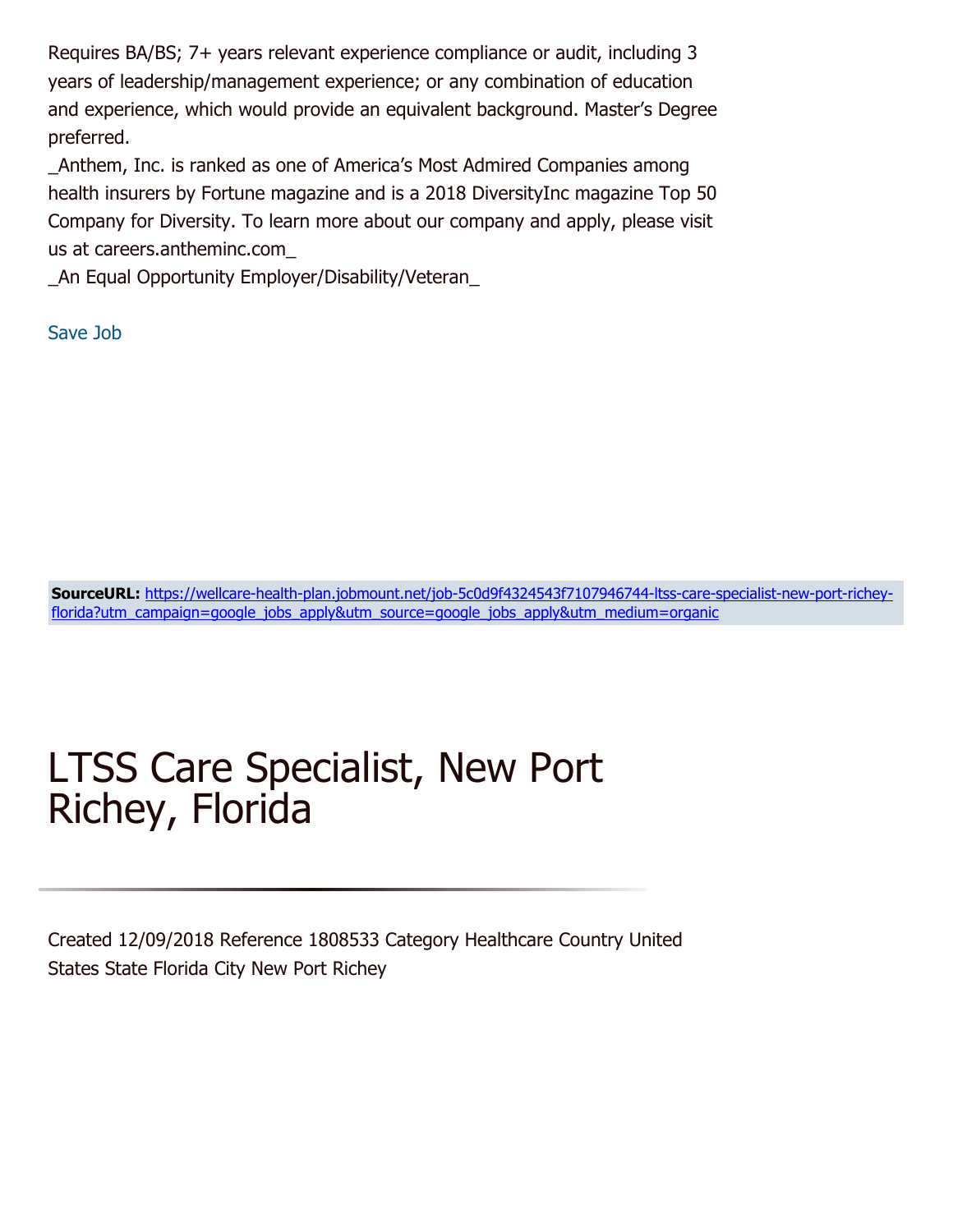Requires BA/BS; 7+ years relevant experience compliance or audit, including 3 years of leadership/management experience; or any combination of education and experience, which would provide an equivalent background. Master's Degree preferred.

\_Anthem, Inc. is ranked as one of America's Most Admired Companies among health insurers by Fortune magazine and is a 2018 DiversityInc magazine Top 50 Company for Diversity. To learn more about our company and apply, please visit us at careers.antheminc.com\_

\_An Equal Opportunity Employer/Disability/Veteran\_

Save Job

SourceURL: [https://wellcare-health-plan.jobmount.net/job-5c0d9f4324543f7107946744-ltss-care-specialist-new-port-richey](https://wellcare-health-plan.jobmount.net/job-5c0d9f4324543f7107946744-ltss-care-specialist-new-port-richey-florida?utm_campaign=google_jobs_apply&utm_source=google_jobs_apply&utm_medium=organic)florida?utm\_campaign=google\_jobs\_apply&utm\_source=google\_jobs\_apply&utm\_medium=organic

### LTSS Care Specialist, New Port Richey, Florida

Created 12/09/2018 Reference 1808533 Category Healthcare Country United States State Florida City New Port Richey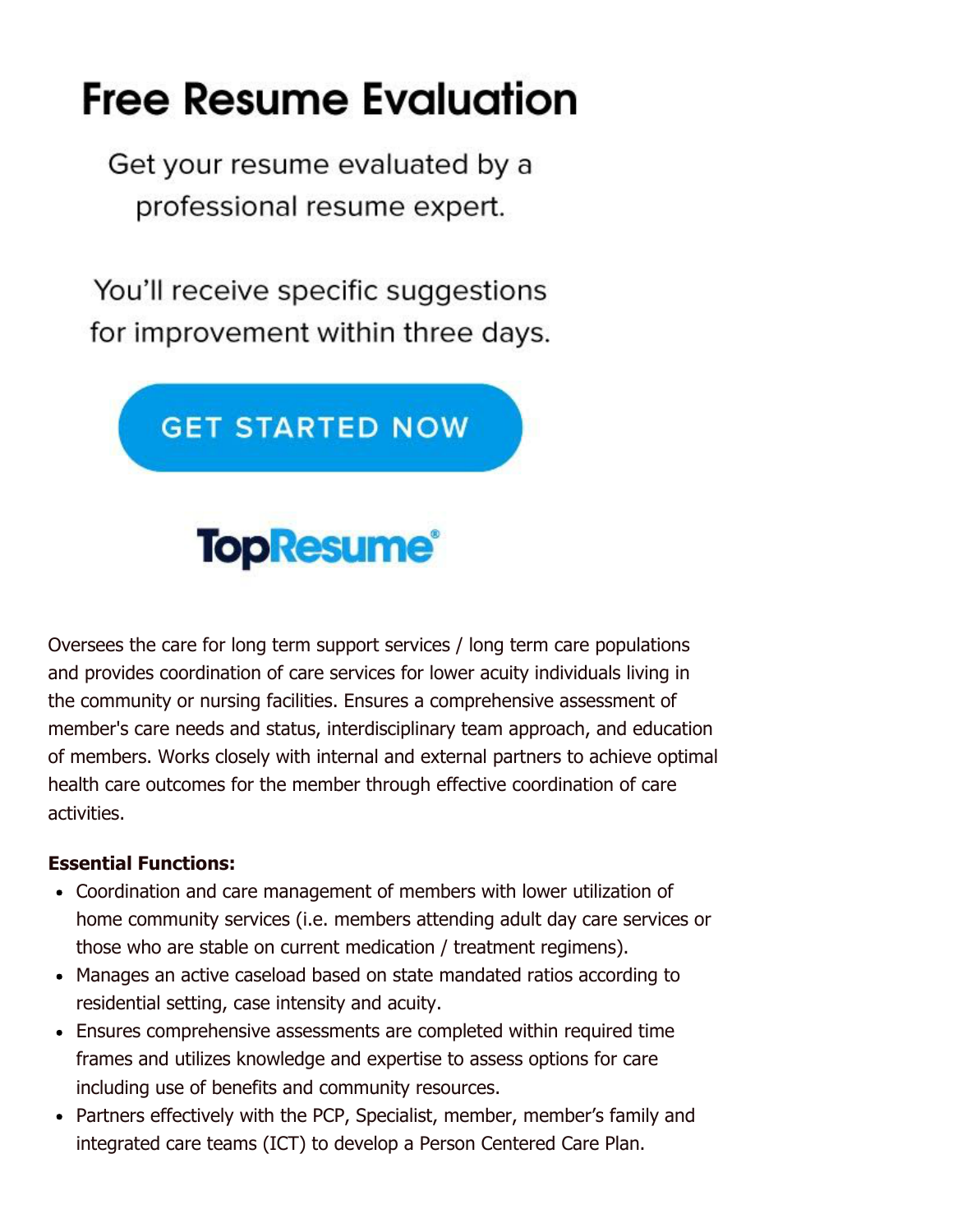# **Free Resume Evaluation**

Get your resume evaluated by a professional resume expert.

You'll receive specific suggestions for improvement within three days.

**GET STARTED NOW** 



Oversees the care for long term support services / long term care populations and provides coordination of care services for lower acuity individuals living in the community or nursing facilities. Ensures a comprehensive assessment of member's care needs and status, interdisciplinary team approach, and education of members. Works closely with internal and external partners to achieve optimal health care outcomes for the member through effective coordination of care activities.

#### Essential Functions:

- Coordination and care management of members with lower utilization of home community services (i.e. members attending adult day care services or those who are stable on current medication / treatment regimens).
- Manages an active caseload based on state mandated ratios according to residential setting, case intensity and acuity.
- Ensures comprehensive assessments are completed within required time frames and utilizes knowledge and expertise to assess options for care including use of benefits and community resources.
- Partners effectively with the PCP, Specialist, member, member's family and integrated care teams (ICT) to develop a Person Centered Care Plan.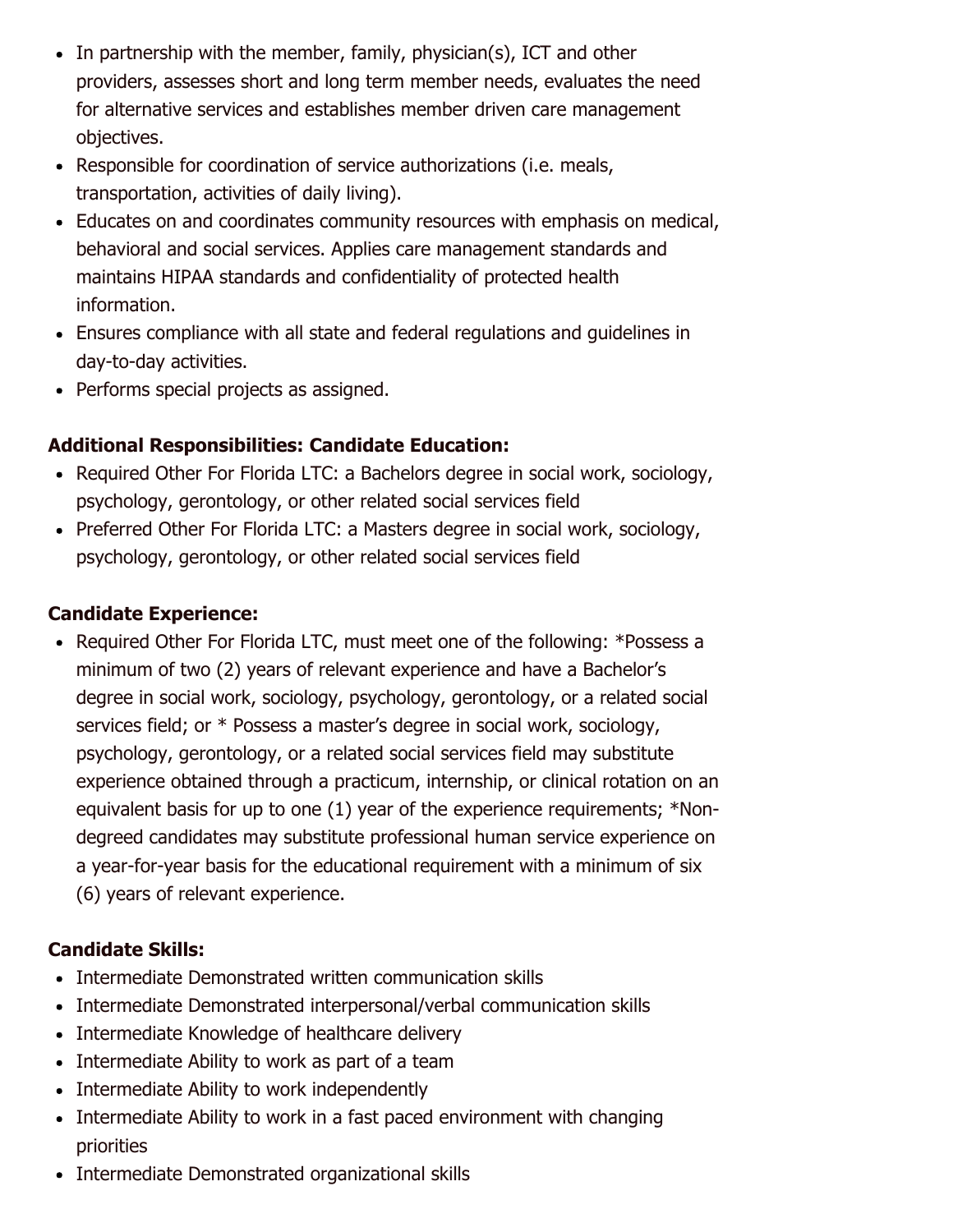- In partnership with the member, family, physician(s), ICT and other providers, assesses short and long term member needs, evaluates the need for alternative services and establishes member driven care management objectives.
- Responsible for coordination of service authorizations (i.e. meals, transportation, activities of daily living).
- Educates on and coordinates community resources with emphasis on medical, behavioral and social services. Applies care management standards and maintains HIPAA standards and confidentiality of protected health information.
- Ensures compliance with all state and federal regulations and guidelines in day-to-day activities.
- Performs special projects as assigned.

#### Additional Responsibilities: Candidate Education:

- Required Other For Florida LTC: a Bachelors degree in social work, sociology, psychology, gerontology, or other related social services field
- Preferred Other For Florida LTC: a Masters degree in social work, sociology, psychology, gerontology, or other related social services field

#### Candidate Experience:

• Required Other For Florida LTC, must meet one of the following: \*Possess a minimum of two (2) years of relevant experience and have a Bachelor's degree in social work, sociology, psychology, gerontology, or a related social services field; or \* Possess a master's degree in social work, sociology, psychology, gerontology, or a related social services field may substitute experience obtained through a practicum, internship, or clinical rotation on an equivalent basis for up to one (1) year of the experience requirements; \*Nondegreed candidates may substitute professional human service experience on a year-for-year basis for the educational requirement with a minimum of six (6) years of relevant experience.

#### Candidate Skills:

- Intermediate Demonstrated written communication skills
- Intermediate Demonstrated interpersonal/verbal communication skills
- Intermediate Knowledge of healthcare delivery
- Intermediate Ability to work as part of a team
- Intermediate Ability to work independently
- Intermediate Ability to work in a fast paced environment with changing priorities
- Intermediate Demonstrated organizational skills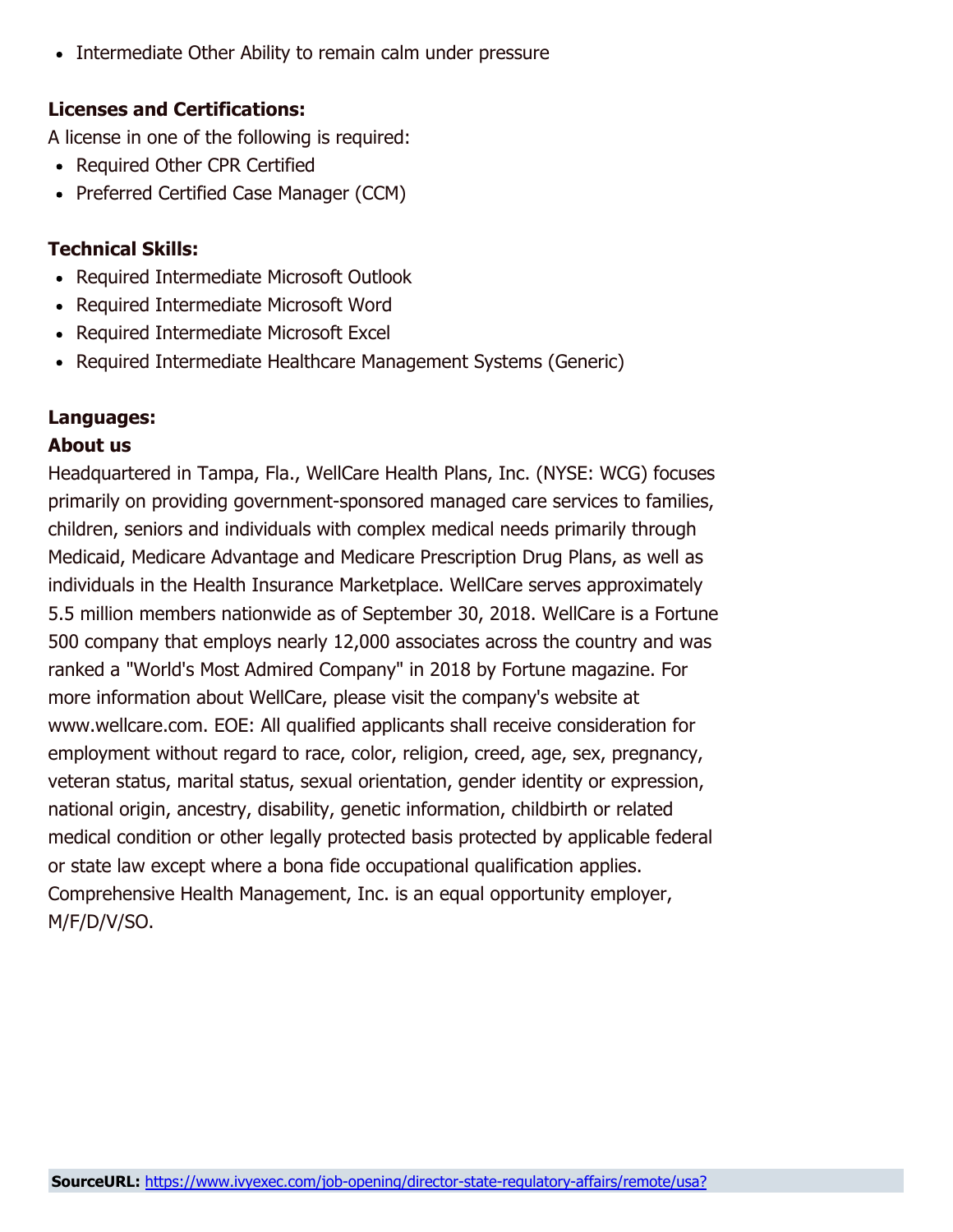• Intermediate Other Ability to remain calm under pressure

#### Licenses and Certifications:

A license in one of the following is required:

- Required Other CPR Certified
- Preferred Certified Case Manager (CCM)

#### Technical Skills:

- Required Intermediate Microsoft Outlook
- Required Intermediate Microsoft Word
- Required Intermediate Microsoft Excel
- Required Intermediate Healthcare Management Systems (Generic)

#### Languages:

#### About us

Headquartered in Tampa, Fla., WellCare Health Plans, Inc. (NYSE: WCG) focuses primarily on providing government-sponsored managed care services to families, children, seniors and individuals with complex medical needs primarily through Medicaid, Medicare Advantage and Medicare Prescription Drug Plans, as well as individuals in the Health Insurance Marketplace. WellCare serves approximately 5.5 million members nationwide as of September 30, 2018. WellCare is a Fortune 500 company that employs nearly 12,000 associates across the country and was ranked a "World's Most Admired Company" in 2018 by Fortune magazine. For more information about WellCare, please visit the company's website at www.wellcare.com. EOE: All qualified applicants shall receive consideration for employment without regard to race, color, religion, creed, age, sex, pregnancy, veteran status, marital status, sexual orientation, gender identity or expression, national origin, ancestry, disability, genetic information, childbirth or related medical condition or other legally protected basis protected by applicable federal or state law except where a bona fide occupational qualification applies. Comprehensive Health Management, Inc. is an equal opportunity employer, M/F/D/V/SO.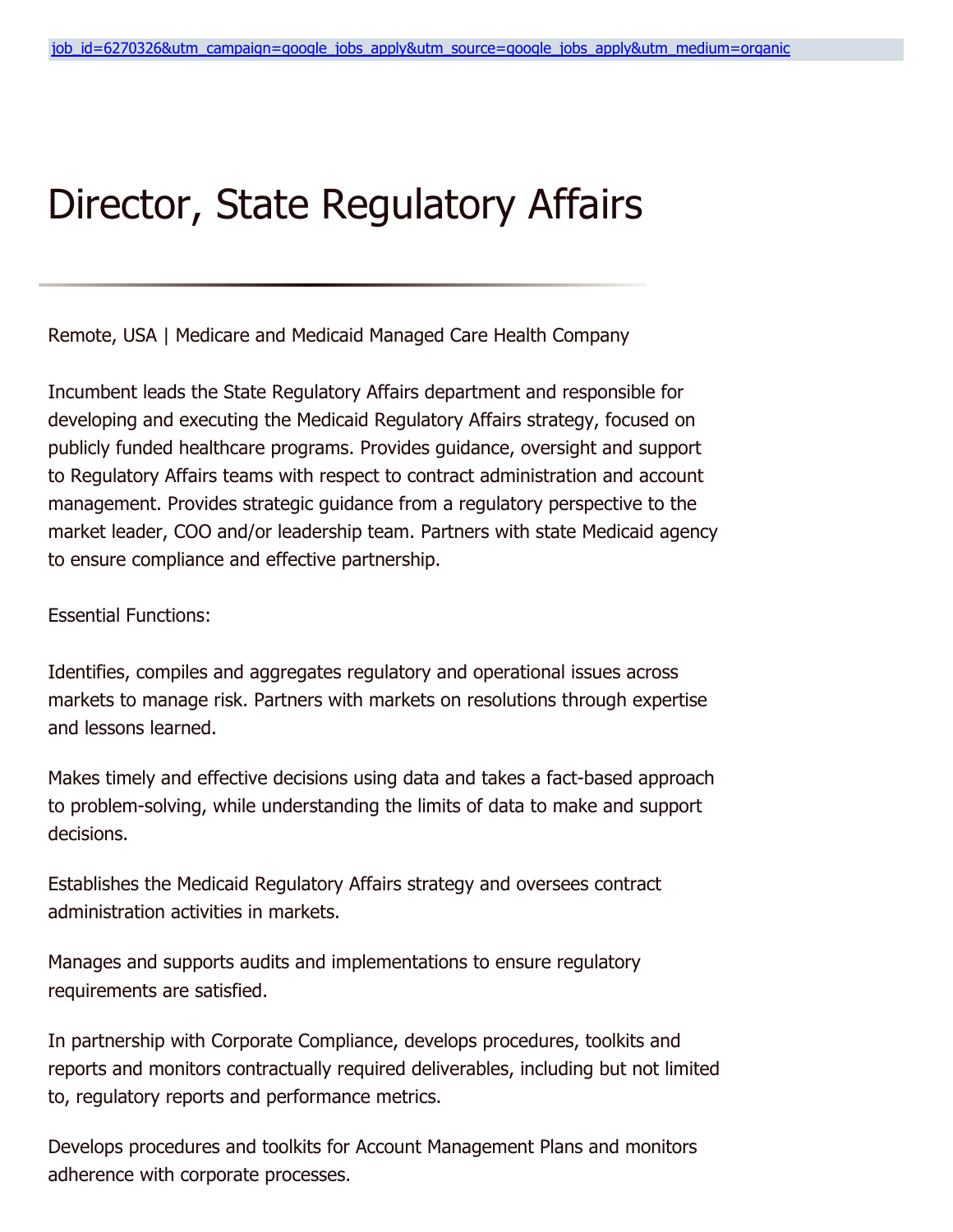# Director, State Regulatory Affairs

Remote, USA | Medicare and Medicaid Managed Care Health Company

Incumbent leads the State Regulatory Affairs department and responsible for developing and executing the Medicaid Regulatory Affairs strategy, focused on publicly funded healthcare programs. Provides guidance, oversight and support to Regulatory Affairs teams with respect to contract administration and account management. Provides strategic guidance from a regulatory perspective to the market leader, COO and/or leadership team. Partners with state Medicaid agency to ensure compliance and effective partnership.

Essential Functions:

Identifies, compiles and aggregates regulatory and operational issues across markets to manage risk. Partners with markets on resolutions through expertise and lessons learned.

Makes timely and effective decisions using data and takes a fact-based approach to problem-solving, while understanding the limits of data to make and support decisions.

Establishes the Medicaid Regulatory Affairs strategy and oversees contract administration activities in markets.

Manages and supports audits and implementations to ensure regulatory requirements are satisfied.

In partnership with Corporate Compliance, develops procedures, toolkits and reports and monitors contractually required deliverables, including but not limited to, regulatory reports and performance metrics.

Develops procedures and toolkits for Account Management Plans and monitors adherence with corporate processes.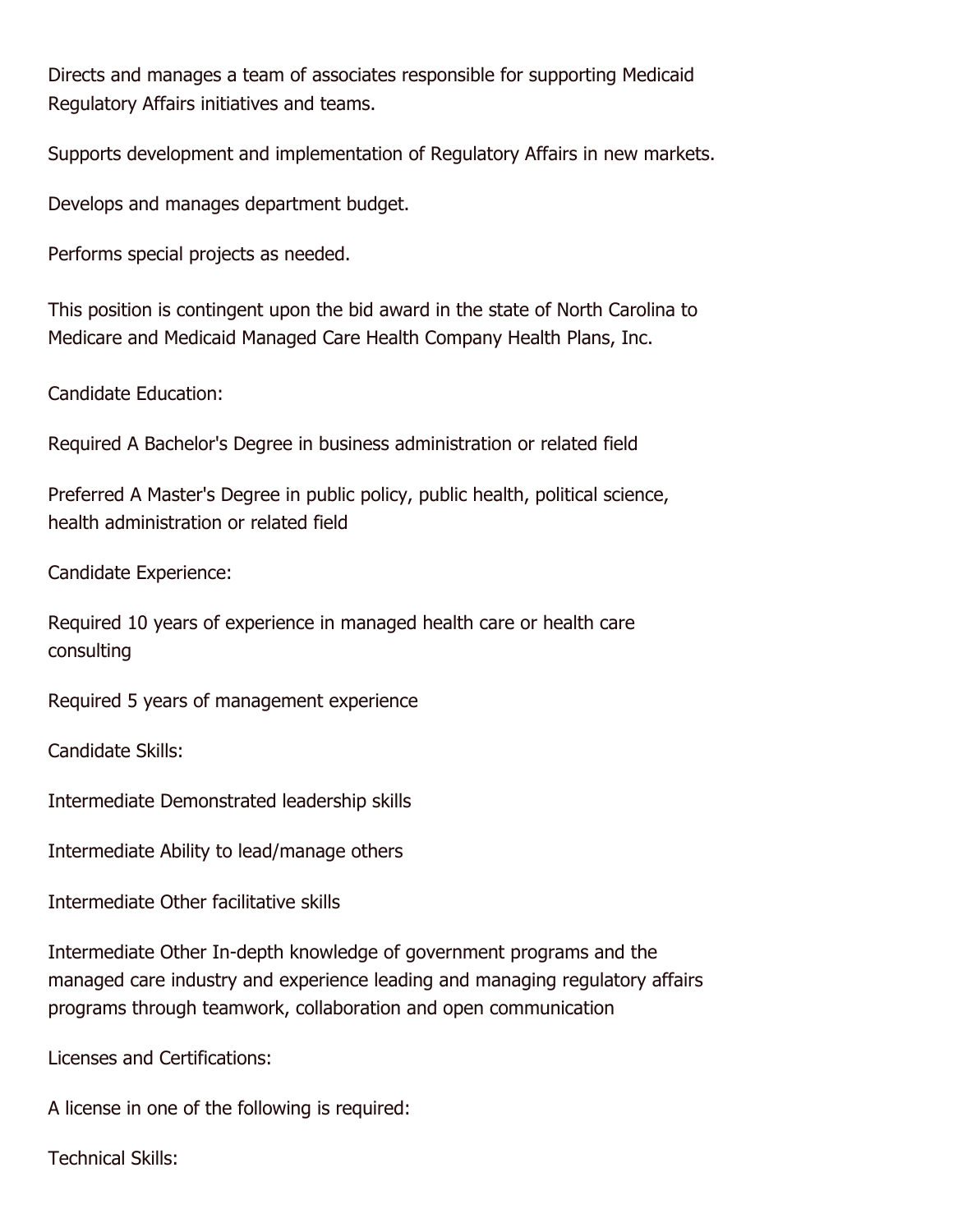Directs and manages a team of associates responsible for supporting Medicaid Regulatory Affairs initiatives and teams.

Supports development and implementation of Regulatory Affairs in new markets.

Develops and manages department budget.

Performs special projects as needed.

This position is contingent upon the bid award in the state of North Carolina to Medicare and Medicaid Managed Care Health Company Health Plans, Inc.

Candidate Education:

Required A Bachelor's Degree in business administration or related field

Preferred A Master's Degree in public policy, public health, political science, health administration or related field

Candidate Experience:

Required 10 years of experience in managed health care or health care consulting

Required 5 years of management experience

Candidate Skills:

Intermediate Demonstrated leadership skills

Intermediate Ability to lead/manage others

Intermediate Other facilitative skills

Intermediate Other In-depth knowledge of government programs and the managed care industry and experience leading and managing regulatory affairs programs through teamwork, collaboration and open communication

Licenses and Certifications:

A license in one of the following is required:

Technical Skills: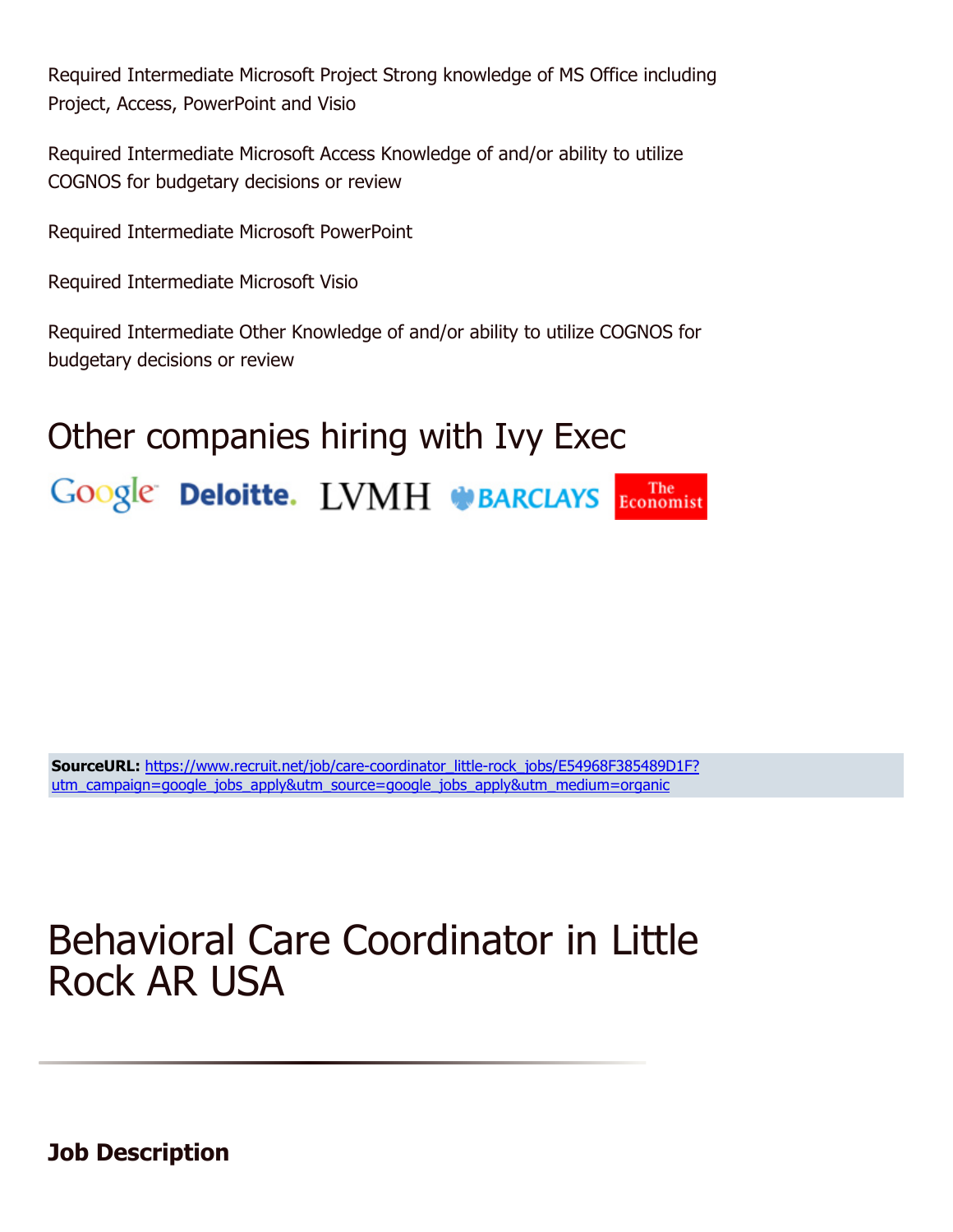Required Intermediate Microsoft Project Strong knowledge of MS Office including Project, Access, PowerPoint and Visio

Required Intermediate Microsoft Access Knowledge of and/or ability to utilize COGNOS for budgetary decisions or review

Required Intermediate Microsoft PowerPoint

Required Intermediate Microsoft Visio

Required Intermediate Other Knowledge of and/or ability to utilize COGNOS for budgetary decisions or review

### Other companies hiring with Ivy Exec

Google Deloitte. LVMH UBARCLAYS Economist

SourceURL: https://www.recruit.net/job/care-coordinator\_little-rock\_jobs/E54968F385489D1F? [utm\\_campaign=google\\_jobs\\_apply&utm\\_source=google\\_jobs\\_apply&utm\\_medium=organic](https://www.recruit.net/job/care-coordinator_little-rock_jobs/E54968F385489D1F?utm_campaign=google_jobs_apply&utm_source=google_jobs_apply&utm_medium=organic)

### Behavioral Care Coordinator in Little Rock AR USA

Job Description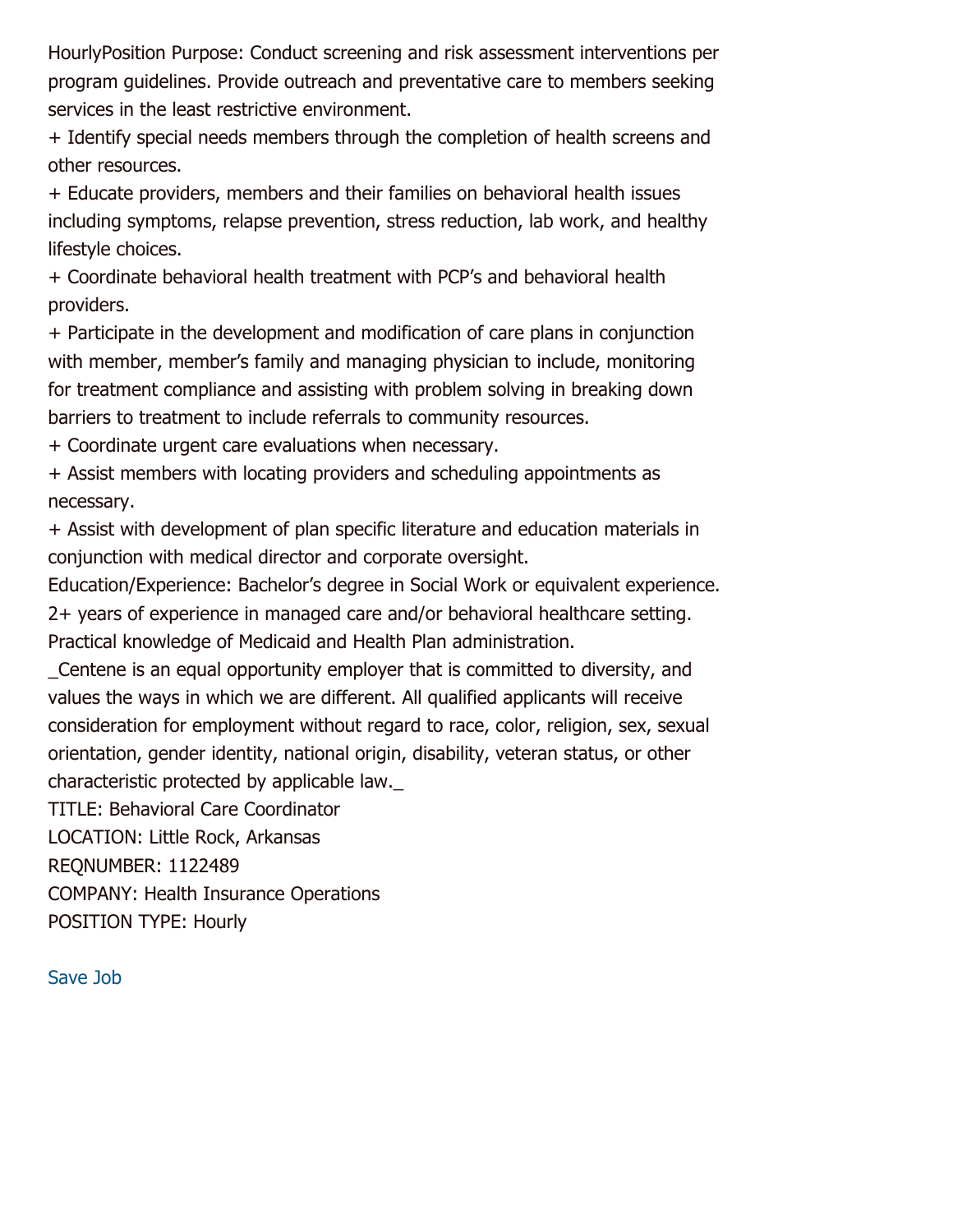HourlyPosition Purpose: Conduct screening and risk assessment interventions per program guidelines. Provide outreach and preventative care to members seeking services in the least restrictive environment.

+ Identify special needs members through the completion of health screens and other resources.

+ Educate providers, members and their families on behavioral health issues including symptoms, relapse prevention, stress reduction, lab work, and healthy lifestyle choices.

+ Coordinate behavioral health treatment with PCP's and behavioral health providers.

+ Participate in the development and modification of care plans in conjunction with member, member's family and managing physician to include, monitoring for treatment compliance and assisting with problem solving in breaking down barriers to treatment to include referrals to community resources.

+ Coordinate urgent care evaluations when necessary.

+ Assist members with locating providers and scheduling appointments as necessary.

+ Assist with development of plan specific literature and education materials in conjunction with medical director and corporate oversight.

Education/Experience: Bachelor's degree in Social Work or equivalent experience. 2+ years of experience in managed care and/or behavioral healthcare setting. Practical knowledge of Medicaid and Health Plan administration.

\_Centene is an equal opportunity employer that is committed to diversity, and values the ways in which we are different. All qualified applicants will receive consideration for employment without regard to race, color, religion, sex, sexual orientation, gender identity, national origin, disability, veteran status, or other characteristic protected by applicable law.\_

TITLE: Behavioral Care Coordinator

LOCATION: Little Rock, Arkansas

REQNUMBER: 1122489

COMPANY: Health Insurance Operations

POSITION TYPE: Hourly

Save Job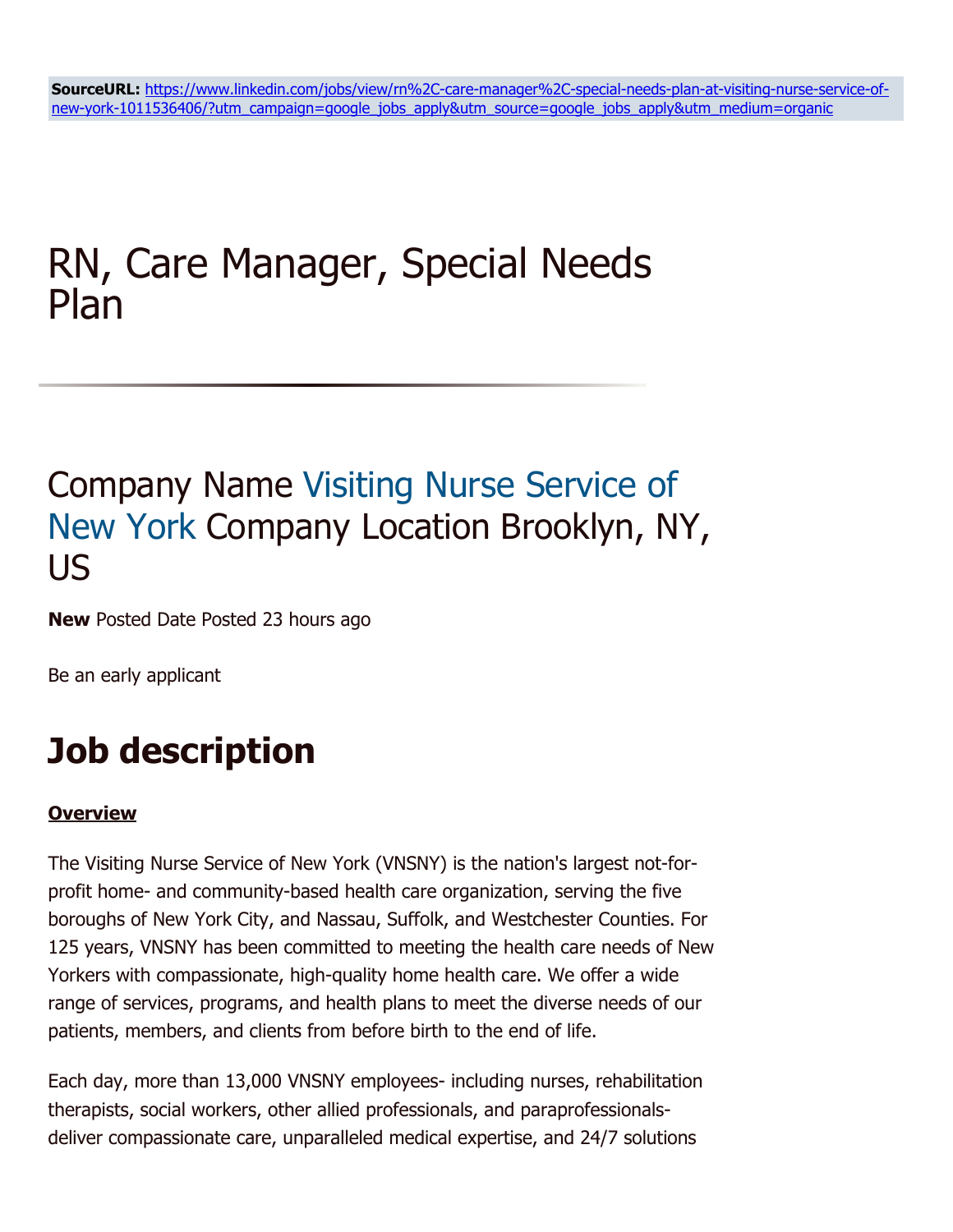### RN, Care Manager, Special Needs Plan

### Company Name [Visiting Nurse Service of](https://www.linkedin.com/company/9667/) New York Company Location Brooklyn, NY, US

**New** Posted Date Posted 23 hours ago

Be an early applicant

### Job description

#### **Overview**

The Visiting Nurse Service of New York (VNSNY) is the nation's largest not-forprofit home- and community-based health care organization, serving the five boroughs of New York City, and Nassau, Suffolk, and Westchester Counties. For 125 years, VNSNY has been committed to meeting the health care needs of New Yorkers with compassionate, high-quality home health care. We offer a wide range of services, programs, and health plans to meet the diverse needs of our patients, members, and clients from before birth to the end of life.

Each day, more than 13,000 VNSNY employees- including nurses, rehabilitation therapists, social workers, other allied professionals, and paraprofessionalsdeliver compassionate care, unparalleled medical expertise, and 24/7 solutions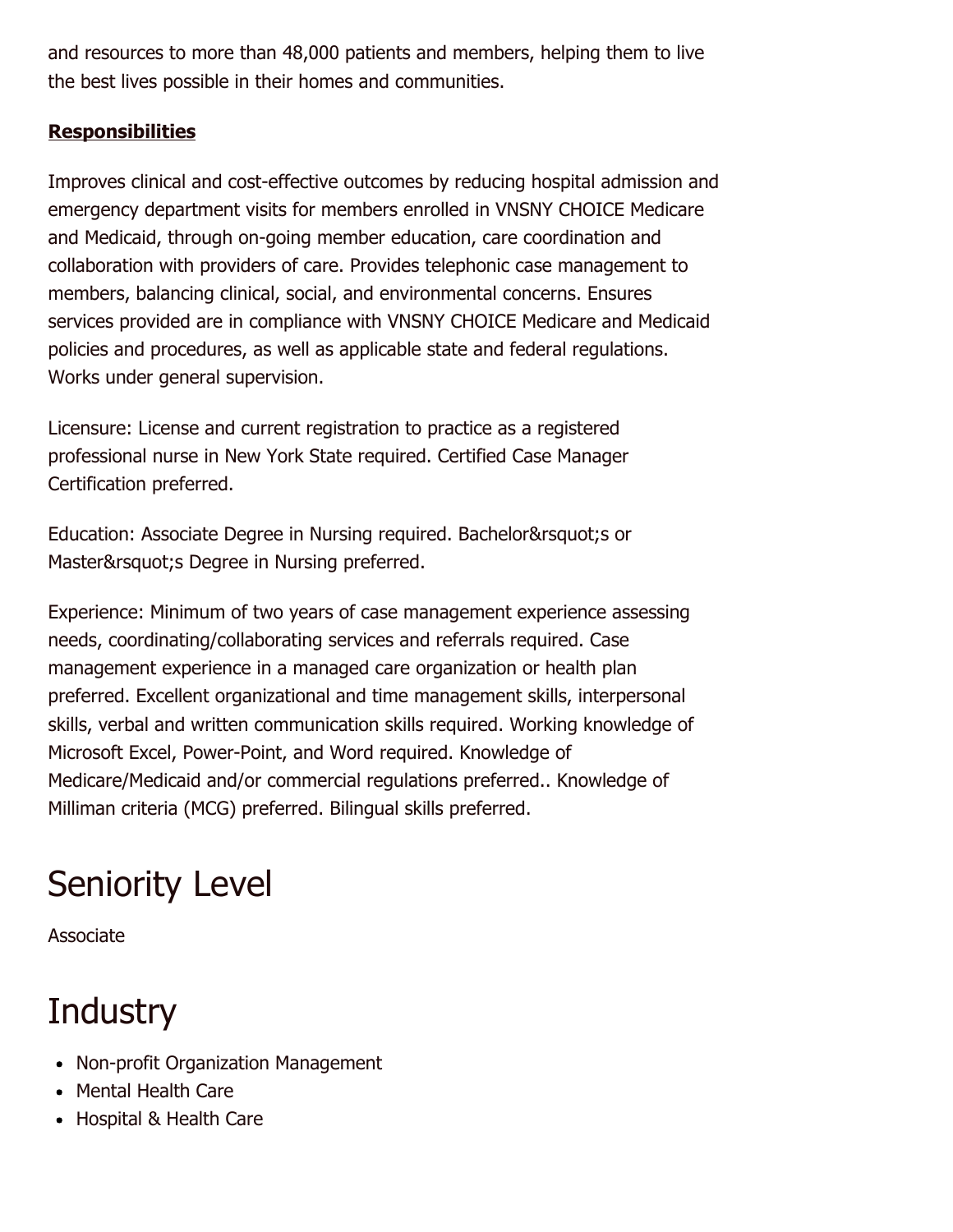and resources to more than 48,000 patients and members, helping them to live the best lives possible in their homes and communities.

#### **Responsibilities**

Improves clinical and cost-effective outcomes by reducing hospital admission and emergency department visits for members enrolled in VNSNY CHOICE Medicare and Medicaid, through on-going member education, care coordination and collaboration with providers of care. Provides telephonic case management to members, balancing clinical, social, and environmental concerns. Ensures services provided are in compliance with VNSNY CHOICE Medicare and Medicaid policies and procedures, as well as applicable state and federal regulations. Works under general supervision.

Licensure: License and current registration to practice as a registered professional nurse in New York State required. Certified Case Manager Certification preferred.

Education: Associate Degree in Nursing required. Bachelor&rsquot;s or Master&rsquot;s Degree in Nursing preferred.

Experience: Minimum of two years of case management experience assessing needs, coordinating/collaborating services and referrals required. Case management experience in a managed care organization or health plan preferred. Excellent organizational and time management skills, interpersonal skills, verbal and written communication skills required. Working knowledge of Microsoft Excel, Power-Point, and Word required. Knowledge of Medicare/Medicaid and/or commercial regulations preferred.. Knowledge of Milliman criteria (MCG) preferred. Bilingual skills preferred.

### Seniority Level

Associate

### **Industry**

- Non-profit Organization Management
- Mental Health Care
- Hospital & Health Care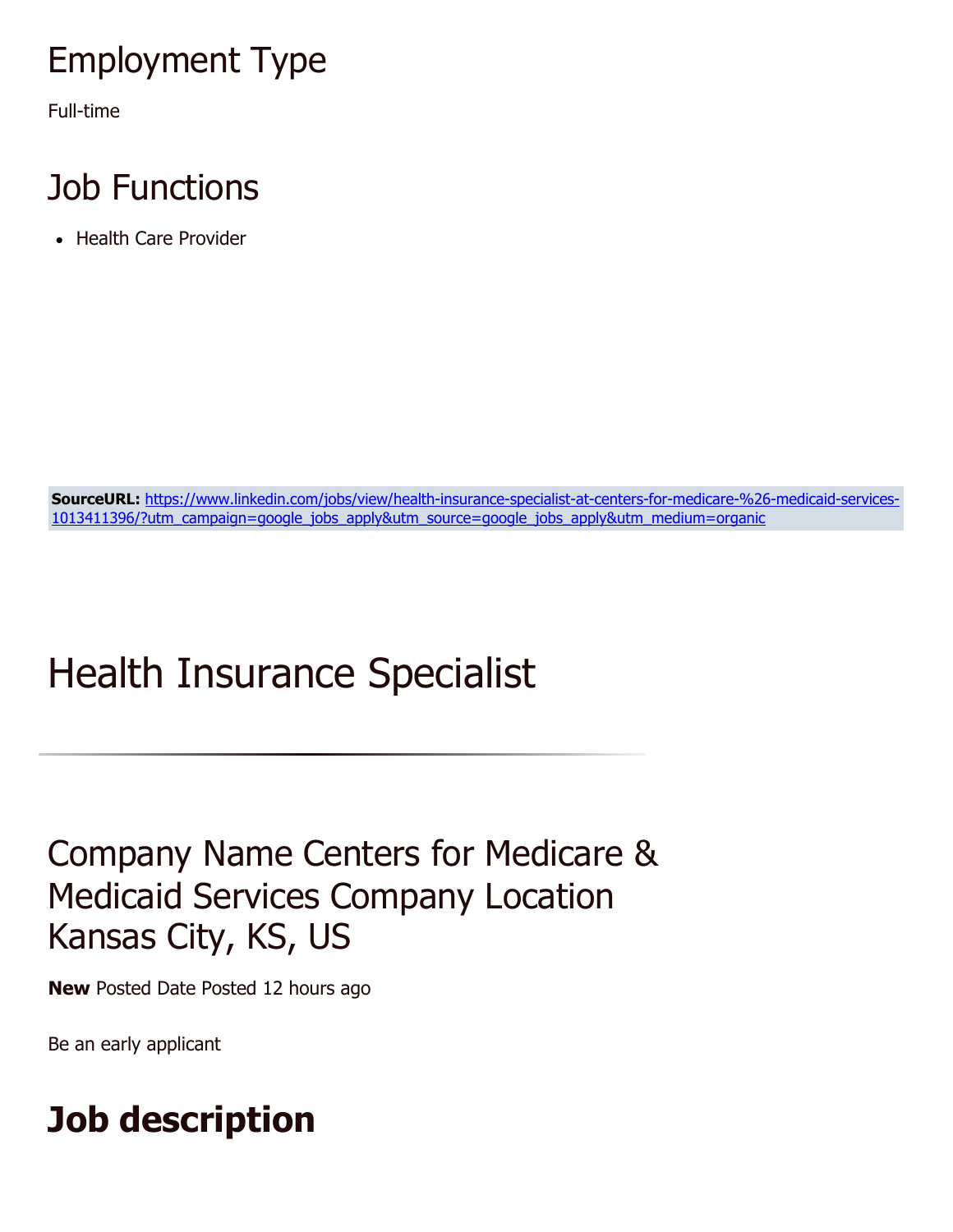### Employment Type

Full-time

### Job Functions

• Health Care Provider

SourceURL: [https://www.linkedin.com/jobs/view/health-insurance-specialist-at-centers-for-medicare-%26-medicaid-services-](https://www.linkedin.com/jobs/view/health-insurance-specialist-at-centers-for-medicare-%26-medicaid-services-1013411396/?utm_campaign=google_jobs_apply&utm_source=google_jobs_apply&utm_medium=organic)1013411396/?utm\_campaign=google\_jobs\_apply&utm\_source=google\_jobs\_apply&utm\_medium=organic

# Health Insurance Specialist

Company Name Centers for Medicare & Medicaid Services Company Location Kansas City, KS, US

**New** Posted Date Posted 12 hours ago

Be an early applicant

### Job description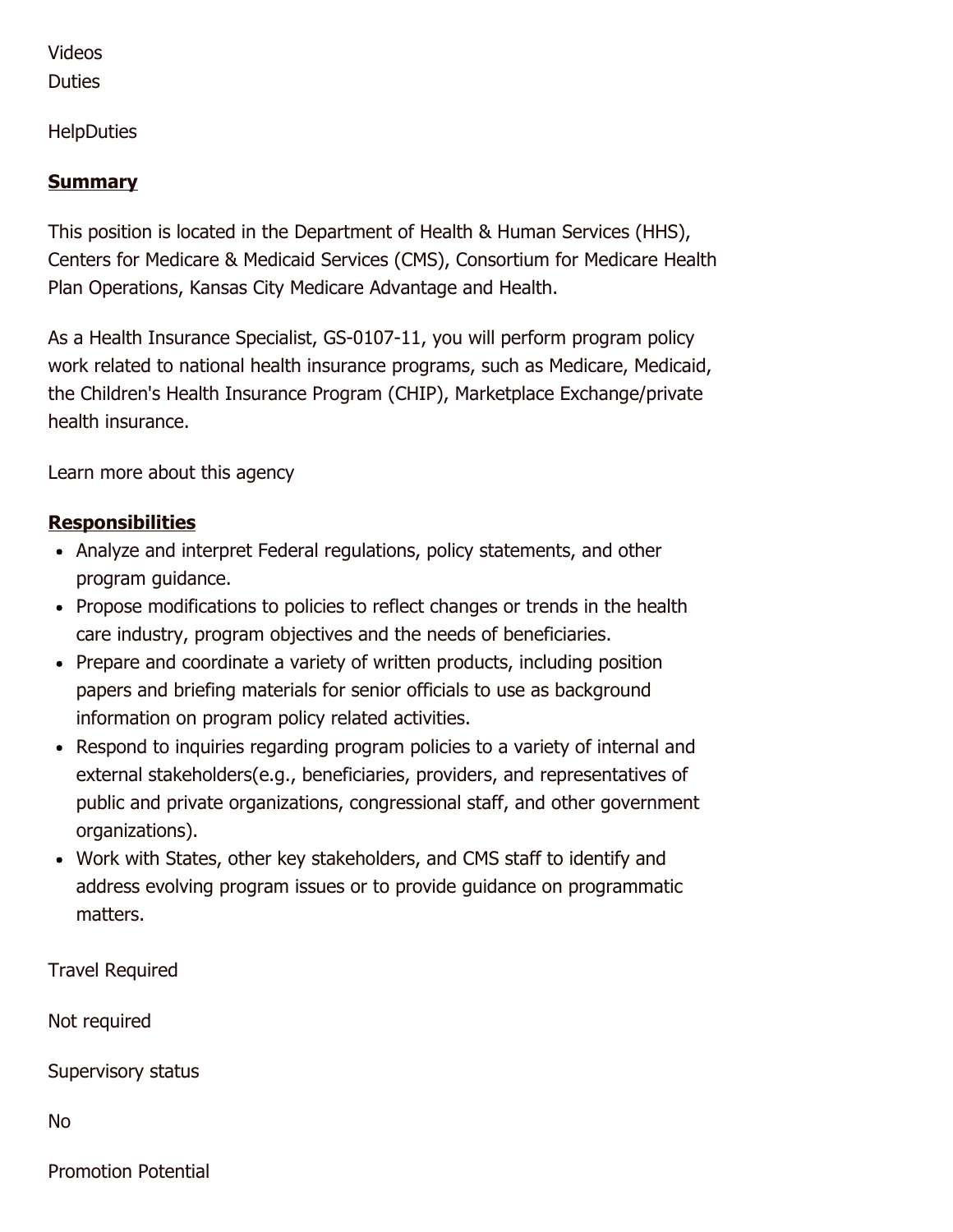Videos **Duties** 

**HelpDuties** 

#### **Summary**

This position is located in the Department of Health & Human Services (HHS), Centers for Medicare & Medicaid Services (CMS), Consortium for Medicare Health Plan Operations, Kansas City Medicare Advantage and Health.

As a Health Insurance Specialist, GS-0107-11, you will perform program policy work related to national health insurance programs, such as Medicare, Medicaid, the Children's Health Insurance Program (CHIP), Marketplace Exchange/private health insurance.

Learn more about this agency

#### **Responsibilities**

- Analyze and interpret Federal regulations, policy statements, and other program guidance.
- Propose modifications to policies to reflect changes or trends in the health care industry, program objectives and the needs of beneficiaries.
- Prepare and coordinate a variety of written products, including position papers and briefing materials for senior officials to use as background information on program policy related activities.
- Respond to inquiries regarding program policies to a variety of internal and external stakeholders(e.g., beneficiaries, providers, and representatives of public and private organizations, congressional staff, and other government organizations).
- Work with States, other key stakeholders, and CMS staff to identify and address evolving program issues or to provide guidance on programmatic matters.

Travel Required

Not required

Supervisory status

No

Promotion Potential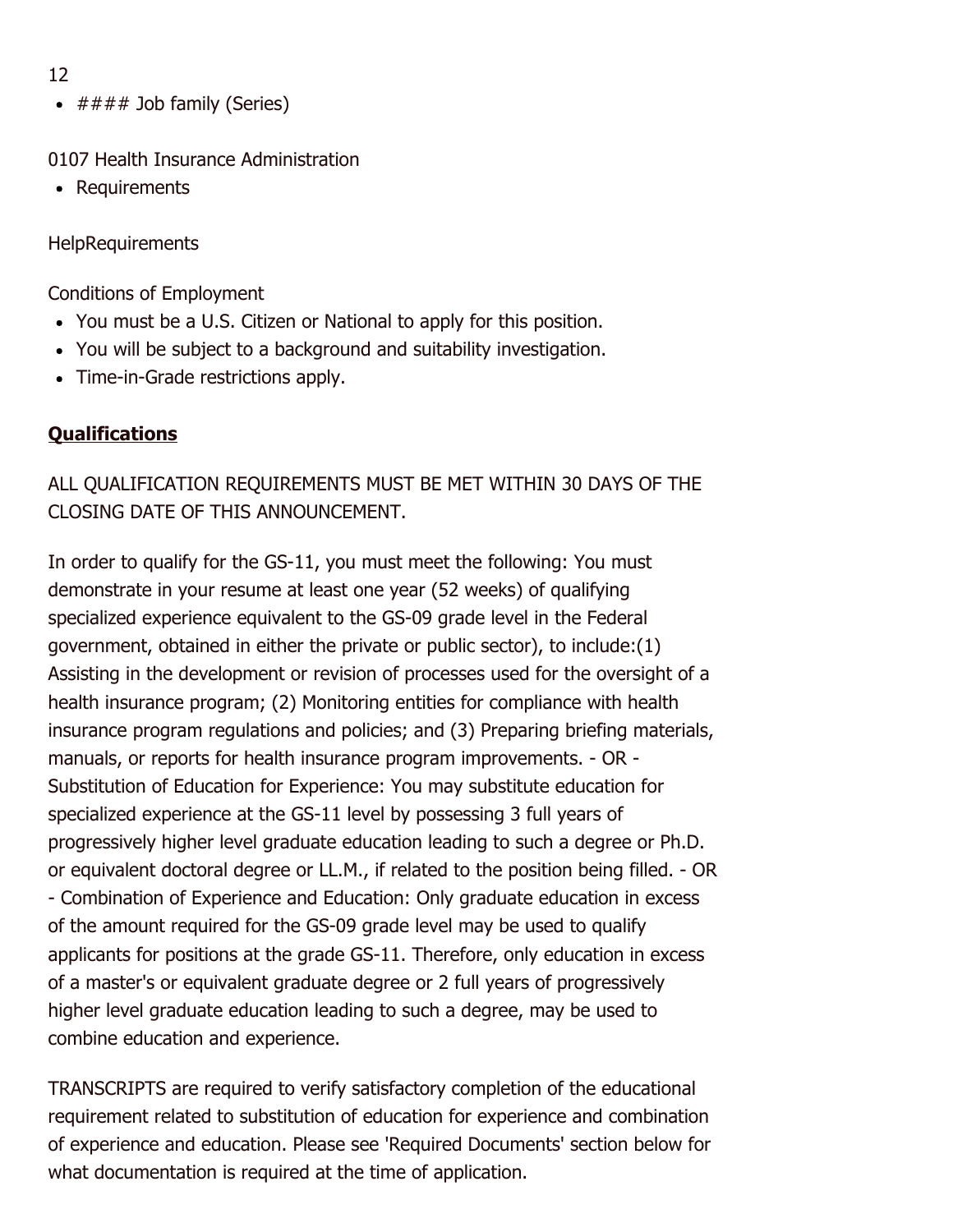#### 12

 $*$  #### Job family (Series)

0107 Health Insurance Administration

• Requirements

**HelpRequirements** 

Conditions of Employment

- You must be a U.S. Citizen or National to apply for this position.
- You will be subject to a background and suitability investigation.
- Time-in-Grade restrictions apply.

#### **Qualifications**

ALL QUALIFICATION REQUIREMENTS MUST BE MET WITHIN 30 DAYS OF THE CLOSING DATE OF THIS ANNOUNCEMENT.

In order to qualify for the GS-11, you must meet the following: You must demonstrate in your resume at least one year (52 weeks) of qualifying specialized experience equivalent to the GS-09 grade level in the Federal government, obtained in either the private or public sector), to include:(1) Assisting in the development or revision of processes used for the oversight of a health insurance program; (2) Monitoring entities for compliance with health insurance program regulations and policies; and (3) Preparing briefing materials, manuals, or reports for health insurance program improvements. - OR - Substitution of Education for Experience: You may substitute education for specialized experience at the GS-11 level by possessing 3 full years of progressively higher level graduate education leading to such a degree or Ph.D. or equivalent doctoral degree or LL.M., if related to the position being filled. - OR - Combination of Experience and Education: Only graduate education in excess of the amount required for the GS-09 grade level may be used to qualify applicants for positions at the grade GS-11. Therefore, only education in excess of a master's or equivalent graduate degree or 2 full years of progressively higher level graduate education leading to such a degree, may be used to combine education and experience.

TRANSCRIPTS are required to verify satisfactory completion of the educational requirement related to substitution of education for experience and combination of experience and education. Please see 'Required Documents' section below for what documentation is required at the time of application.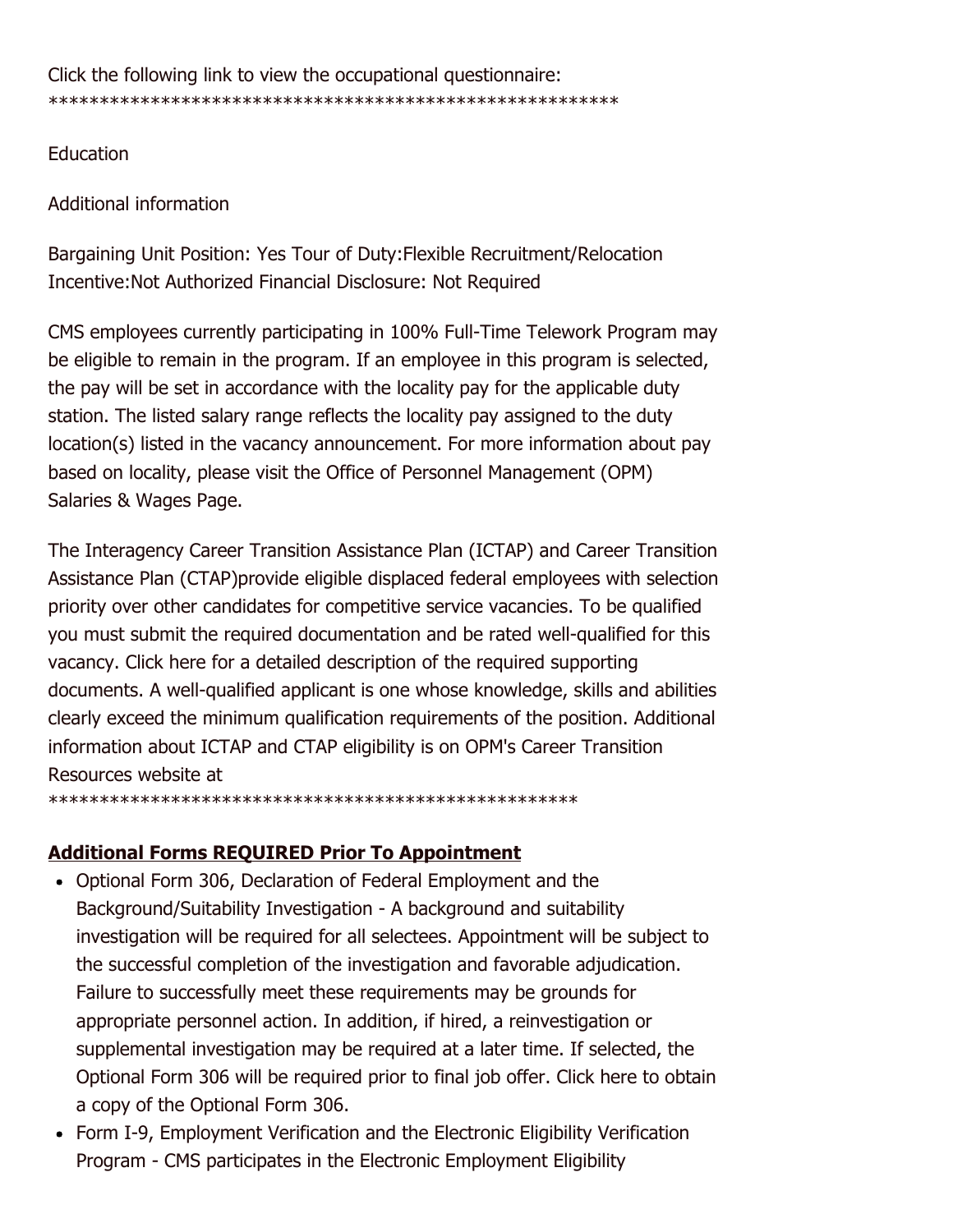#### Click the following link to view the occupational questionnaire: \*\*\*\*\*\*\*\*\*\*\*\*\*\*\*\*\*\*\*\*\*\*\*\*\*\*\*\*\*\*\*\*\*\*\*\*\*\*\*\*\*\*\*\*\*\*\*\*\*\*\*\*\*\*\*\*

**Education** 

Additional information

Bargaining Unit Position: Yes Tour of Duty:Flexible Recruitment/Relocation Incentive:Not Authorized Financial Disclosure: Not Required

CMS employees currently participating in 100% Full-Time Telework Program may be eligible to remain in the program. If an employee in this program is selected, the pay will be set in accordance with the locality pay for the applicable duty station. The listed salary range reflects the locality pay assigned to the duty location(s) listed in the vacancy announcement. For more information about pay based on locality, please visit the Office of Personnel Management (OPM) Salaries & Wages Page.

The Interagency Career Transition Assistance Plan (ICTAP) and Career Transition Assistance Plan (CTAP)provide eligible displaced federal employees with selection priority over other candidates for competitive service vacancies. To be qualified you must submit the required documentation and be rated well-qualified for this vacancy. Click here for a detailed description of the required supporting documents. A well-qualified applicant is one whose knowledge, skills and abilities clearly exceed the minimum qualification requirements of the position. Additional information about ICTAP and CTAP eligibility is on OPM's Career Transition Resources website at

\*\*\*\*\*\*\*\*\*\*\*\*\*\*\*\*\*\*\*\*\*\*\*\*\*\*\*\*\*\*\*\*\*\*\*\*\*\*\*\*\*\*\*\*\*\*\*\*\*\*\*\*

#### Additional Forms REQUIRED Prior To Appointment

- Optional Form 306, Declaration of Federal Employment and the Background/Suitability Investigation - A background and suitability investigation will be required for all selectees. Appointment will be subject to the successful completion of the investigation and favorable adjudication. Failure to successfully meet these requirements may be grounds for appropriate personnel action. In addition, if hired, a reinvestigation or supplemental investigation may be required at a later time. If selected, the Optional Form 306 will be required prior to final job offer. Click here to obtain a copy of the Optional Form 306.
- Form I-9, Employment Verification and the Electronic Eligibility Verification Program - CMS participates in the Electronic Employment Eligibility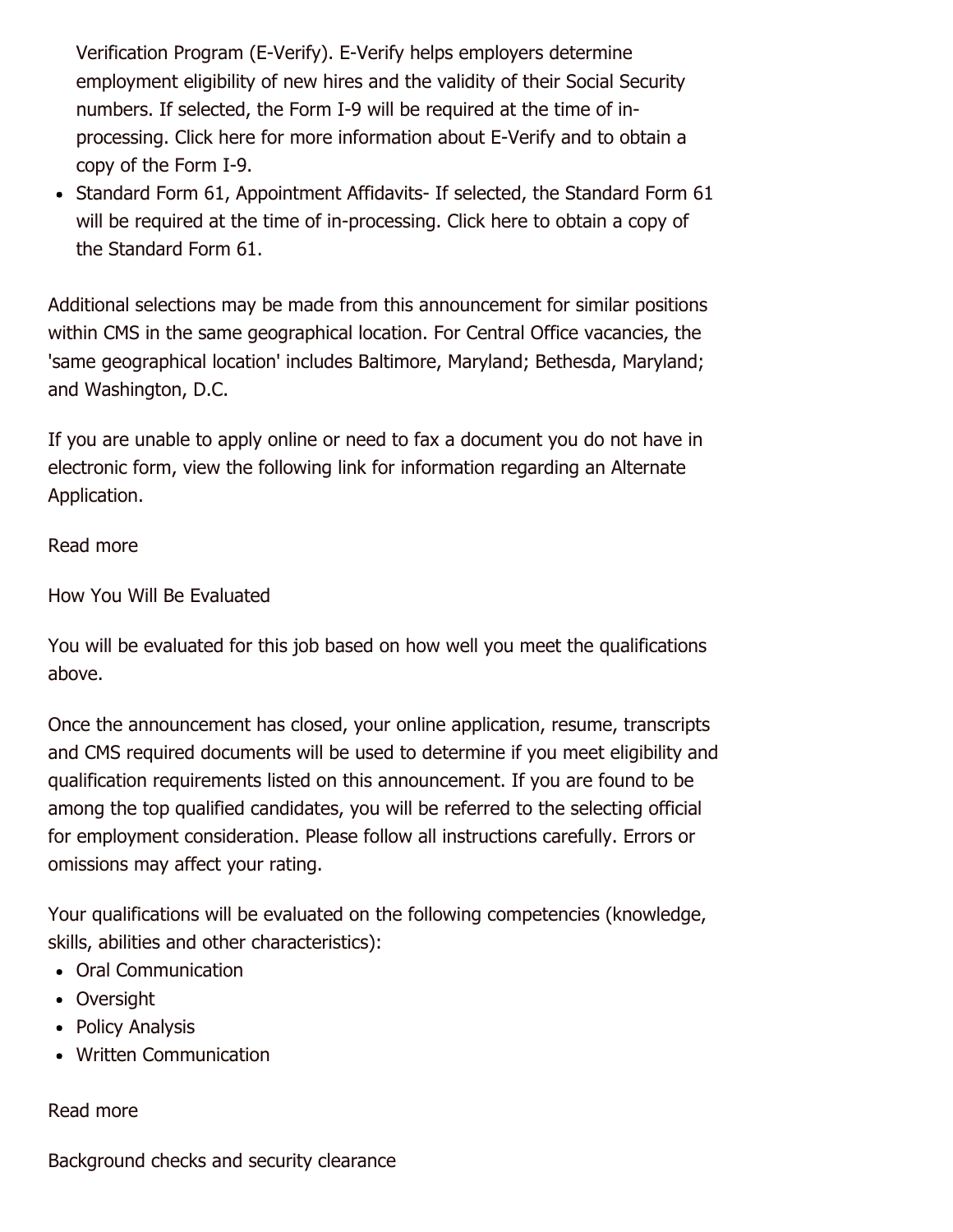Verification Program (E-Verify). E-Verify helps employers determine employment eligibility of new hires and the validity of their Social Security numbers. If selected, the Form I-9 will be required at the time of inprocessing. Click here for more information about E-Verify and to obtain a copy of the Form I-9.

• Standard Form 61, Appointment Affidavits- If selected, the Standard Form 61 will be required at the time of in-processing. Click here to obtain a copy of the Standard Form 61.

Additional selections may be made from this announcement for similar positions within CMS in the same geographical location. For Central Office vacancies, the 'same geographical location' includes Baltimore, Maryland; Bethesda, Maryland; and Washington, D.C.

If you are unable to apply online or need to fax a document you do not have in electronic form, view the following link for information regarding an Alternate Application.

Read more

How You Will Be Evaluated

You will be evaluated for this job based on how well you meet the qualifications above.

Once the announcement has closed, your online application, resume, transcripts and CMS required documents will be used to determine if you meet eligibility and qualification requirements listed on this announcement. If you are found to be among the top qualified candidates, you will be referred to the selecting official for employment consideration. Please follow all instructions carefully. Errors or omissions may affect your rating.

Your qualifications will be evaluated on the following competencies (knowledge, skills, abilities and other characteristics):

- Oral Communication
- Oversight
- Policy Analysis
- Written Communication

Read more

Background checks and security clearance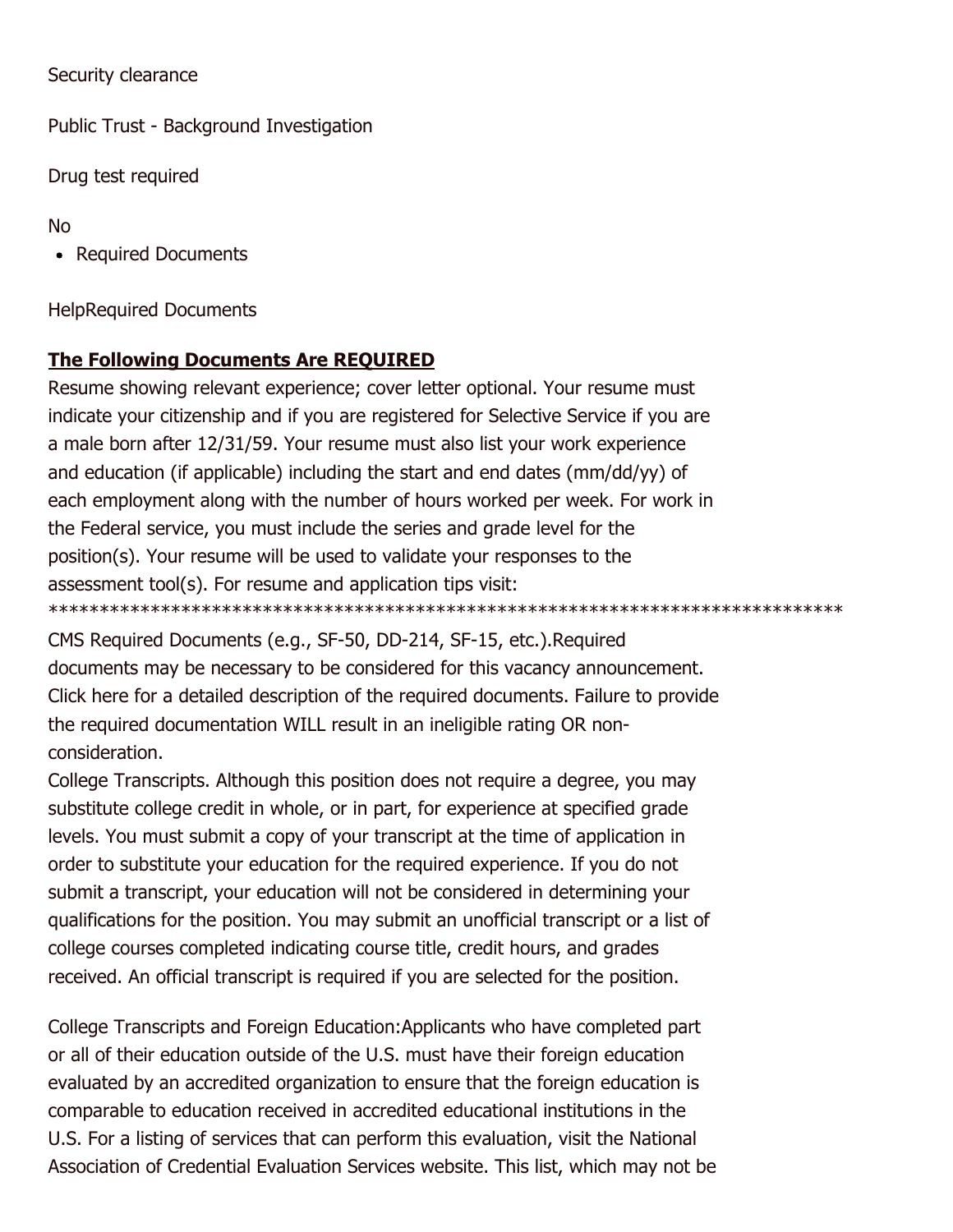#### Security clearance

Public Trust - Background Investigation

Drug test required

#### No

• Required Documents

#### HelpRequired Documents

#### The Following Documents Are REQUIRED

Resume showing relevant experience; cover letter optional. Your resume must indicate your citizenship and if you are registered for Selective Service if you are a male born after 12/31/59. Your resume must also list your work experience and education (if applicable) including the start and end dates (mm/dd/yy) of each employment along with the number of hours worked per week. For work in the Federal service, you must include the series and grade level for the position(s). Your resume will be used to validate your responses to the assessment tool(s). For resume and application tips visit: \*\*\*\*\*\*\*\*\*\*\*\*\*\*\*\*\*\*\*\*\*\*\*\*\*\*\*\*\*\*\*\*\*\*\*\*\*\*\*\*\*\*\*\*\*\*\*\*\*\*\*\*\*\*\*\*\*\*\*\*\*\*\*\*\*\*\*\*\*\*\*\*\*\*\*\*\*\*

CMS Required Documents (e.g., SF-50, DD-214, SF-15, etc.).Required documents may be necessary to be considered for this vacancy announcement. Click here for a detailed description of the required documents. Failure to provide the required documentation WILL result in an ineligible rating OR nonconsideration.

College Transcripts. Although this position does not require a degree, you may substitute college credit in whole, or in part, for experience at specified grade levels. You must submit a copy of your transcript at the time of application in order to substitute your education for the required experience. If you do not submit a transcript, your education will not be considered in determining your qualifications for the position. You may submit an unofficial transcript or a list of college courses completed indicating course title, credit hours, and grades received. An official transcript is required if you are selected for the position.

College Transcripts and Foreign Education:Applicants who have completed part or all of their education outside of the U.S. must have their foreign education evaluated by an accredited organization to ensure that the foreign education is comparable to education received in accredited educational institutions in the U.S. For a listing of services that can perform this evaluation, visit the National Association of Credential Evaluation Services website. This list, which may not be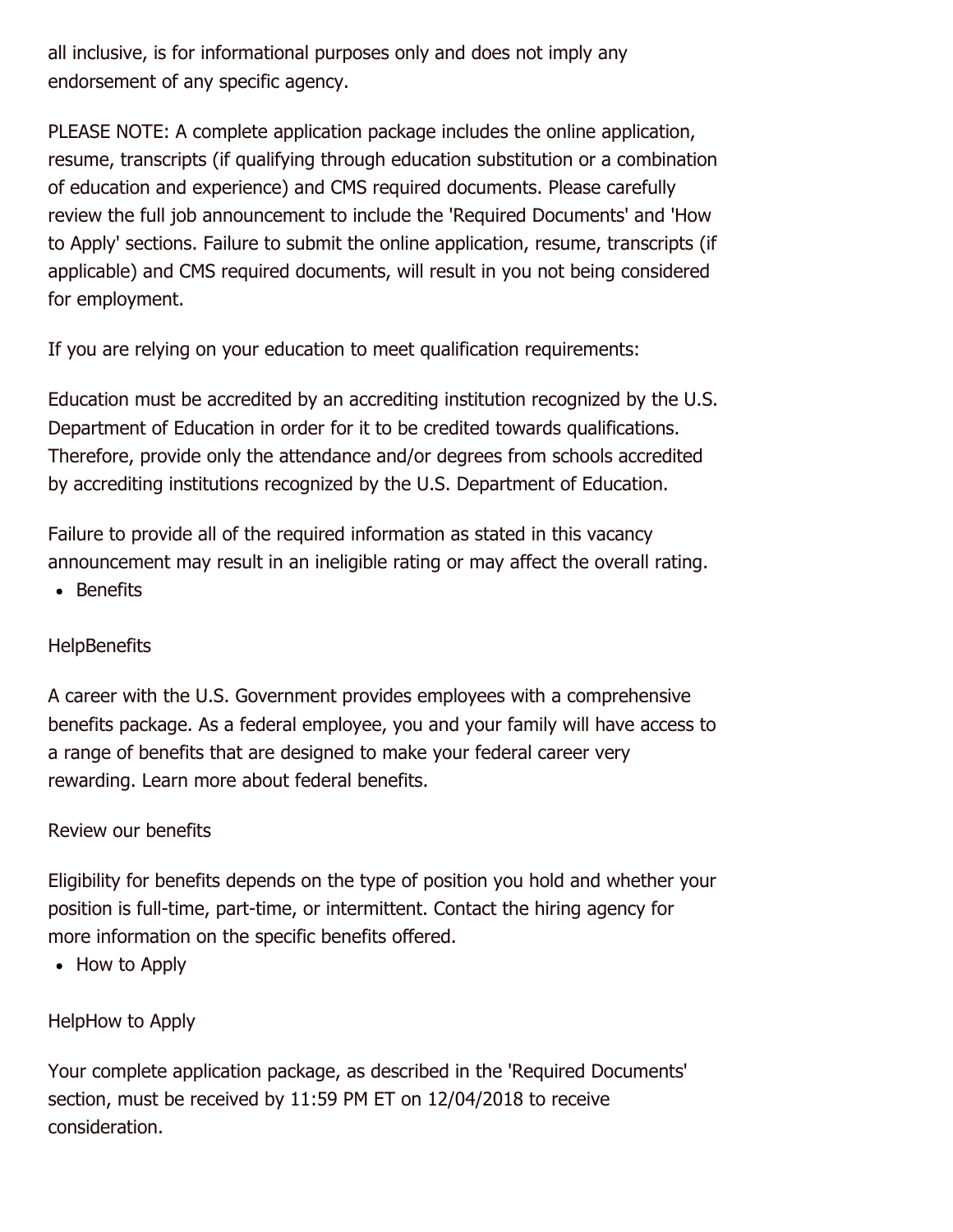all inclusive, is for informational purposes only and does not imply any endorsement of any specific agency.

PLEASE NOTE: A complete application package includes the online application, resume, transcripts (if qualifying through education substitution or a combination of education and experience) and CMS required documents. Please carefully review the full job announcement to include the 'Required Documents' and 'How to Apply' sections. Failure to submit the online application, resume, transcripts (if applicable) and CMS required documents, will result in you not being considered for employment.

If you are relying on your education to meet qualification requirements:

Education must be accredited by an accrediting institution recognized by the U.S. Department of Education in order for it to be credited towards qualifications. Therefore, provide only the attendance and/or degrees from schools accredited by accrediting institutions recognized by the U.S. Department of Education.

Failure to provide all of the required information as stated in this vacancy announcement may result in an ineligible rating or may affect the overall rating.

• Benefits

#### **HelpBenefits**

A career with the U.S. Government provides employees with a comprehensive benefits package. As a federal employee, you and your family will have access to a range of benefits that are designed to make your federal career very rewarding. Learn more about federal benefits.

#### Review our benefits

Eligibility for benefits depends on the type of position you hold and whether your position is full-time, part-time, or intermittent. Contact the hiring agency for more information on the specific benefits offered.

• How to Apply

#### HelpHow to Apply

Your complete application package, as described in the 'Required Documents' section, must be received by 11:59 PM ET on 12/04/2018 to receive consideration.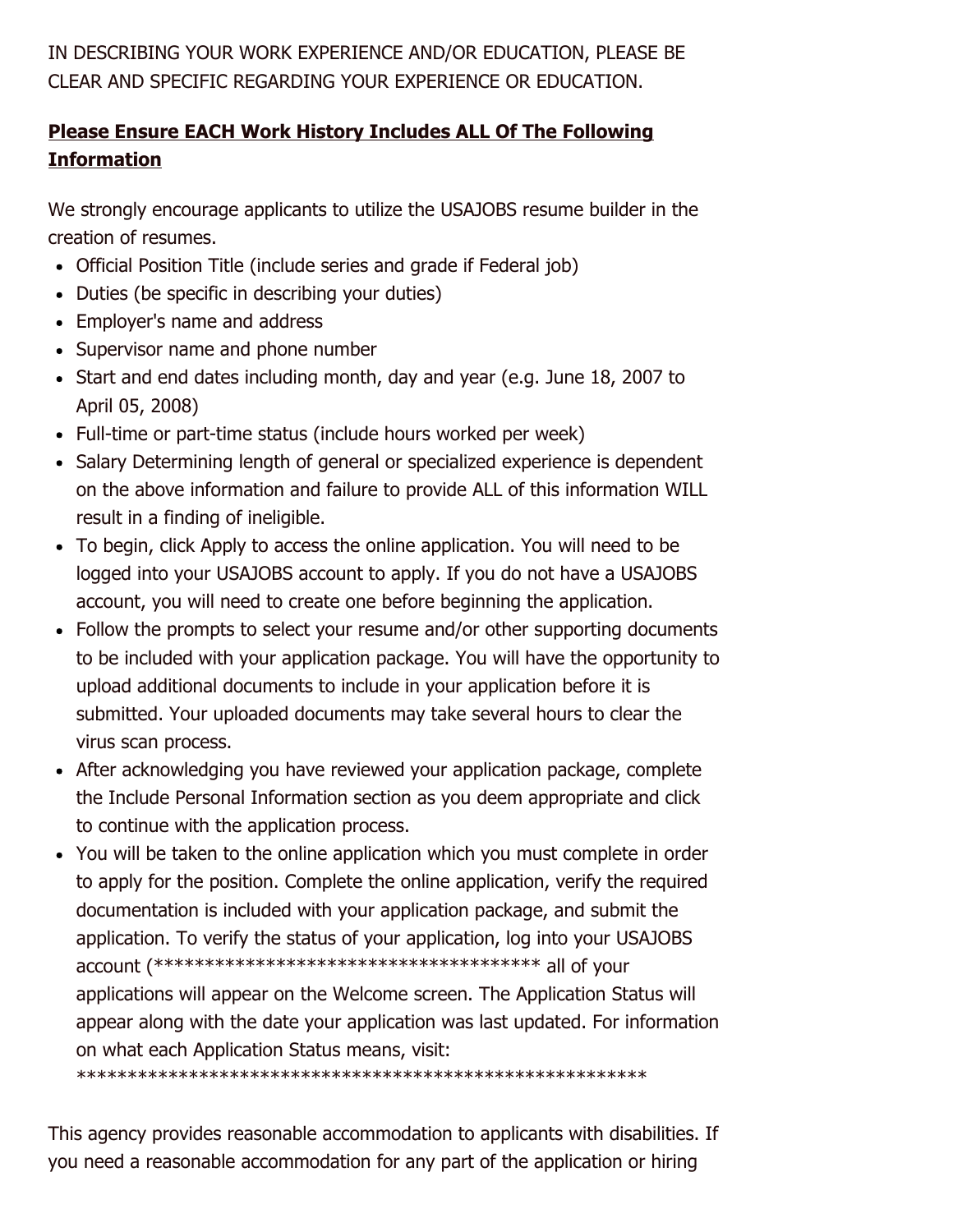### Please Ensure EACH Work History Includes ALL Of The Following Information

We strongly encourage applicants to utilize the USAJOBS resume builder in the creation of resumes.

- Official Position Title (include series and grade if Federal job)
- Duties (be specific in describing your duties)
- Employer's name and address
- Supervisor name and phone number
- Start and end dates including month, day and year (e.g. June 18, 2007 to April 05, 2008)
- Full-time or part-time status (include hours worked per week)
- Salary Determining length of general or specialized experience is dependent on the above information and failure to provide ALL of this information WILL result in a finding of ineligible.
- To begin, click Apply to access the online application. You will need to be logged into your USAJOBS account to apply. If you do not have a USAJOBS account, you will need to create one before beginning the application.
- Follow the prompts to select your resume and/or other supporting documents to be included with your application package. You will have the opportunity to upload additional documents to include in your application before it is submitted. Your uploaded documents may take several hours to clear the virus scan process.
- After acknowledging you have reviewed your application package, complete the Include Personal Information section as you deem appropriate and click to continue with the application process.
- You will be taken to the online application which you must complete in order to apply for the position. Complete the online application, verify the required documentation is included with your application package, and submit the application. To verify the status of your application, log into your USAJOBS account (\*\*\*\*\*\*\*\*\*\*\*\*\*\*\*\*\*\*\*\*\*\*\*\*\*\*\*\*\*\*\*\*\*\*\*\*\*\* all of your applications will appear on the Welcome screen. The Application Status will appear along with the date your application was last updated. For information on what each Application Status means, visit:

\*\*\*\*\*\*\*\*\*\*\*\*\*\*\*\*\*\*\*\*\*\*\*\*\*\*\*\*\*\*\*\*\*\*\*\*\*\*\*\*\*\*\*\*\*\*\*\*\*\*\*\*\*\*\*\*

This agency provides reasonable accommodation to applicants with disabilities. If you need a reasonable accommodation for any part of the application or hiring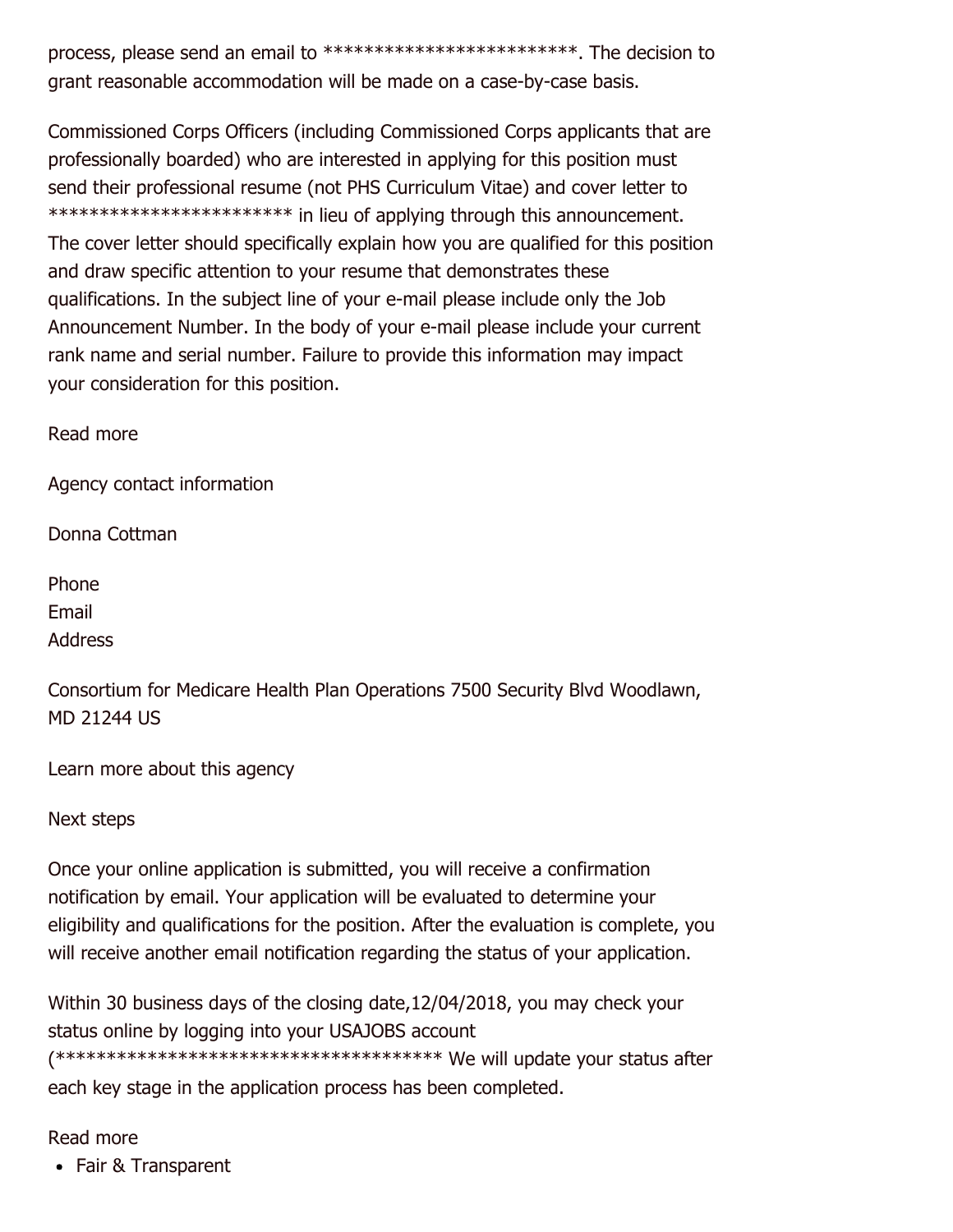process, please send an email to \*\*\*\*\*\*\*\*\*\*\*\*\*\*\*\*\*\*\*\*\*\*\*\*\*\*\*\*\*\*. The decision to grant reasonable accommodation will be made on a case-by-case basis.

Commissioned Corps Officers (including Commissioned Corps applicants that are professionally boarded) who are interested in applying for this position must send their professional resume (not PHS Curriculum Vitae) and cover letter to \*\*\*\*\*\*\*\*\*\*\*\*\*\*\*\*\*\*\*\*\*\*\*\*\*\*\* in lieu of applying through this announcement. The cover letter should specifically explain how you are qualified for this position and draw specific attention to your resume that demonstrates these qualifications. In the subject line of your e-mail please include only the Job Announcement Number. In the body of your e-mail please include your current rank name and serial number. Failure to provide this information may impact your consideration for this position.

Read more

Agency contact information

Donna Cottman

Phone Email Address

Consortium for Medicare Health Plan Operations 7500 Security Blvd Woodlawn, MD 21244 US

Learn more about this agency

Next steps

Once your online application is submitted, you will receive a confirmation notification by email. Your application will be evaluated to determine your eligibility and qualifications for the position. After the evaluation is complete, you will receive another email notification regarding the status of your application.

Within 30 business days of the closing date,12/04/2018, you may check your status online by logging into your USAJOBS account (\*\*\*\*\*\*\*\*\*\*\*\*\*\*\*\*\*\*\*\*\*\*\*\*\*\*\*\*\*\*\*\*\*\*\*\*\*\* We will update your status after each key stage in the application process has been completed.

#### Read more

Fair & Transparent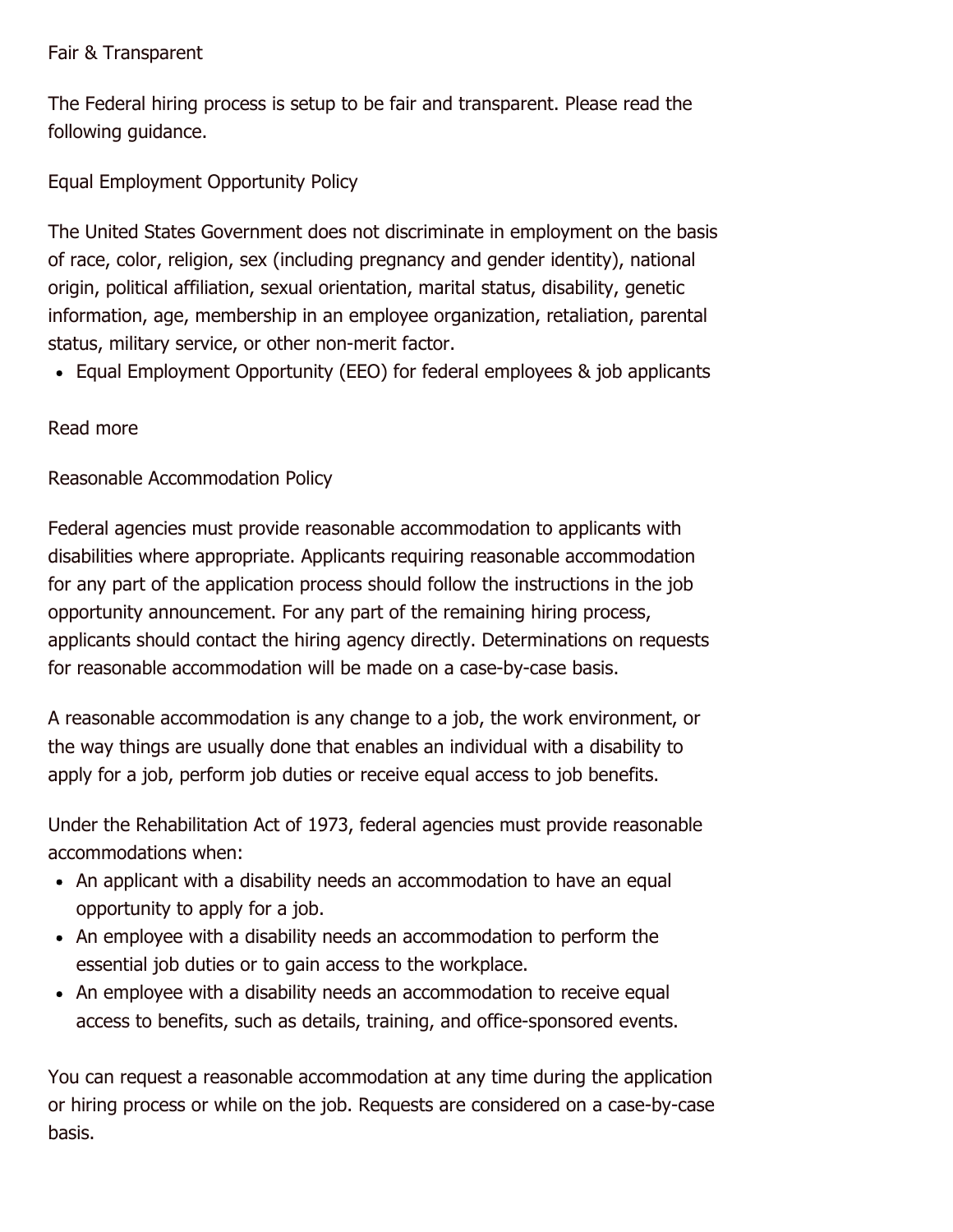#### Fair & Transparent

The Federal hiring process is setup to be fair and transparent. Please read the following guidance.

Equal Employment Opportunity Policy

The United States Government does not discriminate in employment on the basis of race, color, religion, sex (including pregnancy and gender identity), national origin, political affiliation, sexual orientation, marital status, disability, genetic information, age, membership in an employee organization, retaliation, parental status, military service, or other non-merit factor.

Equal Employment Opportunity (EEO) for federal employees & job applicants

#### Read more

Reasonable Accommodation Policy

Federal agencies must provide reasonable accommodation to applicants with disabilities where appropriate. Applicants requiring reasonable accommodation for any part of the application process should follow the instructions in the job opportunity announcement. For any part of the remaining hiring process, applicants should contact the hiring agency directly. Determinations on requests for reasonable accommodation will be made on a case-by-case basis.

A reasonable accommodation is any change to a job, the work environment, or the way things are usually done that enables an individual with a disability to apply for a job, perform job duties or receive equal access to job benefits.

Under the Rehabilitation Act of 1973, federal agencies must provide reasonable accommodations when:

- An applicant with a disability needs an accommodation to have an equal opportunity to apply for a job.
- An employee with a disability needs an accommodation to perform the essential job duties or to gain access to the workplace.
- An employee with a disability needs an accommodation to receive equal access to benefits, such as details, training, and office-sponsored events.

You can request a reasonable accommodation at any time during the application or hiring process or while on the job. Requests are considered on a case-by-case basis.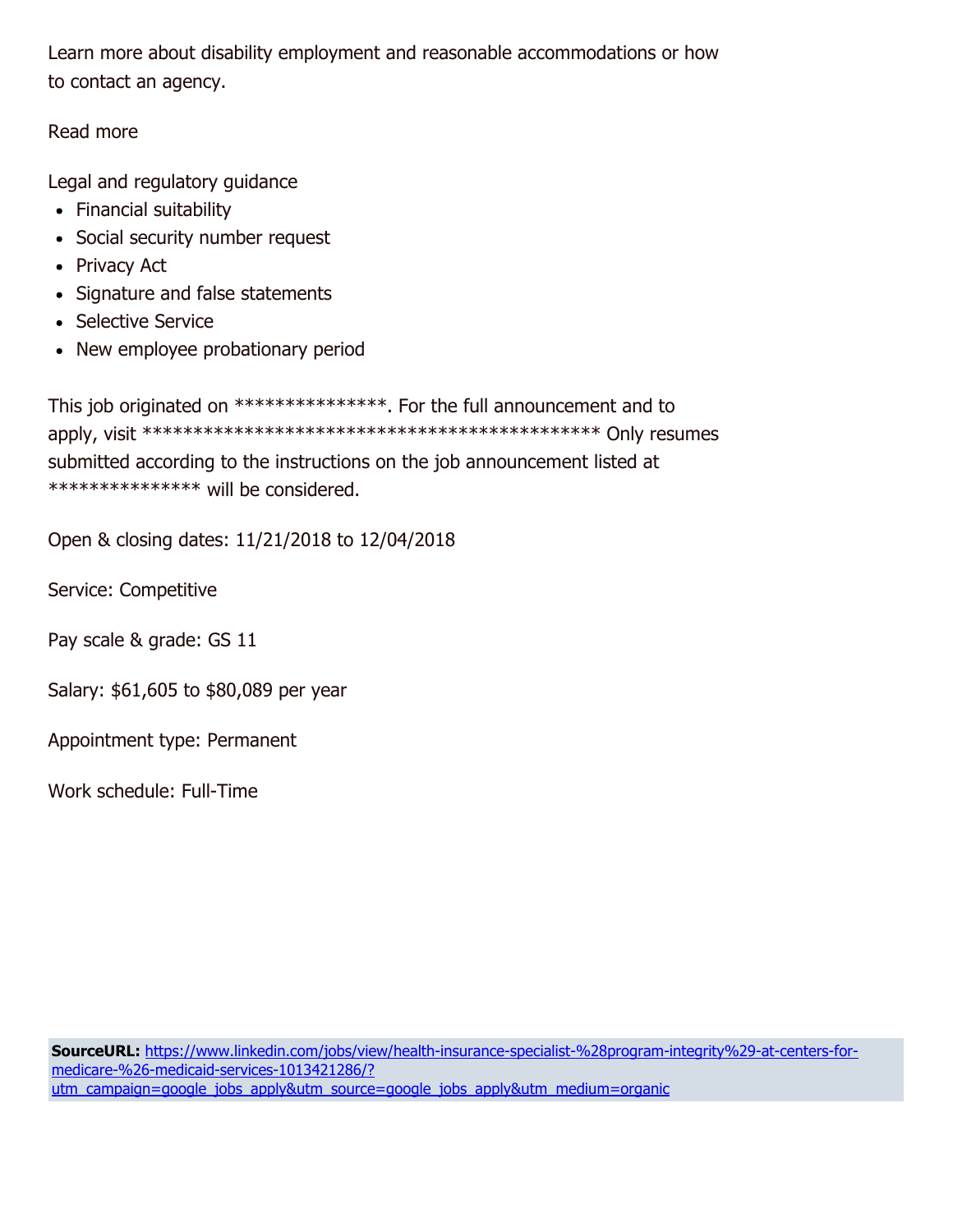Learn more about disability employment and reasonable accommodations or how to contact an agency.

#### Read more

Legal and regulatory guidance

- Financial suitability
- Social security number request
- Privacy Act
- Signature and false statements
- Selective Service
- New employee probationary period

This job originated on \*\*\*\*\*\*\*\*\*\*\*\*\*\*\*. For the full announcement and to apply, visit \*\*\*\*\*\*\*\*\*\*\*\*\*\*\*\*\*\*\*\*\*\*\*\*\*\*\*\*\*\*\*\*\*\*\*\*\*\*\*\*\*\*\*\*\* Only resumes submitted according to the instructions on the job announcement listed at \*\*\*\*\*\*\*\*\*\*\*\*\*\*\* will be considered.

Open & closing dates: 11/21/2018 to 12/04/2018

Service: Competitive

Pay scale & grade: GS 11

Salary: \$61,605 to \$80,089 per year

Appointment type: Permanent

Work schedule: Full-Time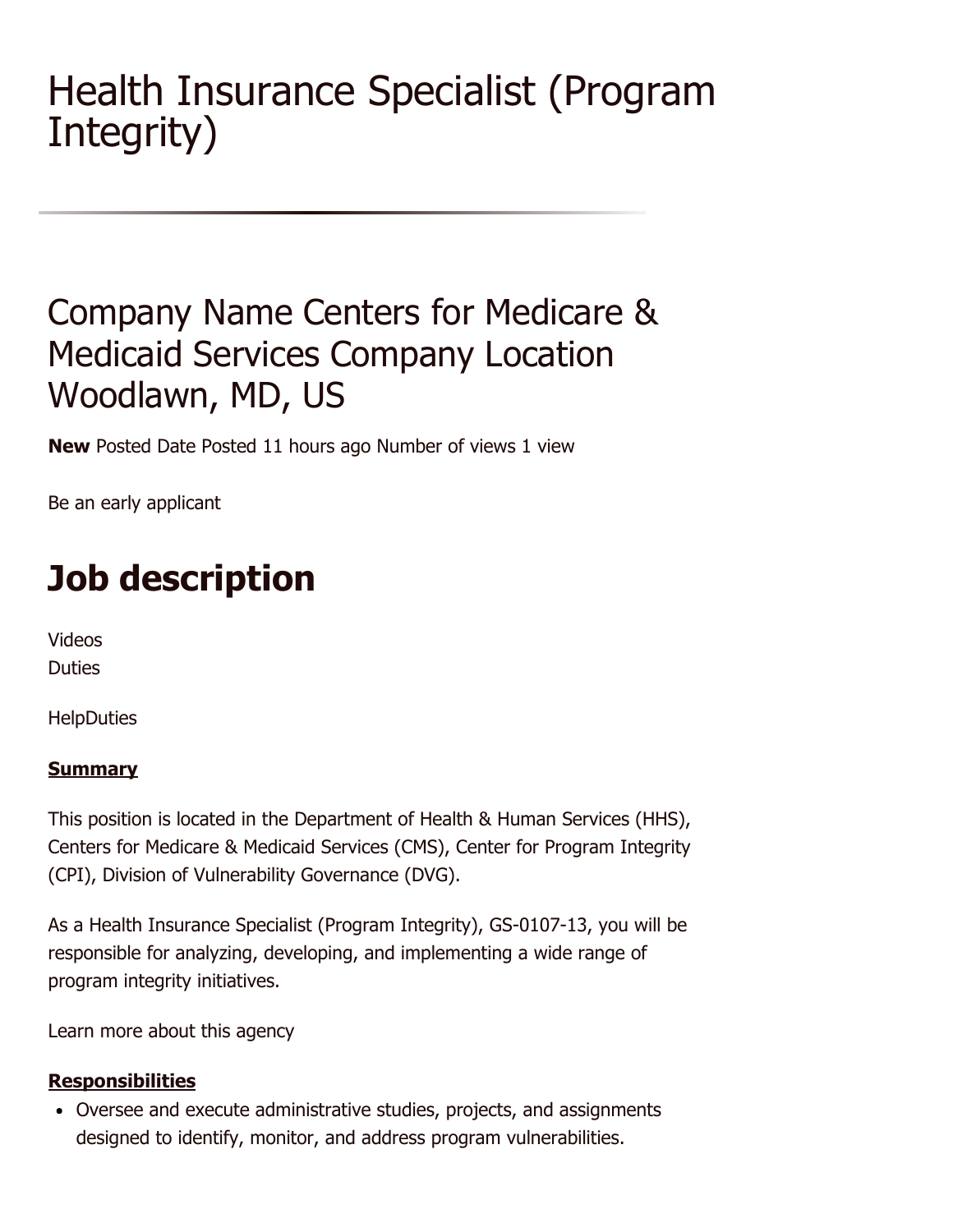### Health Insurance Specialist (Program Integrity)

### Company Name Centers for Medicare & Medicaid Services Company Location Woodlawn, MD, US

New Posted Date Posted 11 hours ago Number of views 1 view

Be an early applicant

### Job description

Videos **Duties** 

**HelpDuties** 

#### **Summary**

This position is located in the Department of Health & Human Services (HHS), Centers for Medicare & Medicaid Services (CMS), Center for Program Integrity (CPI), Division of Vulnerability Governance (DVG).

As a Health Insurance Specialist (Program Integrity), GS-0107-13, you will be responsible for analyzing, developing, and implementing a wide range of program integrity initiatives.

Learn more about this agency

#### **Responsibilities**

Oversee and execute administrative studies, projects, and assignments designed to identify, monitor, and address program vulnerabilities.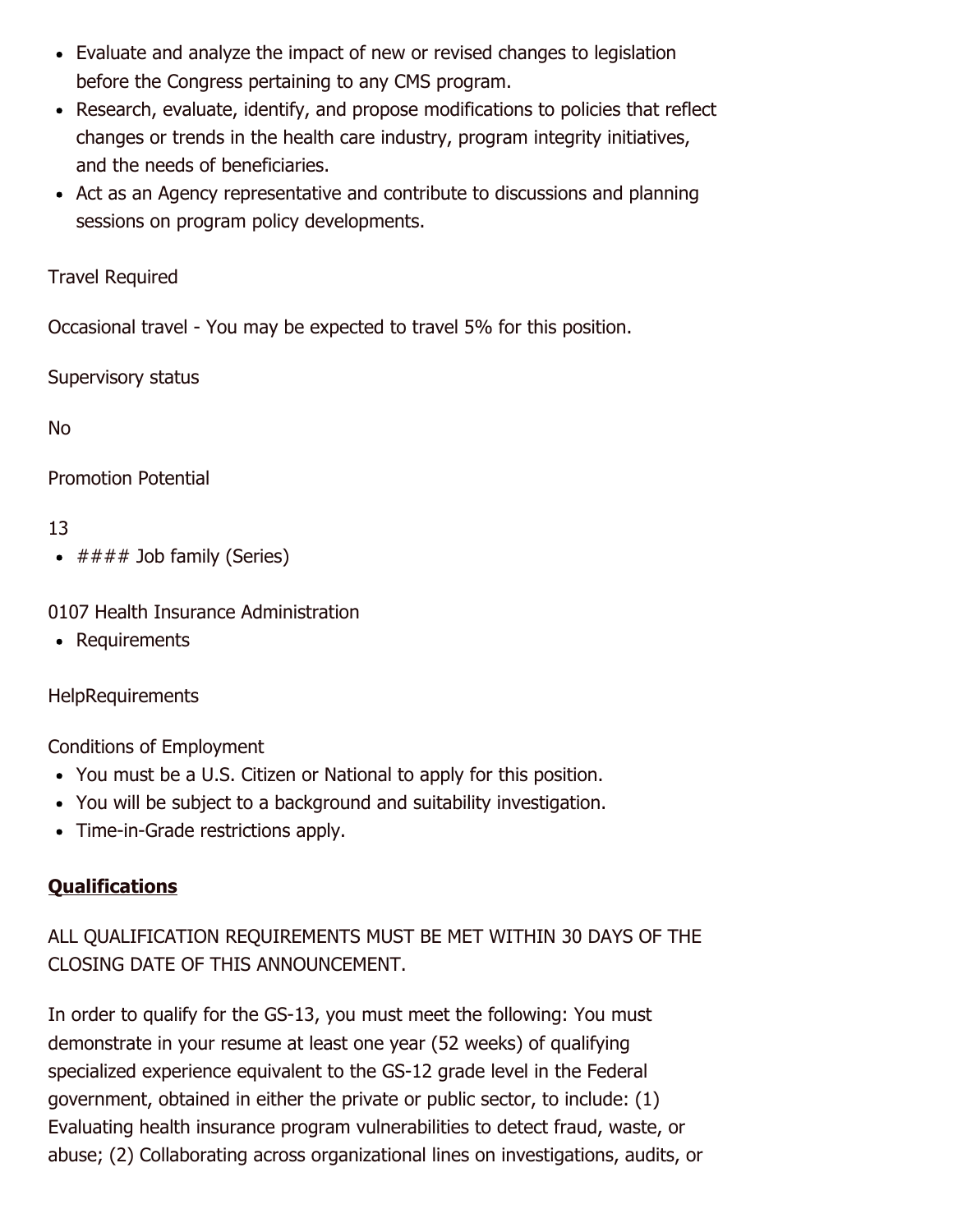- Evaluate and analyze the impact of new or revised changes to legislation before the Congress pertaining to any CMS program.
- Research, evaluate, identify, and propose modifications to policies that reflect changes or trends in the health care industry, program integrity initiatives, and the needs of beneficiaries.
- Act as an Agency representative and contribute to discussions and planning sessions on program policy developments.

Travel Required

Occasional travel - You may be expected to travel 5% for this position.

Supervisory status

No

Promotion Potential

#### 13

 $*$  #### Job family (Series)

0107 Health Insurance Administration

• Requirements

**HelpRequirements** 

Conditions of Employment

- You must be a U.S. Citizen or National to apply for this position.
- You will be subject to a background and suitability investigation.
- Time-in-Grade restrictions apply.

#### **Qualifications**

ALL QUALIFICATION REQUIREMENTS MUST BE MET WITHIN 30 DAYS OF THE CLOSING DATE OF THIS ANNOUNCEMENT.

In order to qualify for the GS-13, you must meet the following: You must demonstrate in your resume at least one year (52 weeks) of qualifying specialized experience equivalent to the GS-12 grade level in the Federal government, obtained in either the private or public sector, to include: (1) Evaluating health insurance program vulnerabilities to detect fraud, waste, or abuse; (2) Collaborating across organizational lines on investigations, audits, or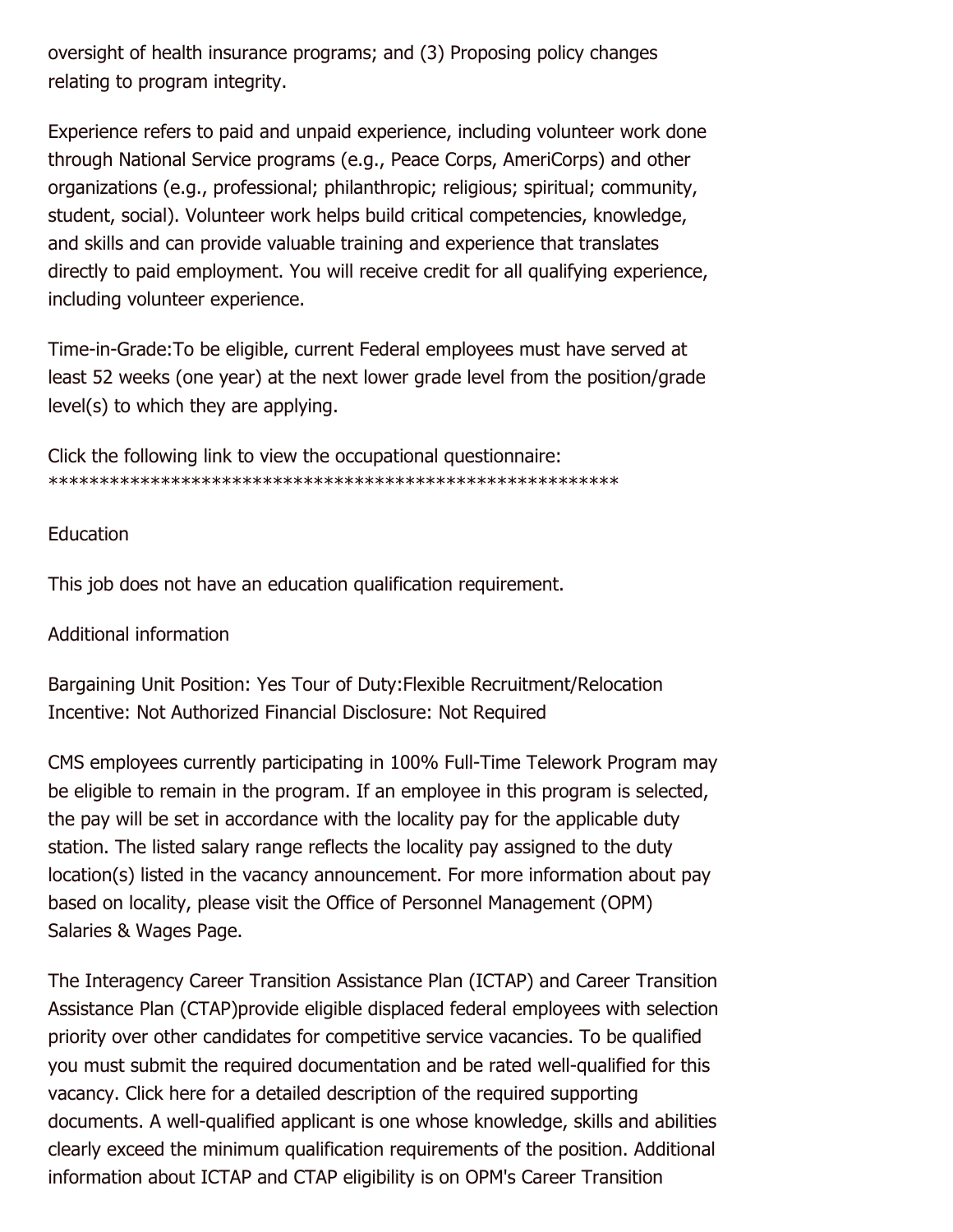oversight of health insurance programs; and (3) Proposing policy changes relating to program integrity.

Experience refers to paid and unpaid experience, including volunteer work done through National Service programs (e.g., Peace Corps, AmeriCorps) and other organizations (e.g., professional; philanthropic; religious; spiritual; community, student, social). Volunteer work helps build critical competencies, knowledge, and skills and can provide valuable training and experience that translates directly to paid employment. You will receive credit for all qualifying experience, including volunteer experience.

Time-in-Grade:To be eligible, current Federal employees must have served at least 52 weeks (one year) at the next lower grade level from the position/grade level(s) to which they are applying.

Click the following link to view the occupational questionnaire: \*\*\*\*\*\*\*\*\*\*\*\*\*\*\*\*\*\*\*\*\*\*\*\*\*\*\*\*\*\*\*\*\*\*\*\*\*\*\*\*\*\*\*\*\*\*\*\*\*\*\*\*\*\*\*\*

#### **Education**

This job does not have an education qualification requirement.

#### Additional information

Bargaining Unit Position: Yes Tour of Duty:Flexible Recruitment/Relocation Incentive: Not Authorized Financial Disclosure: Not Required

CMS employees currently participating in 100% Full-Time Telework Program may be eligible to remain in the program. If an employee in this program is selected, the pay will be set in accordance with the locality pay for the applicable duty station. The listed salary range reflects the locality pay assigned to the duty location(s) listed in the vacancy announcement. For more information about pay based on locality, please visit the Office of Personnel Management (OPM) Salaries & Wages Page.

The Interagency Career Transition Assistance Plan (ICTAP) and Career Transition Assistance Plan (CTAP)provide eligible displaced federal employees with selection priority over other candidates for competitive service vacancies. To be qualified you must submit the required documentation and be rated well-qualified for this vacancy. Click here for a detailed description of the required supporting documents. A well-qualified applicant is one whose knowledge, skills and abilities clearly exceed the minimum qualification requirements of the position. Additional information about ICTAP and CTAP eligibility is on OPM's Career Transition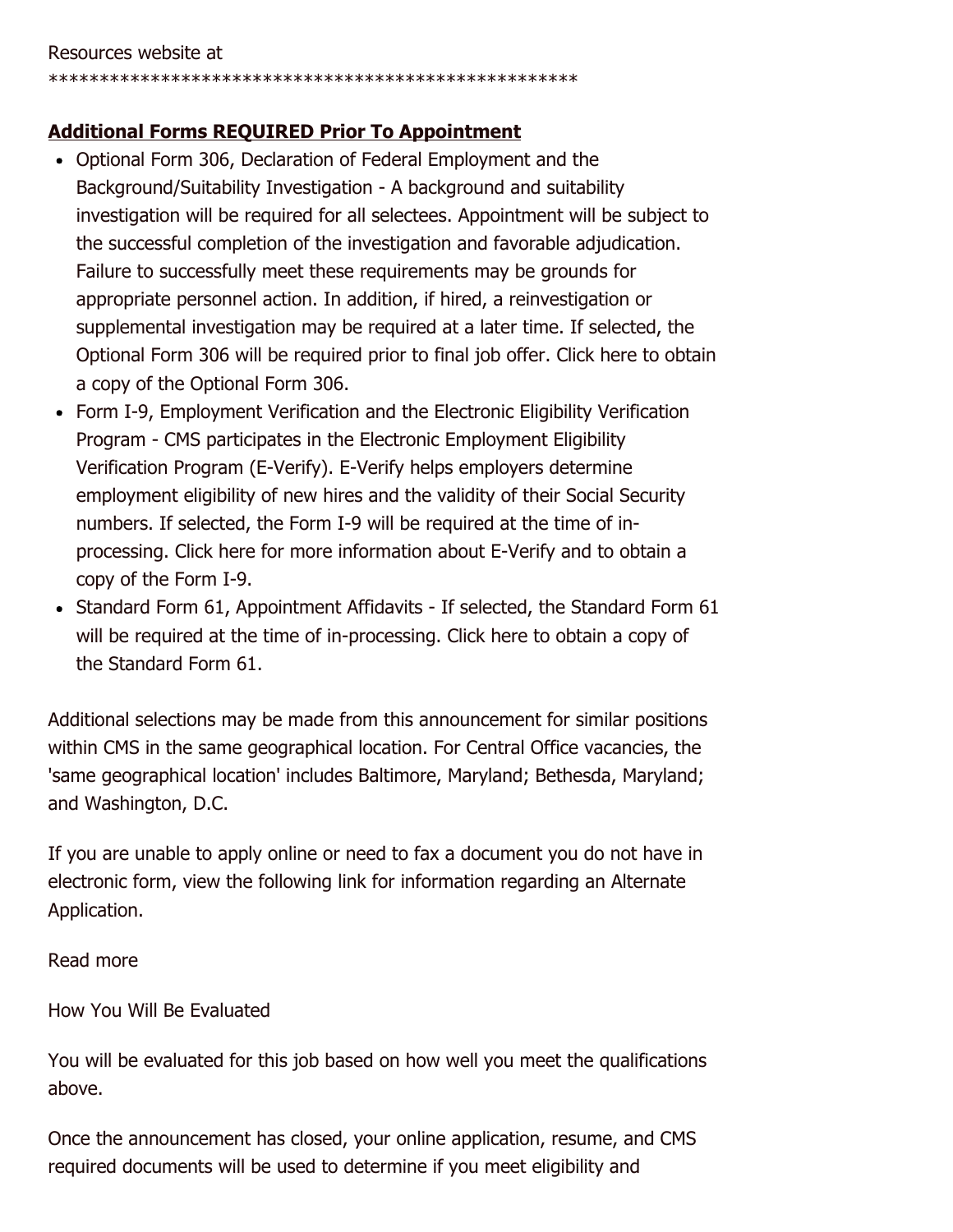#### Additional Forms REQUIRED Prior To Appointment

\*\*\*\*\*\*\*\*\*\*\*\*\*\*\*\*\*\*\*\*\*\*\*\*\*\*\*\*\*\*\*\*\*\*\*\*\*\*\*\*\*\*\*\*\*\*\*\*\*\*\*\*

- Optional Form 306, Declaration of Federal Employment and the Background/Suitability Investigation - A background and suitability investigation will be required for all selectees. Appointment will be subject to the successful completion of the investigation and favorable adjudication. Failure to successfully meet these requirements may be grounds for appropriate personnel action. In addition, if hired, a reinvestigation or supplemental investigation may be required at a later time. If selected, the Optional Form 306 will be required prior to final job offer. Click here to obtain a copy of the Optional Form 306.
- Form I-9, Employment Verification and the Electronic Eligibility Verification Program - CMS participates in the Electronic Employment Eligibility Verification Program (E-Verify). E-Verify helps employers determine employment eligibility of new hires and the validity of their Social Security numbers. If selected, the Form I-9 will be required at the time of inprocessing. Click here for more information about E-Verify and to obtain a copy of the Form I-9.
- Standard Form 61, Appointment Affidavits If selected, the Standard Form 61 will be required at the time of in-processing. Click here to obtain a copy of the Standard Form 61.

Additional selections may be made from this announcement for similar positions within CMS in the same geographical location. For Central Office vacancies, the 'same geographical location' includes Baltimore, Maryland; Bethesda, Maryland; and Washington, D.C.

If you are unable to apply online or need to fax a document you do not have in electronic form, view the following link for information regarding an Alternate Application.

Read more

How You Will Be Evaluated

You will be evaluated for this job based on how well you meet the qualifications above.

Once the announcement has closed, your online application, resume, and CMS required documents will be used to determine if you meet eligibility and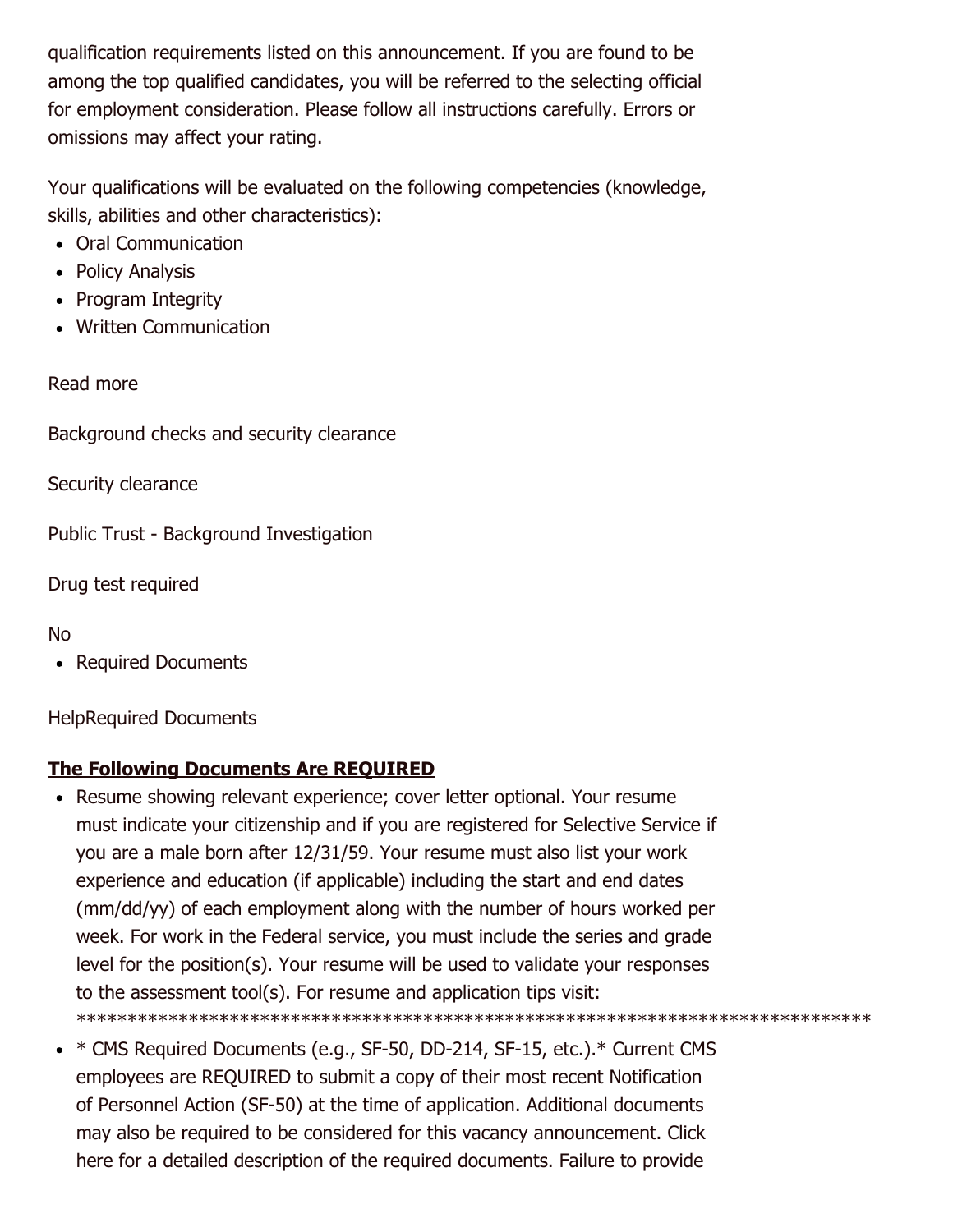qualification requirements listed on this announcement. If you are found to be among the top qualified candidates, you will be referred to the selecting official for employment consideration. Please follow all instructions carefully. Errors or omissions may affect your rating.

Your qualifications will be evaluated on the following competencies (knowledge, skills, abilities and other characteristics):

- Oral Communication
- Policy Analysis
- Program Integrity
- Written Communication

#### Read more

Background checks and security clearance

Security clearance

Public Trust - Background Investigation

Drug test required

#### No

• Required Documents

#### HelpRequired Documents

#### The Following Documents Are REQUIRED

- Resume showing relevant experience; cover letter optional. Your resume must indicate your citizenship and if you are registered for Selective Service if you are a male born after 12/31/59. Your resume must also list your work experience and education (if applicable) including the start and end dates (mm/dd/yy) of each employment along with the number of hours worked per week. For work in the Federal service, you must include the series and grade level for the position(s). Your resume will be used to validate your responses to the assessment tool(s). For resume and application tips visit: \*\*\*\*\*\*\*\*\*\*\*\*\*\*\*\*\*\*\*\*\*\*\*\*\*\*\*\*\*\*\*\*\*\*\*\*\*\*\*\*\*\*\*\*\*\*\*\*\*\*\*\*\*\*\*\*\*\*\*\*\*\*\*\*\*\*\*\*\*\*\*\*\*\*\*\*\*\*
- $\bullet$  \* CMS Required Documents (e.g., SF-50, DD-214, SF-15, etc.). \* Current CMS employees are REQUIRED to submit a copy of their most recent Notification of Personnel Action (SF-50) at the time of application. Additional documents may also be required to be considered for this vacancy announcement. Click here for a detailed description of the required documents. Failure to provide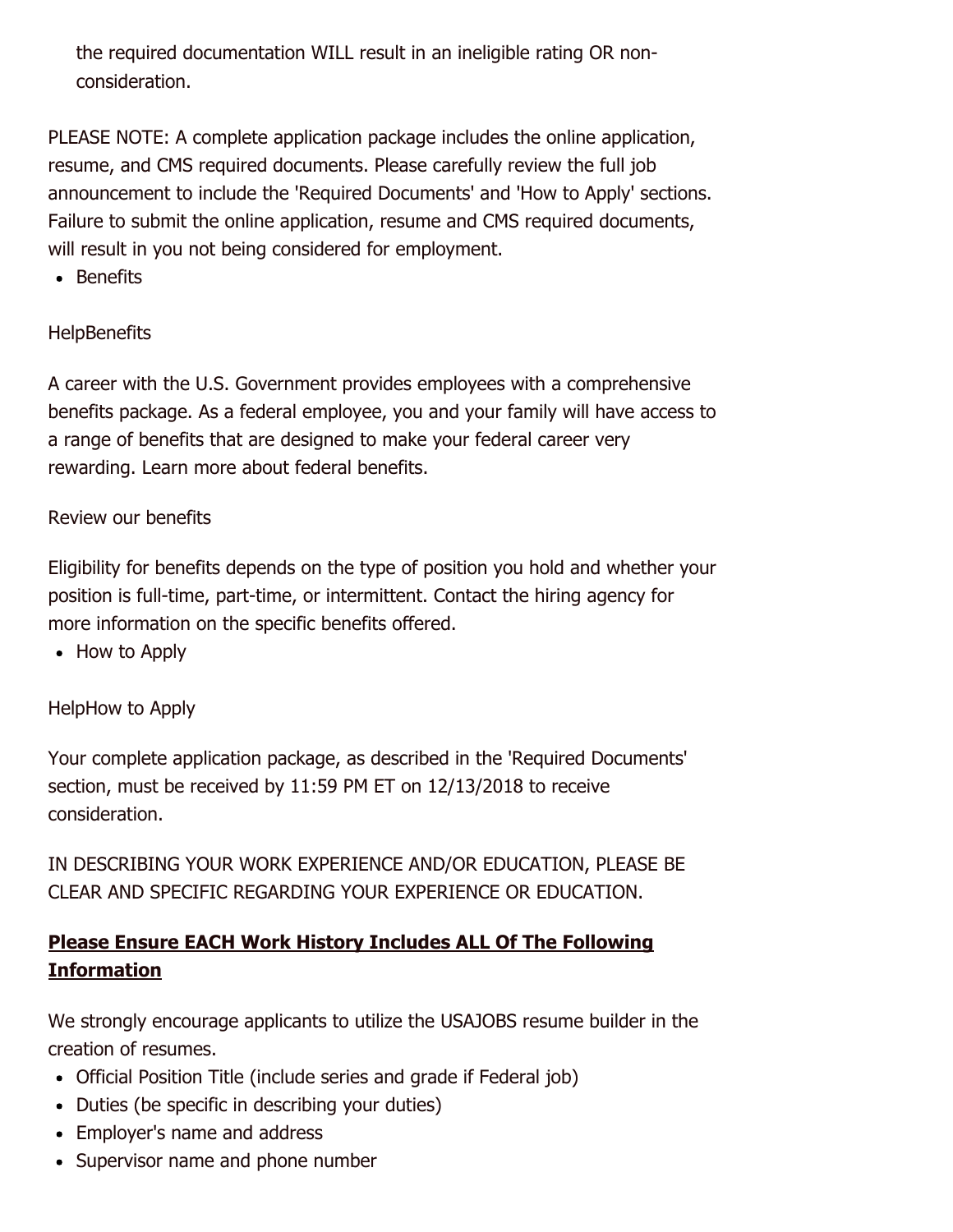the required documentation WILL result in an ineligible rating OR nonconsideration.

PLEASE NOTE: A complete application package includes the online application, resume, and CMS required documents. Please carefully review the full job announcement to include the 'Required Documents' and 'How to Apply' sections. Failure to submit the online application, resume and CMS required documents, will result in you not being considered for employment.

• Benefits

#### **HelpBenefits**

A career with the U.S. Government provides employees with a comprehensive benefits package. As a federal employee, you and your family will have access to a range of benefits that are designed to make your federal career very rewarding. Learn more about federal benefits.

#### Review our benefits

Eligibility for benefits depends on the type of position you hold and whether your position is full-time, part-time, or intermittent. Contact the hiring agency for more information on the specific benefits offered.

• How to Apply

#### HelpHow to Apply

Your complete application package, as described in the 'Required Documents' section, must be received by 11:59 PM ET on 12/13/2018 to receive consideration.

IN DESCRIBING YOUR WORK EXPERIENCE AND/OR EDUCATION, PLEASE BE CLEAR AND SPECIFIC REGARDING YOUR EXPERIENCE OR EDUCATION.

#### Please Ensure EACH Work History Includes ALL Of The Following Information

We strongly encourage applicants to utilize the USAJOBS resume builder in the creation of resumes.

- Official Position Title (include series and grade if Federal job)
- Duties (be specific in describing your duties)
- Employer's name and address
- Supervisor name and phone number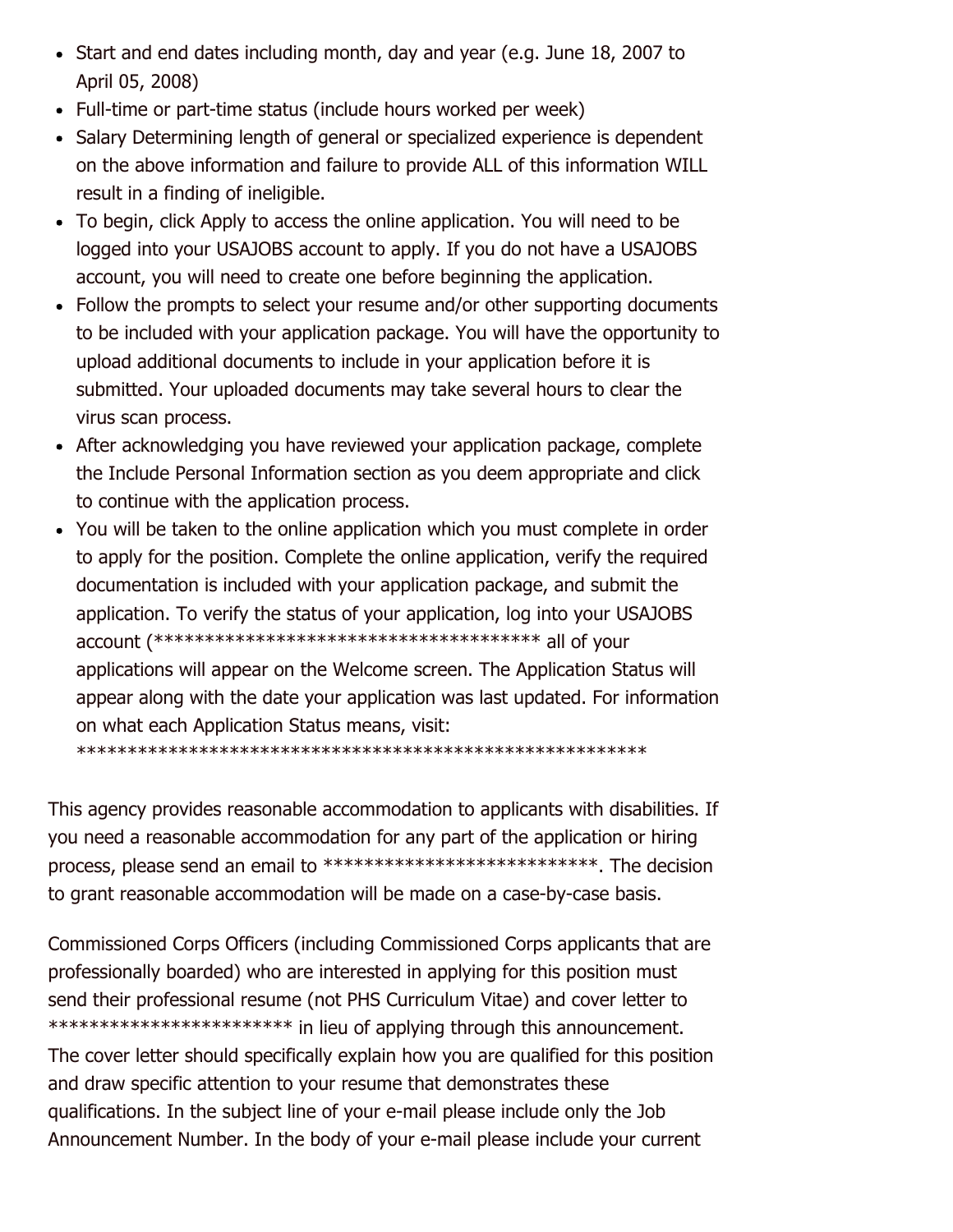- $\bullet$  Start and end dates including month, day and year (e.g. June 18, 2007 to April 05, 2008)
- Full-time or part-time status (include hours worked per week)
- Salary Determining length of general or specialized experience is dependent on the above information and failure to provide ALL of this information WILL result in a finding of ineligible.
- To begin, click Apply to access the online application. You will need to be logged into your USAJOBS account to apply. If you do not have a USAJOBS account, you will need to create one before beginning the application.
- Follow the prompts to select your resume and/or other supporting documents to be included with your application package. You will have the opportunity to upload additional documents to include in your application before it is submitted. Your uploaded documents may take several hours to clear the virus scan process.
- After acknowledging you have reviewed your application package, complete the Include Personal Information section as you deem appropriate and click to continue with the application process.
- You will be taken to the online application which you must complete in order to apply for the position. Complete the online application, verify the required documentation is included with your application package, and submit the application. To verify the status of your application, log into your USAJOBS account (\*\*\*\*\*\*\*\*\*\*\*\*\*\*\*\*\*\*\*\*\*\*\*\*\*\*\*\*\*\*\*\*\*\*\*\*\*\* all of your applications will appear on the Welcome screen. The Application Status will appear along with the date your application was last updated. For information on what each Application Status means, visit:

\*\*\*\*\*\*\*\*\*\*\*\*\*\*\*\*\*\*\*\*\*\*\*\*\*\*\*\*\*\*\*\*\*\*\*\*\*\*\*\*\*\*\*\*\*\*\*\*\*\*\*\*\*\*\*\*

This agency provides reasonable accommodation to applicants with disabilities. If you need a reasonable accommodation for any part of the application or hiring process, please send an email to \*\*\*\*\*\*\*\*\*\*\*\*\*\*\*\*\*\*\*\*\*\*\*\*\*\*\*. The decision to grant reasonable accommodation will be made on a case-by-case basis.

Commissioned Corps Officers (including Commissioned Corps applicants that are professionally boarded) who are interested in applying for this position must send their professional resume (not PHS Curriculum Vitae) and cover letter to \*\*\*\*\*\*\*\*\*\*\*\*\*\*\*\*\*\*\*\*\*\*\*\* in lieu of applying through this announcement. The cover letter should specifically explain how you are qualified for this position and draw specific attention to your resume that demonstrates these qualifications. In the subject line of your e-mail please include only the Job Announcement Number. In the body of your e-mail please include your current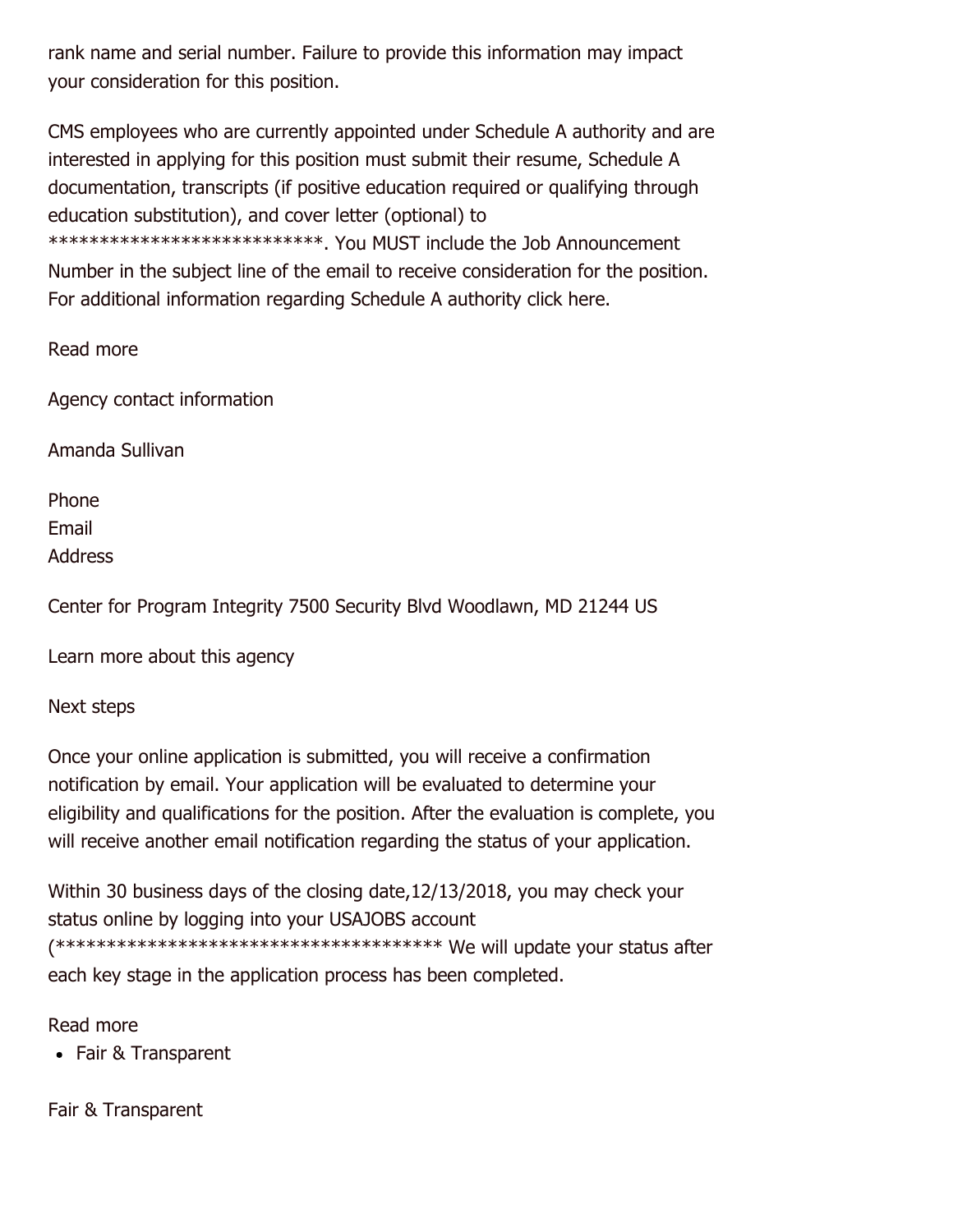rank name and serial number. Failure to provide this information may impact your consideration for this position.

CMS employees who are currently appointed under Schedule A authority and are interested in applying for this position must submit their resume, Schedule A documentation, transcripts (if positive education required or qualifying through education substitution), and cover letter (optional) to \*\*\*\*\*\*\*\*\*\*\*\*\*\*\*\*\*\*\*\*\*\*\*\*\*\*\*. You MUST include the Job Announcement Number in the subject line of the email to receive consideration for the position. For additional information regarding Schedule A authority click here.

Read more

Agency contact information

Amanda Sullivan

Phone Email **Address** 

Center for Program Integrity 7500 Security Blvd Woodlawn, MD 21244 US

Learn more about this agency

Next steps

Once your online application is submitted, you will receive a confirmation notification by email. Your application will be evaluated to determine your eligibility and qualifications for the position. After the evaluation is complete, you will receive another email notification regarding the status of your application.

Within 30 business days of the closing date,12/13/2018, you may check your status online by logging into your USAJOBS account (\*\*\*\*\*\*\*\*\*\*\*\*\*\*\*\*\*\*\*\*\*\*\*\*\*\*\*\*\*\*\*\*\*\*\*\*\*\* We will update your status after each key stage in the application process has been completed.

Read more

• Fair & Transparent

Fair & Transparent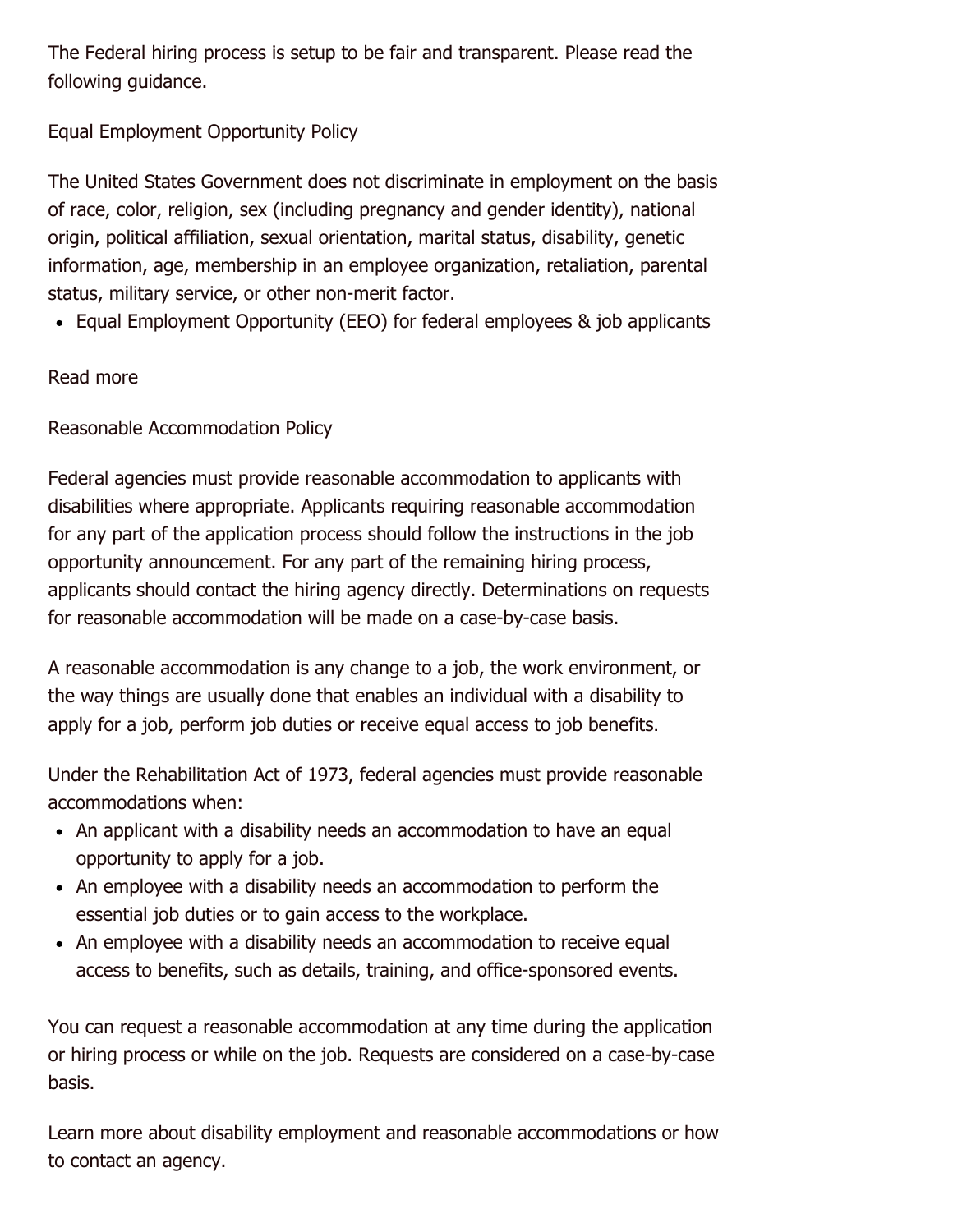The Federal hiring process is setup to be fair and transparent. Please read the following guidance.

Equal Employment Opportunity Policy

The United States Government does not discriminate in employment on the basis of race, color, religion, sex (including pregnancy and gender identity), national origin, political affiliation, sexual orientation, marital status, disability, genetic information, age, membership in an employee organization, retaliation, parental status, military service, or other non-merit factor.

Equal Employment Opportunity (EEO) for federal employees & job applicants

#### Read more

Reasonable Accommodation Policy

Federal agencies must provide reasonable accommodation to applicants with disabilities where appropriate. Applicants requiring reasonable accommodation for any part of the application process should follow the instructions in the job opportunity announcement. For any part of the remaining hiring process, applicants should contact the hiring agency directly. Determinations on requests for reasonable accommodation will be made on a case-by-case basis.

A reasonable accommodation is any change to a job, the work environment, or the way things are usually done that enables an individual with a disability to apply for a job, perform job duties or receive equal access to job benefits.

Under the Rehabilitation Act of 1973, federal agencies must provide reasonable accommodations when:

- An applicant with a disability needs an accommodation to have an equal opportunity to apply for a job.
- An employee with a disability needs an accommodation to perform the essential job duties or to gain access to the workplace.
- An employee with a disability needs an accommodation to receive equal access to benefits, such as details, training, and office-sponsored events.

You can request a reasonable accommodation at any time during the application or hiring process or while on the job. Requests are considered on a case-by-case basis.

Learn more about disability employment and reasonable accommodations or how to contact an agency.